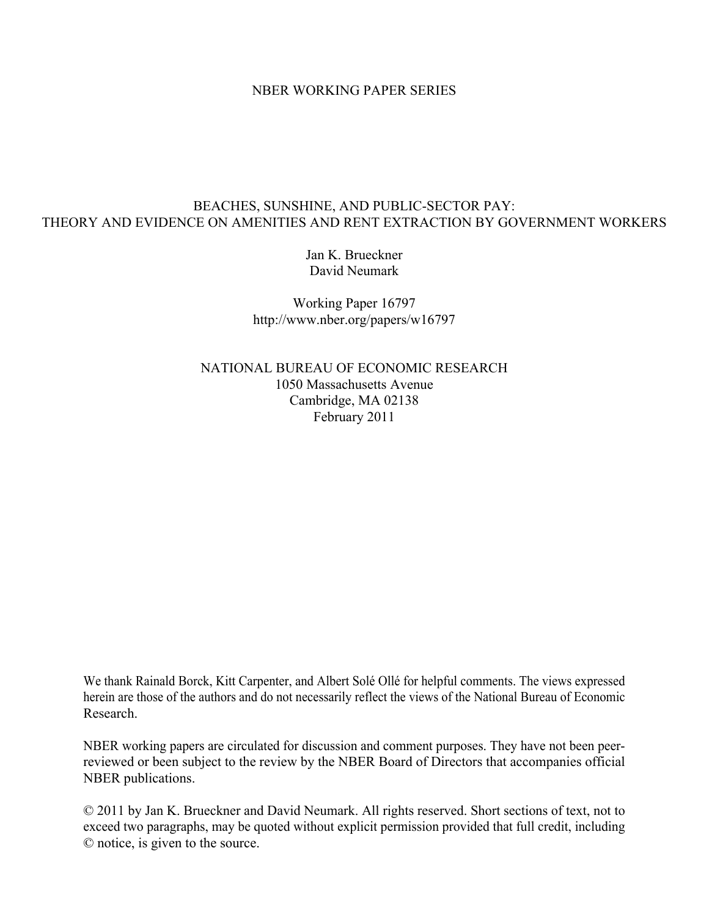### NBER WORKING PAPER SERIES

## BEACHES, SUNSHINE, AND PUBLIC-SECTOR PAY: THEORY AND EVIDENCE ON AMENITIES AND RENT EXTRACTION BY GOVERNMENT WORKERS

Jan K. Brueckner David Neumark

Working Paper 16797 http://www.nber.org/papers/w16797

NATIONAL BUREAU OF ECONOMIC RESEARCH 1050 Massachusetts Avenue Cambridge, MA 02138 February 2011

We thank Rainald Borck, Kitt Carpenter, and Albert Solé Ollé for helpful comments. The views expressed herein are those of the authors and do not necessarily reflect the views of the National Bureau of Economic Research.

NBER working papers are circulated for discussion and comment purposes. They have not been peerreviewed or been subject to the review by the NBER Board of Directors that accompanies official NBER publications.

© 2011 by Jan K. Brueckner and David Neumark. All rights reserved. Short sections of text, not to exceed two paragraphs, may be quoted without explicit permission provided that full credit, including © notice, is given to the source.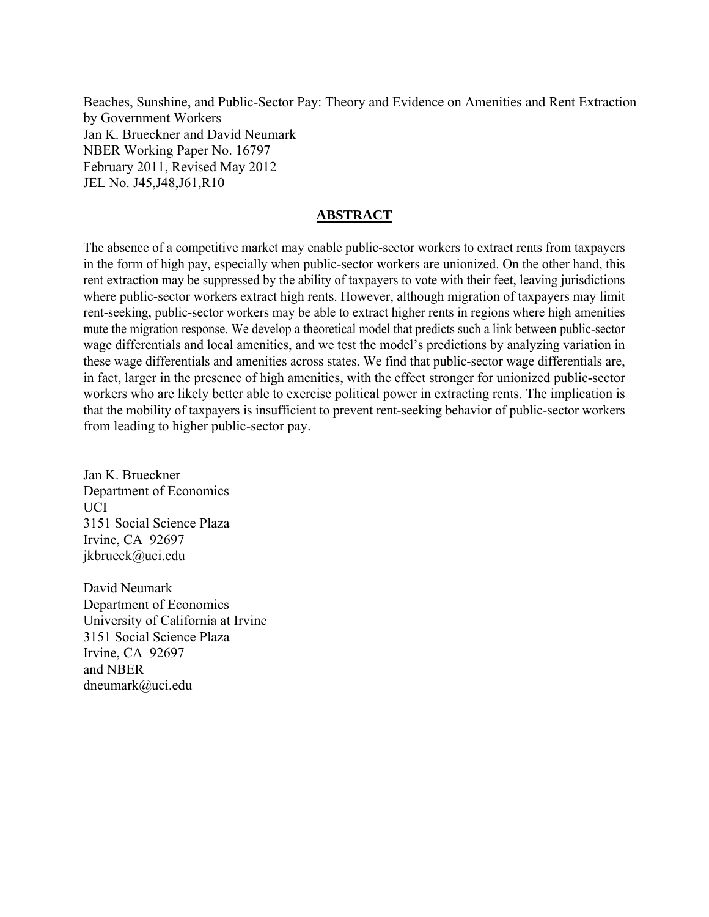Beaches, Sunshine, and Public-Sector Pay: Theory and Evidence on Amenities and Rent Extraction by Government Workers Jan K. Brueckner and David Neumark NBER Working Paper No. 16797 February 2011, Revised May 2012 JEL No. J45,J48,J61,R10

## **ABSTRACT**

The absence of a competitive market may enable public-sector workers to extract rents from taxpayers in the form of high pay, especially when public-sector workers are unionized. On the other hand, this rent extraction may be suppressed by the ability of taxpayers to vote with their feet, leaving jurisdictions where public-sector workers extract high rents. However, although migration of taxpayers may limit rent-seeking, public-sector workers may be able to extract higher rents in regions where high amenities mute the migration response. We develop a theoretical model that predicts such a link between public-sector wage differentials and local amenities, and we test the model's predictions by analyzing variation in these wage differentials and amenities across states. We find that public-sector wage differentials are, in fact, larger in the presence of high amenities, with the effect stronger for unionized public-sector workers who are likely better able to exercise political power in extracting rents. The implication is that the mobility of taxpayers is insufficient to prevent rent-seeking behavior of public-sector workers from leading to higher public-sector pay.

Jan K. Brueckner Department of Economics **UCI** 3151 Social Science Plaza Irvine, CA 92697 jkbrueck@uci.edu

David Neumark Department of Economics University of California at Irvine 3151 Social Science Plaza Irvine, CA 92697 and NBER dneumark@uci.edu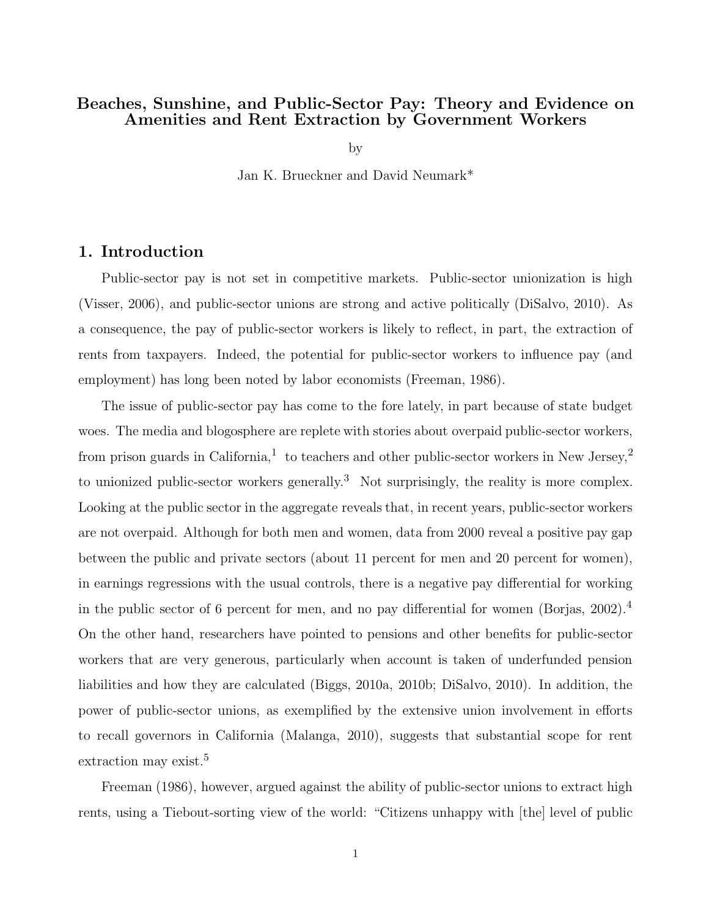## Beaches, Sunshine, and Public-Sector Pay: Theory and Evidence on Amenities and Rent Extraction by Government Workers

by

Jan K. Brueckner and David Neumark\*

## 1. Introduction

Public-sector pay is not set in competitive markets. Public-sector unionization is high (Visser, 2006), and public-sector unions are strong and active politically (DiSalvo, 2010). As a consequence, the pay of public-sector workers is likely to reflect, in part, the extraction of rents from taxpayers. Indeed, the potential for public-sector workers to influence pay (and employment) has long been noted by labor economists (Freeman, 1986).

The issue of public-sector pay has come to the fore lately, in part because of state budget woes. The media and blogosphere are replete with stories about overpaid public-sector workers, from prison guards in California,<sup>1</sup> to teachers and other public-sector workers in New Jersey,<sup>2</sup> to unionized public-sector workers generally.<sup>3</sup> Not surprisingly, the reality is more complex. Looking at the public sector in the aggregate reveals that, in recent years, public-sector workers are not overpaid. Although for both men and women, data from 2000 reveal a positive pay gap between the public and private sectors (about 11 percent for men and 20 percent for women), in earnings regressions with the usual controls, there is a negative pay differential for working in the public sector of 6 percent for men, and no pay differential for women (Borjas,  $2002$ ).<sup>4</sup> On the other hand, researchers have pointed to pensions and other benefits for public-sector workers that are very generous, particularly when account is taken of underfunded pension liabilities and how they are calculated (Biggs, 2010a, 2010b; DiSalvo, 2010). In addition, the power of public-sector unions, as exemplified by the extensive union involvement in efforts to recall governors in California (Malanga, 2010), suggests that substantial scope for rent extraction may exist.<sup>5</sup>

Freeman (1986), however, argued against the ability of public-sector unions to extract high rents, using a Tiebout-sorting view of the world: "Citizens unhappy with [the] level of public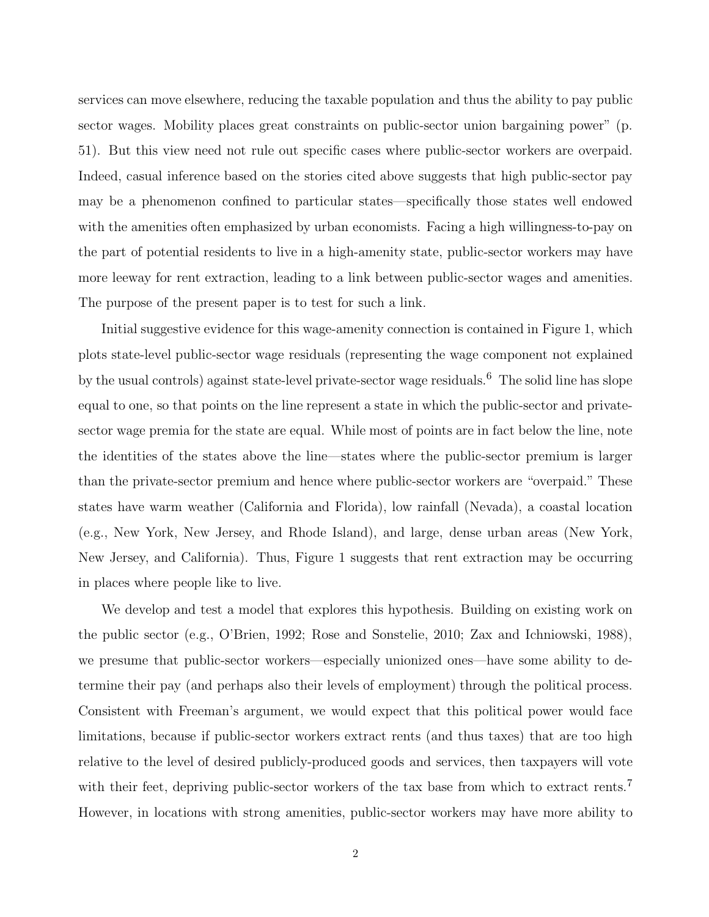services can move elsewhere, reducing the taxable population and thus the ability to pay public sector wages. Mobility places great constraints on public-sector union bargaining power" (p. 51). But this view need not rule out specific cases where public-sector workers are overpaid. Indeed, casual inference based on the stories cited above suggests that high public-sector pay may be a phenomenon confined to particular states—specifically those states well endowed with the amenities often emphasized by urban economists. Facing a high willingness-to-pay on the part of potential residents to live in a high-amenity state, public-sector workers may have more leeway for rent extraction, leading to a link between public-sector wages and amenities. The purpose of the present paper is to test for such a link.

Initial suggestive evidence for this wage-amenity connection is contained in Figure 1, which plots state-level public-sector wage residuals (representing the wage component not explained by the usual controls) against state-level private-sector wage residuals.<sup>6</sup> The solid line has slope equal to one, so that points on the line represent a state in which the public-sector and privatesector wage premia for the state are equal. While most of points are in fact below the line, note the identities of the states above the line—states where the public-sector premium is larger than the private-sector premium and hence where public-sector workers are "overpaid." These states have warm weather (California and Florida), low rainfall (Nevada), a coastal location (e.g., New York, New Jersey, and Rhode Island), and large, dense urban areas (New York, New Jersey, and California). Thus, Figure 1 suggests that rent extraction may be occurring in places where people like to live.

We develop and test a model that explores this hypothesis. Building on existing work on the public sector (e.g., O'Brien, 1992; Rose and Sonstelie, 2010; Zax and Ichniowski, 1988), we presume that public-sector workers—especially unionized ones—have some ability to determine their pay (and perhaps also their levels of employment) through the political process. Consistent with Freeman's argument, we would expect that this political power would face limitations, because if public-sector workers extract rents (and thus taxes) that are too high relative to the level of desired publicly-produced goods and services, then taxpayers will vote with their feet, depriving public-sector workers of the tax base from which to extract rents.<sup>7</sup> However, in locations with strong amenities, public-sector workers may have more ability to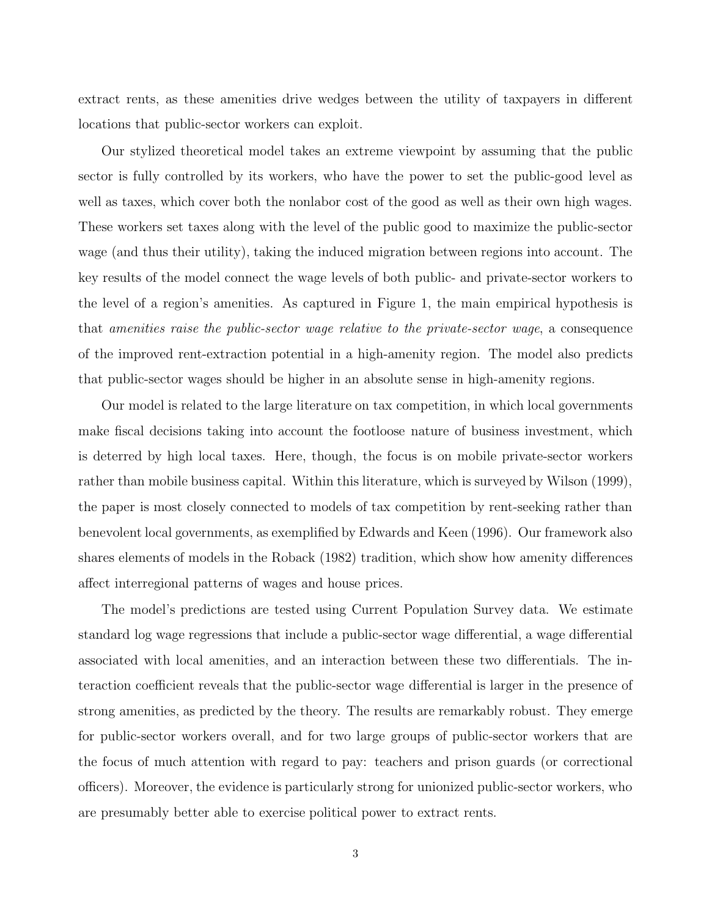extract rents, as these amenities drive wedges between the utility of taxpayers in different locations that public-sector workers can exploit.

Our stylized theoretical model takes an extreme viewpoint by assuming that the public sector is fully controlled by its workers, who have the power to set the public-good level as well as taxes, which cover both the nonlabor cost of the good as well as their own high wages. These workers set taxes along with the level of the public good to maximize the public-sector wage (and thus their utility), taking the induced migration between regions into account. The key results of the model connect the wage levels of both public- and private-sector workers to the level of a region's amenities. As captured in Figure 1, the main empirical hypothesis is that amenities raise the public-sector wage relative to the private-sector wage, a consequence of the improved rent-extraction potential in a high-amenity region. The model also predicts that public-sector wages should be higher in an absolute sense in high-amenity regions.

Our model is related to the large literature on tax competition, in which local governments make fiscal decisions taking into account the footloose nature of business investment, which is deterred by high local taxes. Here, though, the focus is on mobile private-sector workers rather than mobile business capital. Within this literature, which is surveyed by Wilson (1999), the paper is most closely connected to models of tax competition by rent-seeking rather than benevolent local governments, as exemplified by Edwards and Keen (1996). Our framework also shares elements of models in the Roback (1982) tradition, which show how amenity differences affect interregional patterns of wages and house prices.

The model's predictions are tested using Current Population Survey data. We estimate standard log wage regressions that include a public-sector wage differential, a wage differential associated with local amenities, and an interaction between these two differentials. The interaction coefficient reveals that the public-sector wage differential is larger in the presence of strong amenities, as predicted by the theory. The results are remarkably robust. They emerge for public-sector workers overall, and for two large groups of public-sector workers that are the focus of much attention with regard to pay: teachers and prison guards (or correctional officers). Moreover, the evidence is particularly strong for unionized public-sector workers, who are presumably better able to exercise political power to extract rents.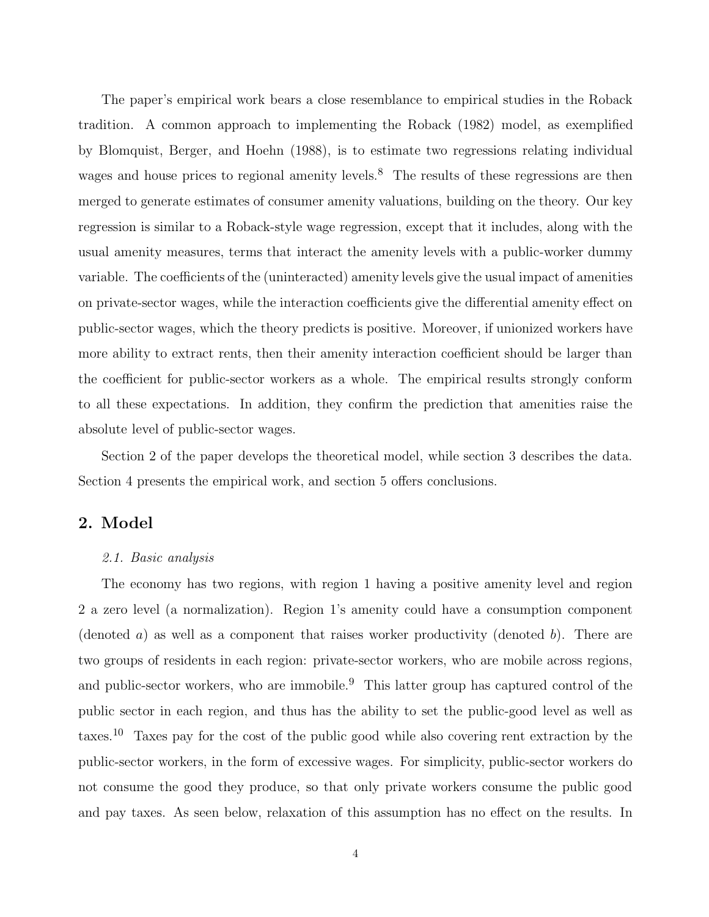The paper's empirical work bears a close resemblance to empirical studies in the Roback tradition. A common approach to implementing the Roback (1982) model, as exemplified by Blomquist, Berger, and Hoehn (1988), is to estimate two regressions relating individual wages and house prices to regional amenity levels.<sup>8</sup> The results of these regressions are then merged to generate estimates of consumer amenity valuations, building on the theory. Our key regression is similar to a Roback-style wage regression, except that it includes, along with the usual amenity measures, terms that interact the amenity levels with a public-worker dummy variable. The coefficients of the (uninteracted) amenity levels give the usual impact of amenities on private-sector wages, while the interaction coefficients give the differential amenity effect on public-sector wages, which the theory predicts is positive. Moreover, if unionized workers have more ability to extract rents, then their amenity interaction coefficient should be larger than the coefficient for public-sector workers as a whole. The empirical results strongly conform to all these expectations. In addition, they confirm the prediction that amenities raise the absolute level of public-sector wages.

Section 2 of the paper develops the theoretical model, while section 3 describes the data. Section 4 presents the empirical work, and section 5 offers conclusions.

## 2. Model

#### 2.1. Basic analysis

The economy has two regions, with region 1 having a positive amenity level and region 2 a zero level (a normalization). Region 1's amenity could have a consumption component (denoted a) as well as a component that raises worker productivity (denoted b). There are two groups of residents in each region: private-sector workers, who are mobile across regions, and public-sector workers, who are immobile.<sup>9</sup> This latter group has captured control of the public sector in each region, and thus has the ability to set the public-good level as well as taxes.<sup>10</sup> Taxes pay for the cost of the public good while also covering rent extraction by the public-sector workers, in the form of excessive wages. For simplicity, public-sector workers do not consume the good they produce, so that only private workers consume the public good and pay taxes. As seen below, relaxation of this assumption has no effect on the results. In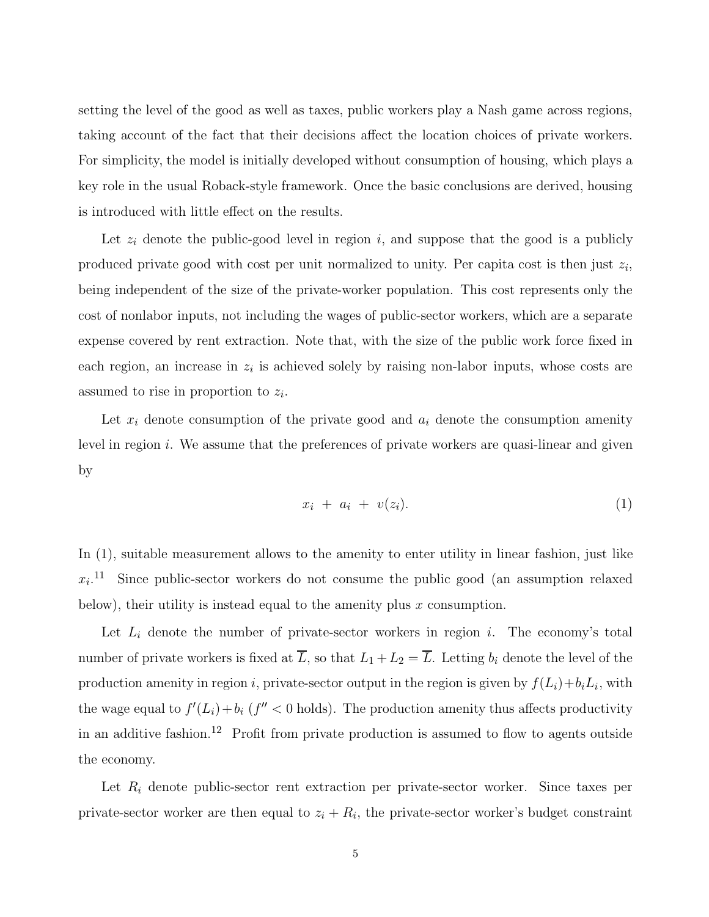setting the level of the good as well as taxes, public workers play a Nash game across regions, taking account of the fact that their decisions affect the location choices of private workers. For simplicity, the model is initially developed without consumption of housing, which plays a key role in the usual Roback-style framework. Once the basic conclusions are derived, housing is introduced with little effect on the results.

Let  $z_i$  denote the public-good level in region i, and suppose that the good is a publicly produced private good with cost per unit normalized to unity. Per capita cost is then just  $z_i$ , being independent of the size of the private-worker population. This cost represents only the cost of nonlabor inputs, not including the wages of public-sector workers, which are a separate expense covered by rent extraction. Note that, with the size of the public work force fixed in each region, an increase in  $z_i$  is achieved solely by raising non-labor inputs, whose costs are assumed to rise in proportion to  $z_i$ .

Let  $x_i$  denote consumption of the private good and  $a_i$  denote the consumption amenity level in region  $i$ . We assume that the preferences of private workers are quasi-linear and given by

$$
x_i + a_i + v(z_i). \tag{1}
$$

In (1), suitable measurement allows to the amenity to enter utility in linear fashion, just like  $x_i$ <sup>11</sup> Since public-sector workers do not consume the public good (an assumption relaxed below), their utility is instead equal to the amenity plus  $x$  consumption.

Let  $L_i$  denote the number of private-sector workers in region i. The economy's total number of private workers is fixed at  $\overline{L}$ , so that  $L_1 + L_2 = \overline{L}$ . Letting  $b_i$  denote the level of the production amenity in region i, private-sector output in the region is given by  $f(L_i)+b_iL_i$ , with the wage equal to  $f'(L_i) + b_i$  ( $f'' < 0$  holds). The production amenity thus affects productivity in an additive fashion.<sup>12</sup> Profit from private production is assumed to flow to agents outside the economy.

Let  $R_i$  denote public-sector rent extraction per private-sector worker. Since taxes per private-sector worker are then equal to  $z_i + R_i$ , the private-sector worker's budget constraint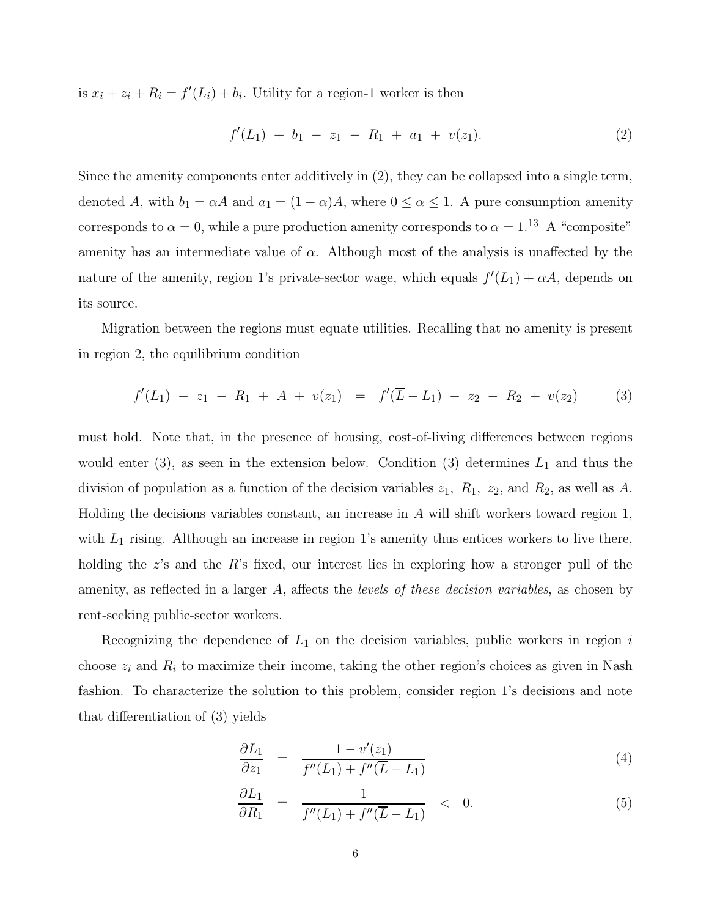is  $x_i + z_i + R_i = f'(L_i) + b_i$ . Utility for a region-1 worker is then

$$
f'(L_1) + b_1 - z_1 - R_1 + a_1 + v(z_1). \tag{2}
$$

Since the amenity components enter additively in (2), they can be collapsed into a single term, denoted A, with  $b_1 = \alpha A$  and  $a_1 = (1 - \alpha)A$ , where  $0 \le \alpha \le 1$ . A pure consumption amenity corresponds to  $\alpha = 0$ , while a pure production amenity corresponds to  $\alpha = 1.13$  A "composite" amenity has an intermediate value of  $\alpha$ . Although most of the analysis is unaffected by the nature of the amenity, region 1's private-sector wage, which equals  $f'(L_1) + \alpha A$ , depends on its source.

Migration between the regions must equate utilities. Recalling that no amenity is present in region 2, the equilibrium condition

$$
f'(L_1) - z_1 - R_1 + A + v(z_1) = f'(\overline{L} - L_1) - z_2 - R_2 + v(z_2)
$$
 (3)

must hold. Note that, in the presence of housing, cost-of-living differences between regions would enter  $(3)$ , as seen in the extension below. Condition  $(3)$  determines  $L_1$  and thus the division of population as a function of the decision variables  $z_1$ ,  $R_1$ ,  $z_2$ , and  $R_2$ , as well as A. Holding the decisions variables constant, an increase in A will shift workers toward region 1, with  $L_1$  rising. Although an increase in region 1's amenity thus entices workers to live there, holding the z's and the R's fixed, our interest lies in exploring how a stronger pull of the amenity, as reflected in a larger A, affects the levels of these decision variables, as chosen by rent-seeking public-sector workers.

Recognizing the dependence of  $L_1$  on the decision variables, public workers in region  $i$ choose  $z_i$  and  $R_i$  to maximize their income, taking the other region's choices as given in Nash fashion. To characterize the solution to this problem, consider region 1's decisions and note that differentiation of (3) yields

$$
\frac{\partial L_1}{\partial z_1} = \frac{1 - v'(z_1)}{f''(L_1) + f''(\overline{L} - L_1)}
$$
(4)

$$
\frac{\partial L_1}{\partial R_1} = \frac{1}{f''(L_1) + f''(\overline{L} - L_1)} < 0. \tag{5}
$$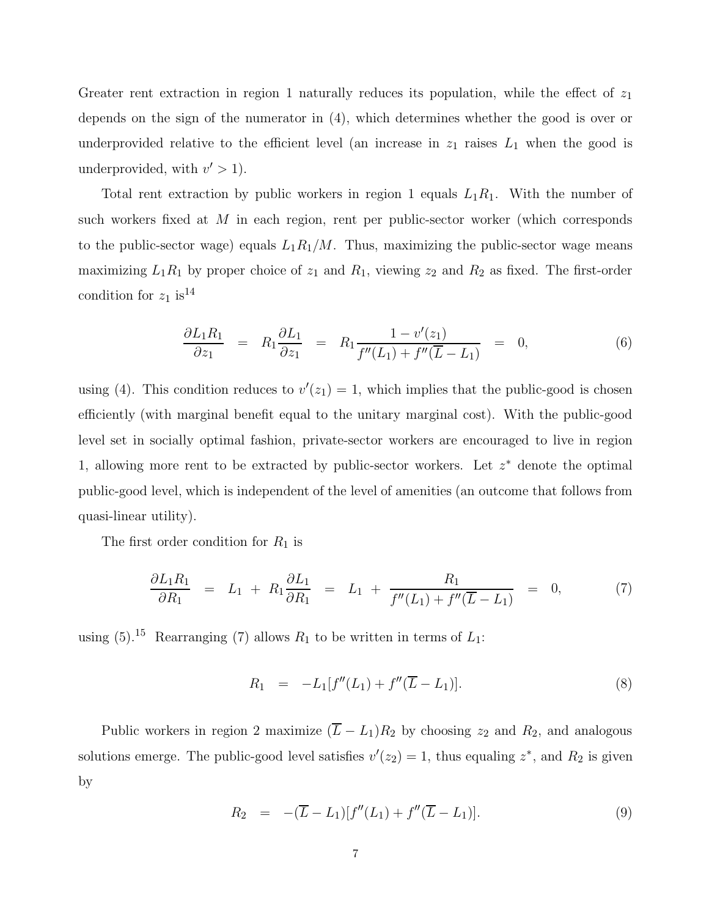Greater rent extraction in region 1 naturally reduces its population, while the effect of  $z_1$ depends on the sign of the numerator in (4), which determines whether the good is over or underprovided relative to the efficient level (an increase in  $z_1$  raises  $L_1$  when the good is underprovided, with  $v' > 1$ ).

Total rent extraction by public workers in region 1 equals  $L_1R_1$ . With the number of such workers fixed at M in each region, rent per public-sector worker (which corresponds to the public-sector wage) equals  $L_1R_1/M$ . Thus, maximizing the public-sector wage means maximizing  $L_1R_1$  by proper choice of  $z_1$  and  $R_1$ , viewing  $z_2$  and  $R_2$  as fixed. The first-order condition for  $z_1$  is<sup>14</sup>

$$
\frac{\partial L_1 R_1}{\partial z_1} = R_1 \frac{\partial L_1}{\partial z_1} = R_1 \frac{1 - v'(z_1)}{f''(L_1) + f''(\overline{L} - L_1)} = 0, \tag{6}
$$

using (4). This condition reduces to  $v'(z_1) = 1$ , which implies that the public-good is chosen efficiently (with marginal benefit equal to the unitary marginal cost). With the public-good level set in socially optimal fashion, private-sector workers are encouraged to live in region 1, allowing more rent to be extracted by public-sector workers. Let  $z^*$  denote the optimal public-good level, which is independent of the level of amenities (an outcome that follows from quasi-linear utility).

The first order condition for  $R_1$  is

$$
\frac{\partial L_1 R_1}{\partial R_1} = L_1 + R_1 \frac{\partial L_1}{\partial R_1} = L_1 + \frac{R_1}{f''(L_1) + f''(\overline{L} - L_1)} = 0, \tag{7}
$$

using  $(5)$ .<sup>15</sup> Rearranging (7) allows  $R_1$  to be written in terms of  $L_1$ :

$$
R_1 = -L_1[f''(L_1) + f''(\overline{L} - L_1)].
$$
\n(8)

Public workers in region 2 maximize  $(\overline{L} - L_1)R_2$  by choosing  $z_2$  and  $R_2$ , and analogous solutions emerge. The public-good level satisfies  $v'(z_2) = 1$ , thus equaling  $z^*$ , and  $R_2$  is given by

$$
R_2 = -(\overline{L} - L_1)[f''(L_1) + f''(\overline{L} - L_1)]. \tag{9}
$$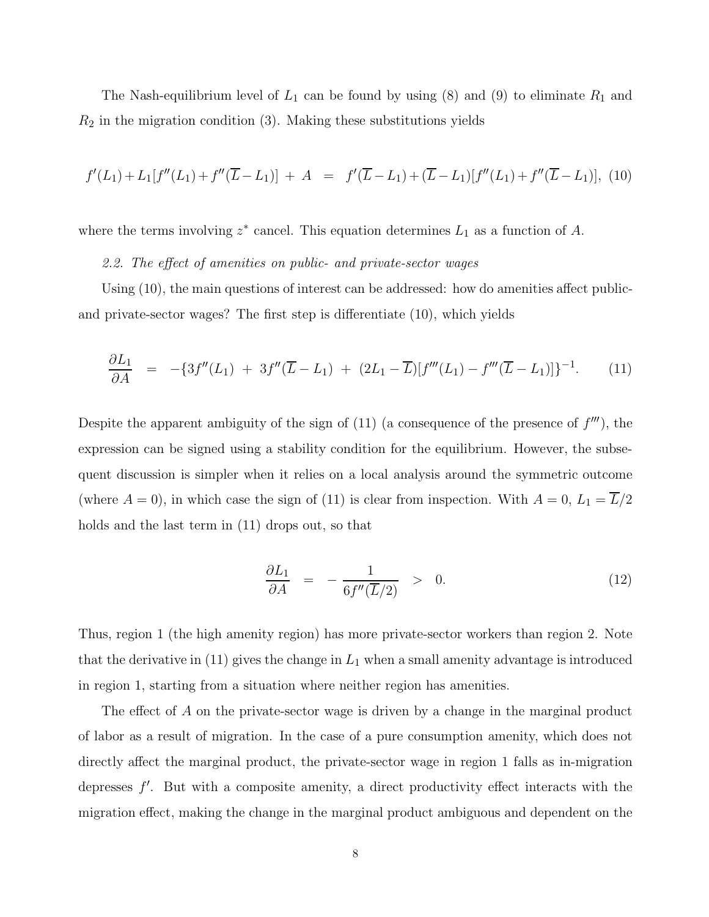The Nash-equilibrium level of  $L_1$  can be found by using (8) and (9) to eliminate  $R_1$  and  $R_2$  in the migration condition (3). Making these substitutions yields

$$
f'(L_1) + L_1[f''(L_1) + f''(\overline{L} - L_1)] + A = f'(\overline{L} - L_1) + (\overline{L} - L_1)[f''(L_1) + f''(\overline{L} - L_1)],
$$
 (10)

where the terms involving  $z^*$  cancel. This equation determines  $L_1$  as a function of A.

2.2. The effect of amenities on public- and private-sector wages

Using (10), the main questions of interest can be addressed: how do amenities affect publicand private-sector wages? The first step is differentiate (10), which yields

$$
\frac{\partial L_1}{\partial A} = -\{3f''(L_1) + 3f''(\overline{L} - L_1) + (2L_1 - \overline{L})[f'''(L_1) - f'''(\overline{L} - L_1)]\}^{-1}.
$$
 (11)

Despite the apparent ambiguity of the sign of  $(11)$  (a consequence of the presence of  $f'''$ ), the expression can be signed using a stability condition for the equilibrium. However, the subsequent discussion is simpler when it relies on a local analysis around the symmetric outcome (where  $A = 0$ ), in which case the sign of (11) is clear from inspection. With  $A = 0$ ,  $L_1 = \overline{L}/2$ holds and the last term in  $(11)$  drops out, so that

$$
\frac{\partial L_1}{\partial A} = -\frac{1}{6f''(\overline{L}/2)} > 0.
$$
\n(12)

Thus, region 1 (the high amenity region) has more private-sector workers than region 2. Note that the derivative in (11) gives the change in  $L_1$  when a small amenity advantage is introduced in region 1, starting from a situation where neither region has amenities.

The effect of A on the private-sector wage is driven by a change in the marginal product of labor as a result of migration. In the case of a pure consumption amenity, which does not directly affect the marginal product, the private-sector wage in region 1 falls as in-migration depresses  $f'$ . But with a composite amenity, a direct productivity effect interacts with the migration effect, making the change in the marginal product ambiguous and dependent on the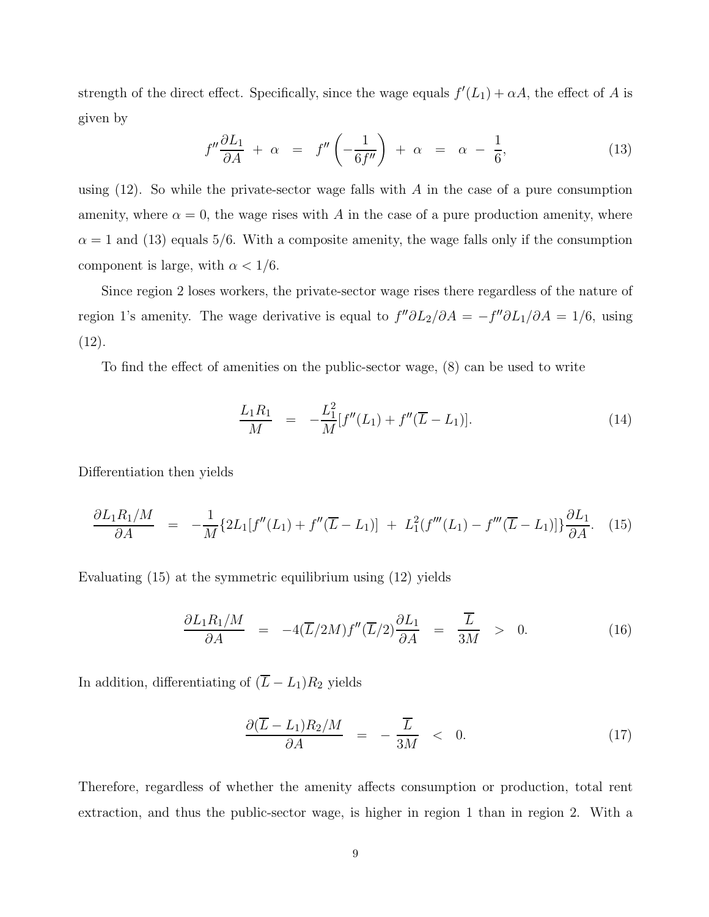strength of the direct effect. Specifically, since the wage equals  $f'(L_1) + \alpha A$ , the effect of A is given by

$$
f''\frac{\partial L_1}{\partial A} + \alpha = f''\left(-\frac{1}{6f''}\right) + \alpha = \alpha - \frac{1}{6},\tag{13}
$$

using  $(12)$ . So while the private-sector wage falls with A in the case of a pure consumption amenity, where  $\alpha = 0$ , the wage rises with A in the case of a pure production amenity, where  $\alpha = 1$  and (13) equals 5/6. With a composite amenity, the wage falls only if the consumption component is large, with  $\alpha < 1/6.$ 

Since region 2 loses workers, the private-sector wage rises there regardless of the nature of region 1's amenity. The wage derivative is equal to  $f''\partial L_2/\partial A = -f''\partial L_1/\partial A = 1/6$ , using (12).

To find the effect of amenities on the public-sector wage, (8) can be used to write

$$
\frac{L_1 R_1}{M} = -\frac{L_1^2}{M} [f''(L_1) + f''(\overline{L} - L_1)].
$$
\n(14)

Differentiation then yields

$$
\frac{\partial L_1 R_1/M}{\partial A} = -\frac{1}{M} \{ 2L_1[f''(L_1) + f''(\overline{L} - L_1)] + L_1^2(f'''(L_1) - f'''(\overline{L} - L_1)] \} \frac{\partial L_1}{\partial A}.
$$
 (15)

Evaluating (15) at the symmetric equilibrium using (12) yields

$$
\frac{\partial L_1 R_1/M}{\partial A} = -4(\overline{L}/2M) f''(\overline{L}/2) \frac{\partial L_1}{\partial A} = \frac{\overline{L}}{3M} > 0.
$$
 (16)

In addition, differentiating of  $(\overline{L} - L_1)R_2$  yields

$$
\frac{\partial(\overline{L}-L_1)R_2/M}{\partial A} = -\frac{\overline{L}}{3M} < 0. \tag{17}
$$

Therefore, regardless of whether the amenity affects consumption or production, total rent extraction, and thus the public-sector wage, is higher in region 1 than in region 2. With a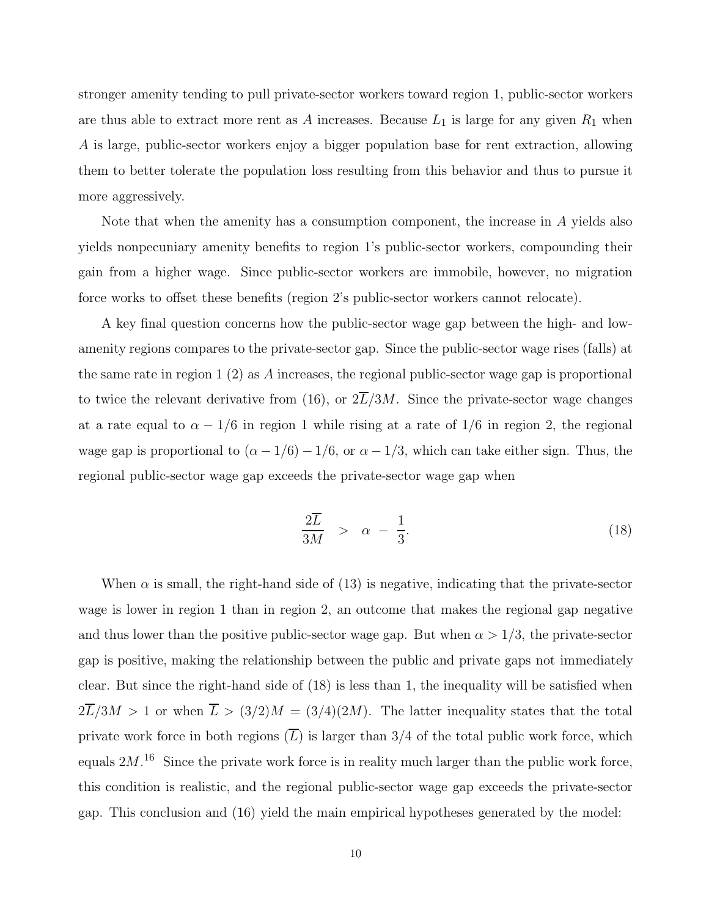stronger amenity tending to pull private-sector workers toward region 1, public-sector workers are thus able to extract more rent as  $A$  increases. Because  $L_1$  is large for any given  $R_1$  when A is large, public-sector workers enjoy a bigger population base for rent extraction, allowing them to better tolerate the population loss resulting from this behavior and thus to pursue it more aggressively.

Note that when the amenity has a consumption component, the increase in A yields also yields nonpecuniary amenity benefits to region 1's public-sector workers, compounding their gain from a higher wage. Since public-sector workers are immobile, however, no migration force works to offset these benefits (region 2's public-sector workers cannot relocate).

A key final question concerns how the public-sector wage gap between the high- and lowamenity regions compares to the private-sector gap. Since the public-sector wage rises (falls) at the same rate in region  $1(2)$  as A increases, the regional public-sector wage gap is proportional to twice the relevant derivative from (16), or  $2\overline{L}/3M$ . Since the private-sector wage changes at a rate equal to  $\alpha - 1/6$  in region 1 while rising at a rate of 1/6 in region 2, the regional wage gap is proportional to  $(\alpha - 1/6) - 1/6$ , or  $\alpha - 1/3$ , which can take either sign. Thus, the regional public-sector wage gap exceeds the private-sector wage gap when

$$
\frac{2\overline{L}}{3M} > \alpha - \frac{1}{3}.
$$
 (18)

When  $\alpha$  is small, the right-hand side of (13) is negative, indicating that the private-sector wage is lower in region 1 than in region 2, an outcome that makes the regional gap negative and thus lower than the positive public-sector wage gap. But when  $\alpha > 1/3$ , the private-sector gap is positive, making the relationship between the public and private gaps not immediately clear. But since the right-hand side of (18) is less than 1, the inequality will be satisfied when  $2\overline{L}/3M > 1$  or when  $\overline{L} > (3/2)M = (3/4)(2M)$ . The latter inequality states that the total private work force in both regions  $(\overline{L})$  is larger than 3/4 of the total public work force, which equals  $2M<sup>16</sup>$ . Since the private work force is in reality much larger than the public work force, this condition is realistic, and the regional public-sector wage gap exceeds the private-sector gap. This conclusion and (16) yield the main empirical hypotheses generated by the model: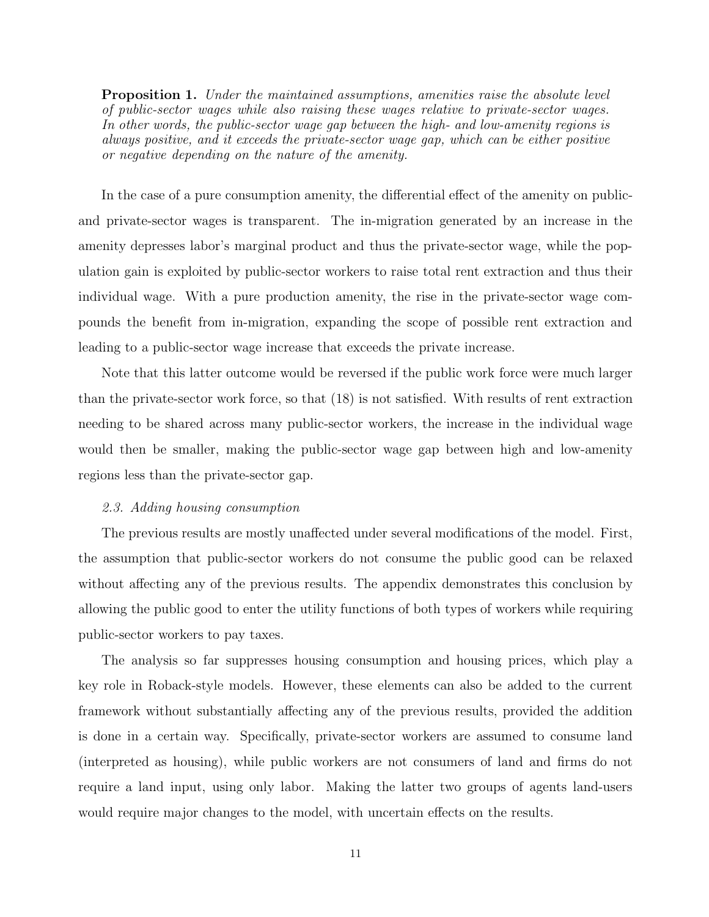**Proposition 1.** Under the maintained assumptions, amenities raise the absolute level of public-sector wages while also raising these wages relative to private-sector wages. In other words, the public-sector wage gap between the high- and low-amenity regions is always positive, and it exceeds the private-sector wage gap, which can be either positive or negative depending on the nature of the amenity.

In the case of a pure consumption amenity, the differential effect of the amenity on publicand private-sector wages is transparent. The in-migration generated by an increase in the amenity depresses labor's marginal product and thus the private-sector wage, while the population gain is exploited by public-sector workers to raise total rent extraction and thus their individual wage. With a pure production amenity, the rise in the private-sector wage compounds the benefit from in-migration, expanding the scope of possible rent extraction and leading to a public-sector wage increase that exceeds the private increase.

Note that this latter outcome would be reversed if the public work force were much larger than the private-sector work force, so that (18) is not satisfied. With results of rent extraction needing to be shared across many public-sector workers, the increase in the individual wage would then be smaller, making the public-sector wage gap between high and low-amenity regions less than the private-sector gap.

#### 2.3. Adding housing consumption

The previous results are mostly unaffected under several modifications of the model. First, the assumption that public-sector workers do not consume the public good can be relaxed without affecting any of the previous results. The appendix demonstrates this conclusion by allowing the public good to enter the utility functions of both types of workers while requiring public-sector workers to pay taxes.

The analysis so far suppresses housing consumption and housing prices, which play a key role in Roback-style models. However, these elements can also be added to the current framework without substantially affecting any of the previous results, provided the addition is done in a certain way. Specifically, private-sector workers are assumed to consume land (interpreted as housing), while public workers are not consumers of land and firms do not require a land input, using only labor. Making the latter two groups of agents land-users would require major changes to the model, with uncertain effects on the results.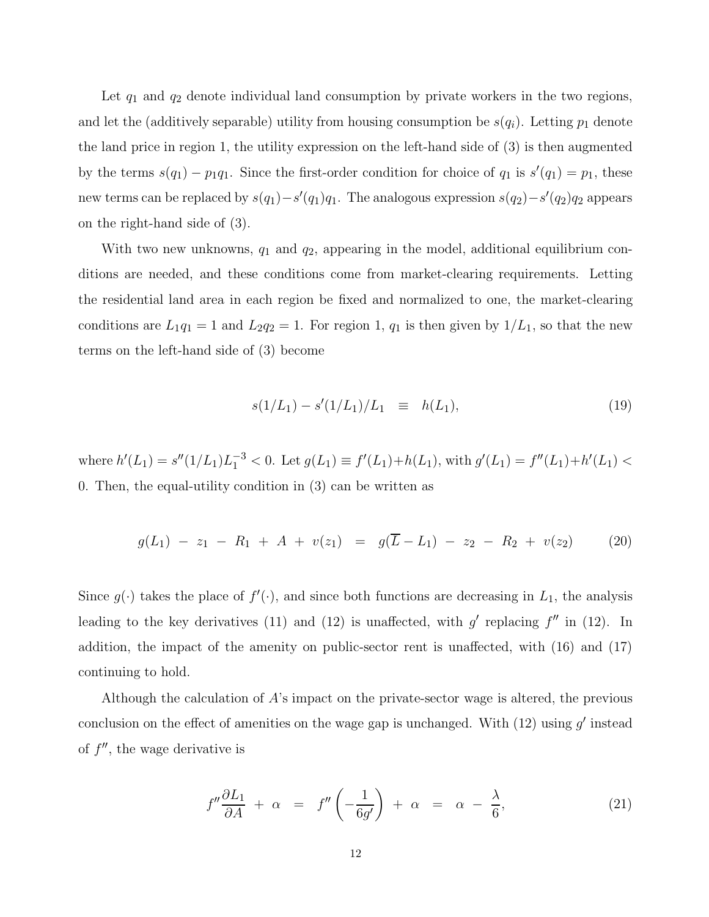Let  $q_1$  and  $q_2$  denote individual land consumption by private workers in the two regions, and let the (additively separable) utility from housing consumption be  $s(q_i)$ . Letting  $p_1$  denote the land price in region 1, the utility expression on the left-hand side of (3) is then augmented by the terms  $s(q_1) - p_1q_1$ . Since the first-order condition for choice of  $q_1$  is  $s'(q_1) = p_1$ , these new terms can be replaced by  $s(q_1) - s'(q_1)q_1$ . The analogous expression  $s(q_2) - s'(q_2)q_2$  appears on the right-hand side of (3).

With two new unknowns,  $q_1$  and  $q_2$ , appearing in the model, additional equilibrium conditions are needed, and these conditions come from market-clearing requirements. Letting the residential land area in each region be fixed and normalized to one, the market-clearing conditions are  $L_1q_1 = 1$  and  $L_2q_2 = 1$ . For region 1,  $q_1$  is then given by  $1/L_1$ , so that the new terms on the left-hand side of (3) become

$$
s(1/L_1) - s'(1/L_1)/L_1 \equiv h(L_1), \tag{19}
$$

where  $h'(L_1) = s''(1/L_1)L_1^{-3} < 0$ . Let  $g(L_1) \equiv f'(L_1) + h(L_1)$ , with  $g'(L_1) = f''(L_1) + h'(L_1) <$ 0. Then, the equal-utility condition in (3) can be written as

$$
g(L_1) - z_1 - R_1 + A + v(z_1) = g(\overline{L} - L_1) - z_2 - R_2 + v(z_2)
$$
 (20)

Since  $g(\cdot)$  takes the place of  $f'(\cdot)$ , and since both functions are decreasing in  $L_1$ , the analysis leading to the key derivatives (11) and (12) is unaffected, with  $g'$  replacing  $f''$  in (12). In addition, the impact of the amenity on public-sector rent is unaffected, with (16) and (17) continuing to hold.

Although the calculation of  $A$ 's impact on the private-sector wage is altered, the previous conclusion on the effect of amenities on the wage gap is unchanged. With  $(12)$  using  $g'$  instead of  $f''$ , the wage derivative is

$$
f''\frac{\partial L_1}{\partial A} + \alpha = f''\left(-\frac{1}{6g'}\right) + \alpha = \alpha - \frac{\lambda}{6},\tag{21}
$$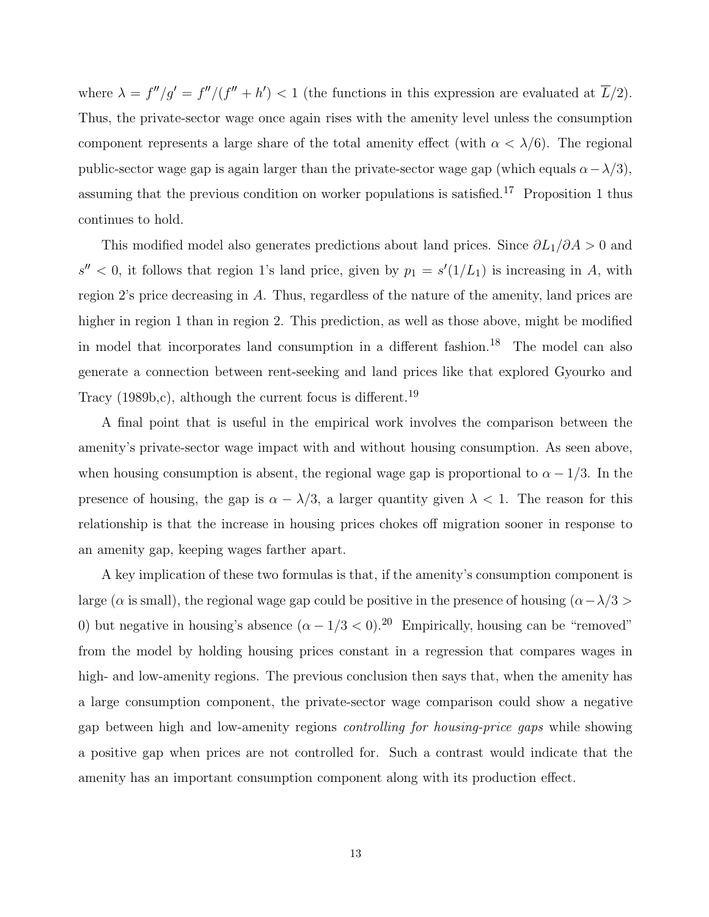where  $\lambda = f''/g' = f''/(f'' + h') < 1$  (the functions in this expression are evaluated at  $\overline{L}/2$ ). Thus, the private-sector wage once again rises with the amenity level unless the consumption component represents a large share of the total amenity effect (with  $\alpha < \lambda/6$ ). The regional public-sector wage gap is again larger than the private-sector wage gap (which equals  $\alpha - \lambda/3$ ), assuming that the previous condition on worker populations is satisfied.<sup>17</sup> Proposition 1 thus continues to hold.

This modified model also generates predictions about land prices. Since  $\partial L_1/\partial A > 0$  and  $s'' < 0$ , it follows that region 1's land price, given by  $p_1 = s'(1/L_1)$  is increasing in A, with region 2's price decreasing in A. Thus, regardless of the nature of the amenity, land prices are higher in region 1 than in region 2. This prediction, as well as those above, might be modified in model that incorporates land consumption in a different fashion.<sup>18</sup> The model can also generate a connection between rent-seeking and land prices like that explored Gyourko and Tracy (1989b,c), although the current focus is different.<sup>19</sup>

A final point that is useful in the empirical work involves the comparison between the amenity's private-sector wage impact with and without housing consumption. As seen above, when housing consumption is absent, the regional wage gap is proportional to  $\alpha - 1/3$ . In the presence of housing, the gap is  $\alpha - \lambda/3$ , a larger quantity given  $\lambda < 1$ . The reason for this relationship is that the increase in housing prices chokes off migration sooner in response to an amenity gap, keeping wages farther apart.

A key implication of these two formulas is that, if the amenity's consumption component is large ( $\alpha$  is small), the regional wage gap could be positive in the presence of housing ( $\alpha-\lambda/3$ ) 0) but negative in housing's absence  $(\alpha - 1/3 < 0)$ .<sup>20</sup> Empirically, housing can be "removed" from the model by holding housing prices constant in a regression that compares wages in high- and low-amenity regions. The previous conclusion then says that, when the amenity has a large consumption component, the private-sector wage comparison could show a negative gap between high and low-amenity regions controlling for housing-price gaps while showing a positive gap when prices are not controlled for. Such a contrast would indicate that the amenity has an important consumption component along with its production effect.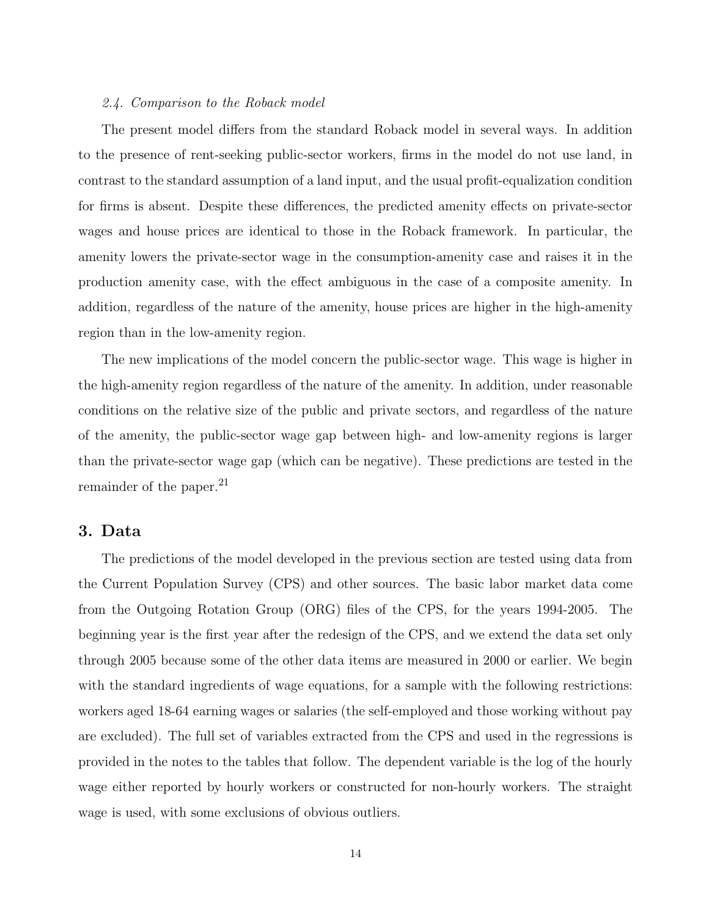#### 2.4. Comparison to the Roback model

The present model differs from the standard Roback model in several ways. In addition to the presence of rent-seeking public-sector workers, firms in the model do not use land, in contrast to the standard assumption of a land input, and the usual profit-equalization condition for firms is absent. Despite these differences, the predicted amenity effects on private-sector wages and house prices are identical to those in the Roback framework. In particular, the amenity lowers the private-sector wage in the consumption-amenity case and raises it in the production amenity case, with the effect ambiguous in the case of a composite amenity. In addition, regardless of the nature of the amenity, house prices are higher in the high-amenity region than in the low-amenity region.

The new implications of the model concern the public-sector wage. This wage is higher in the high-amenity region regardless of the nature of the amenity. In addition, under reasonable conditions on the relative size of the public and private sectors, and regardless of the nature of the amenity, the public-sector wage gap between high- and low-amenity regions is larger than the private-sector wage gap (which can be negative). These predictions are tested in the remainder of the paper.<sup>21</sup>

### 3. Data

The predictions of the model developed in the previous section are tested using data from the Current Population Survey (CPS) and other sources. The basic labor market data come from the Outgoing Rotation Group (ORG) files of the CPS, for the years 1994-2005. The beginning year is the first year after the redesign of the CPS, and we extend the data set only through 2005 because some of the other data items are measured in 2000 or earlier. We begin with the standard ingredients of wage equations, for a sample with the following restrictions: workers aged 18-64 earning wages or salaries (the self-employed and those working without pay are excluded). The full set of variables extracted from the CPS and used in the regressions is provided in the notes to the tables that follow. The dependent variable is the log of the hourly wage either reported by hourly workers or constructed for non-hourly workers. The straight wage is used, with some exclusions of obvious outliers.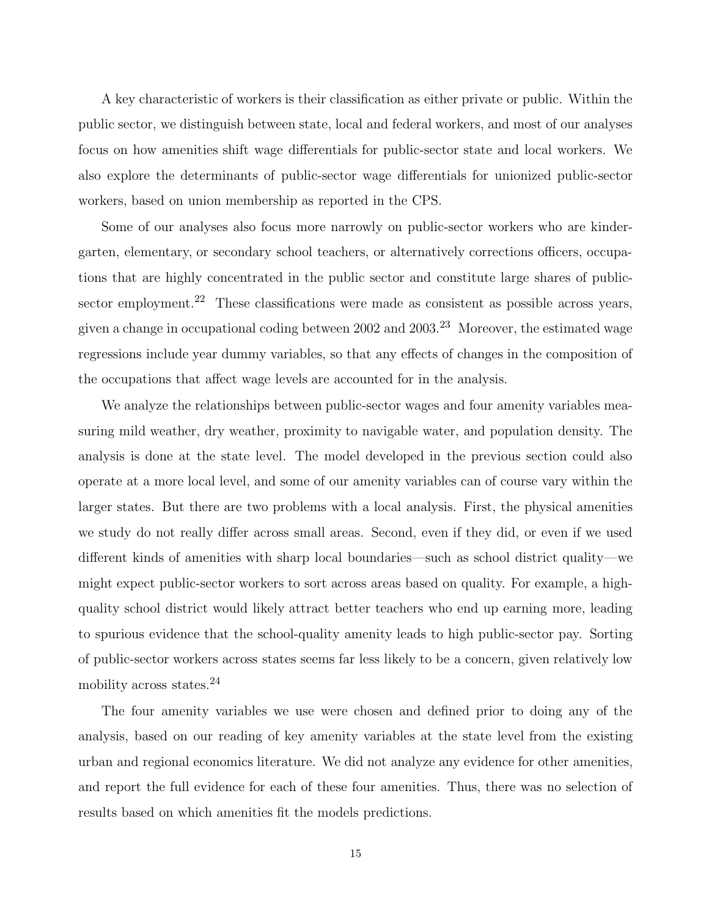A key characteristic of workers is their classification as either private or public. Within the public sector, we distinguish between state, local and federal workers, and most of our analyses focus on how amenities shift wage differentials for public-sector state and local workers. We also explore the determinants of public-sector wage differentials for unionized public-sector workers, based on union membership as reported in the CPS.

Some of our analyses also focus more narrowly on public-sector workers who are kindergarten, elementary, or secondary school teachers, or alternatively corrections officers, occupations that are highly concentrated in the public sector and constitute large shares of publicsector employment.<sup>22</sup> These classifications were made as consistent as possible across years, given a change in occupational coding between  $2002$  and  $2003<sup>23</sup>$  Moreover, the estimated wage regressions include year dummy variables, so that any effects of changes in the composition of the occupations that affect wage levels are accounted for in the analysis.

We analyze the relationships between public-sector wages and four amenity variables measuring mild weather, dry weather, proximity to navigable water, and population density. The analysis is done at the state level. The model developed in the previous section could also operate at a more local level, and some of our amenity variables can of course vary within the larger states. But there are two problems with a local analysis. First, the physical amenities we study do not really differ across small areas. Second, even if they did, or even if we used different kinds of amenities with sharp local boundaries—such as school district quality—we might expect public-sector workers to sort across areas based on quality. For example, a highquality school district would likely attract better teachers who end up earning more, leading to spurious evidence that the school-quality amenity leads to high public-sector pay. Sorting of public-sector workers across states seems far less likely to be a concern, given relatively low mobility across states.<sup>24</sup>

The four amenity variables we use were chosen and defined prior to doing any of the analysis, based on our reading of key amenity variables at the state level from the existing urban and regional economics literature. We did not analyze any evidence for other amenities, and report the full evidence for each of these four amenities. Thus, there was no selection of results based on which amenities fit the models predictions.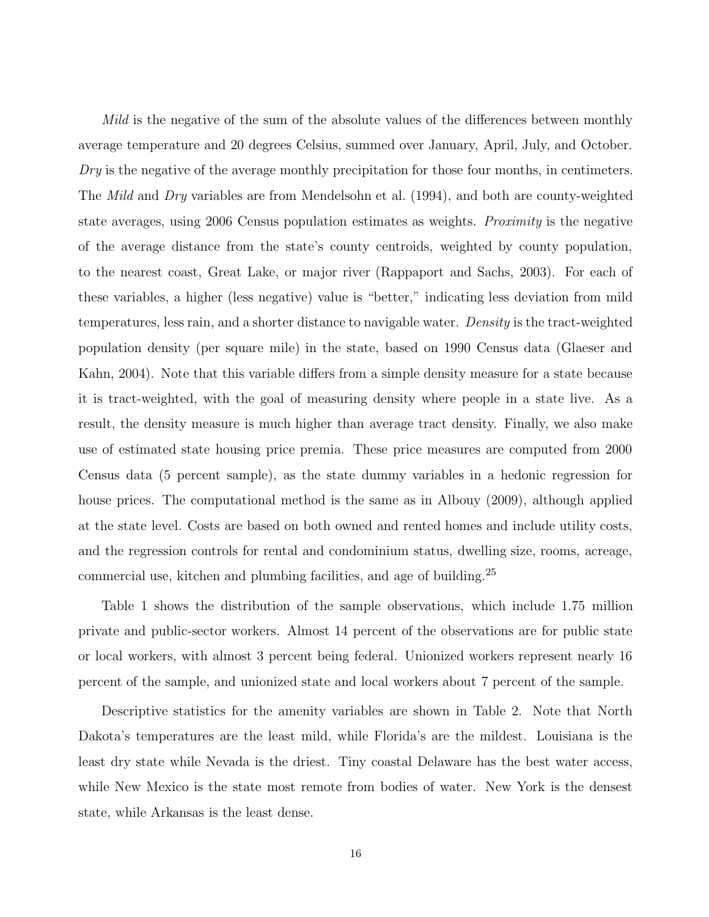Mild is the negative of the sum of the absolute values of the differences between monthly average temperature and 20 degrees Celsius, summed over January, April, July, and October.  $Dry$  is the negative of the average monthly precipitation for those four months, in centimeters. The *Mild* and *Dry* variables are from Mendelsohn et al. (1994), and both are county-weighted state averages, using 2006 Census population estimates as weights. *Proximity* is the negative of the average distance from the state's county centroids, weighted by county population, to the nearest coast, Great Lake, or major river (Rappaport and Sachs, 2003). For each of these variables, a higher (less negative) value is "better," indicating less deviation from mild temperatures, less rain, and a shorter distance to navigable water. Density is the tract-weighted population density (per square mile) in the state, based on 1990 Census data (Glaeser and Kahn, 2004). Note that this variable differs from a simple density measure for a state because it is tract-weighted, with the goal of measuring density where people in a state live. As a result, the density measure is much higher than average tract density. Finally, we also make use of estimated state housing price premia. These price measures are computed from 2000 Census data (5 percent sample), as the state dummy variables in a hedonic regression for house prices. The computational method is the same as in Albouy (2009), although applied at the state level. Costs are based on both owned and rented homes and include utility costs, and the regression controls for rental and condominium status, dwelling size, rooms, acreage, commercial use, kitchen and plumbing facilities, and age of building.<sup>25</sup>

Table 1 shows the distribution of the sample observations, which include 1.75 million private and public-sector workers. Almost 14 percent of the observations are for public state or local workers, with almost 3 percent being federal. Unionized workers represent nearly 16 percent of the sample, and unionized state and local workers about 7 percent of the sample.

Descriptive statistics for the amenity variables are shown in Table 2. Note that North Dakota's temperatures are the least mild, while Florida's are the mildest. Louisiana is the least dry state while Nevada is the driest. Tiny coastal Delaware has the best water access, while New Mexico is the state most remote from bodies of water. New York is the densest state, while Arkansas is the least dense.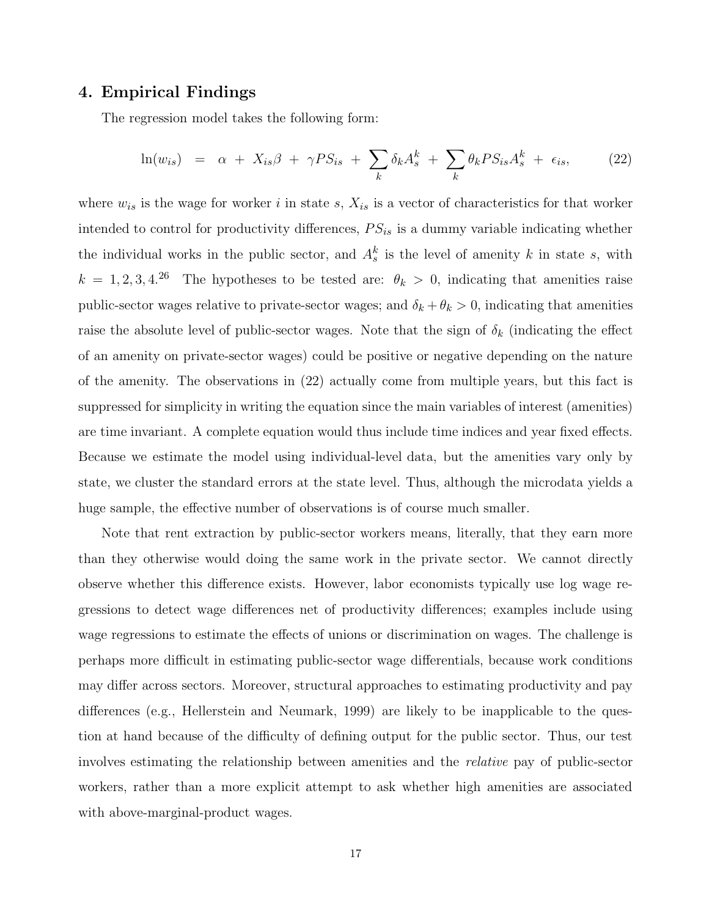### 4. Empirical Findings

The regression model takes the following form:

$$
\ln(w_{is}) = \alpha + X_{is}\beta + \gamma PS_{is} + \sum_{k} \delta_{k}A_{s}^{k} + \sum_{k} \theta_{k}PS_{is}A_{s}^{k} + \epsilon_{is}, \qquad (22)
$$

where  $w_{is}$  is the wage for worker i in state s,  $X_{is}$  is a vector of characteristics for that worker intended to control for productivity differences,  $PS_{is}$  is a dummy variable indicating whether the individual works in the public sector, and  $A_s^k$  is the level of amenity k in state s, with  $k = 1, 2, 3, 4.26$  The hypotheses to be tested are:  $\theta_k > 0$ , indicating that amenities raise public-sector wages relative to private-sector wages; and  $\delta_k + \theta_k > 0$ , indicating that amenities raise the absolute level of public-sector wages. Note that the sign of  $\delta_k$  (indicating the effect of an amenity on private-sector wages) could be positive or negative depending on the nature of the amenity. The observations in (22) actually come from multiple years, but this fact is suppressed for simplicity in writing the equation since the main variables of interest (amenities) are time invariant. A complete equation would thus include time indices and year fixed effects. Because we estimate the model using individual-level data, but the amenities vary only by state, we cluster the standard errors at the state level. Thus, although the microdata yields a huge sample, the effective number of observations is of course much smaller.

Note that rent extraction by public-sector workers means, literally, that they earn more than they otherwise would doing the same work in the private sector. We cannot directly observe whether this difference exists. However, labor economists typically use log wage regressions to detect wage differences net of productivity differences; examples include using wage regressions to estimate the effects of unions or discrimination on wages. The challenge is perhaps more difficult in estimating public-sector wage differentials, because work conditions may differ across sectors. Moreover, structural approaches to estimating productivity and pay differences (e.g., Hellerstein and Neumark, 1999) are likely to be inapplicable to the question at hand because of the difficulty of defining output for the public sector. Thus, our test involves estimating the relationship between amenities and the relative pay of public-sector workers, rather than a more explicit attempt to ask whether high amenities are associated with above-marginal-product wages.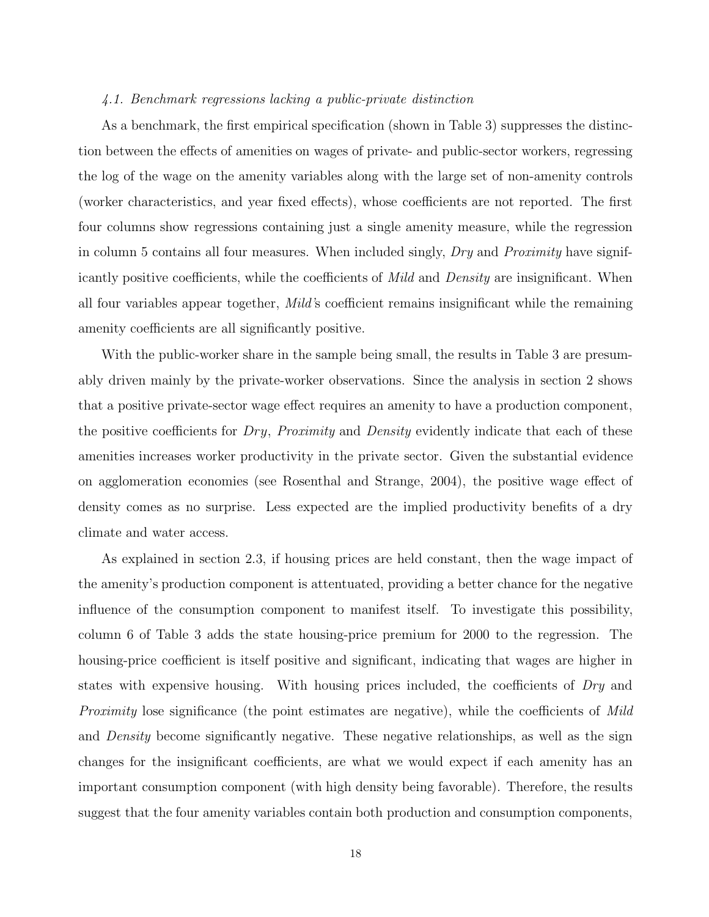#### 4.1. Benchmark regressions lacking a public-private distinction

As a benchmark, the first empirical specification (shown in Table 3) suppresses the distinction between the effects of amenities on wages of private- and public-sector workers, regressing the log of the wage on the amenity variables along with the large set of non-amenity controls (worker characteristics, and year fixed effects), whose coefficients are not reported. The first four columns show regressions containing just a single amenity measure, while the regression in column 5 contains all four measures. When included singly, Dry and Proximity have significantly positive coefficients, while the coefficients of Mild and Density are insignificant. When all four variables appear together, Mild's coefficient remains insignificant while the remaining amenity coefficients are all significantly positive.

With the public-worker share in the sample being small, the results in Table 3 are presumably driven mainly by the private-worker observations. Since the analysis in section 2 shows that a positive private-sector wage effect requires an amenity to have a production component, the positive coefficients for  $Dry$ , Proximity and Density evidently indicate that each of these amenities increases worker productivity in the private sector. Given the substantial evidence on agglomeration economies (see Rosenthal and Strange, 2004), the positive wage effect of density comes as no surprise. Less expected are the implied productivity benefits of a dry climate and water access.

As explained in section 2.3, if housing prices are held constant, then the wage impact of the amenity's production component is attentuated, providing a better chance for the negative influence of the consumption component to manifest itself. To investigate this possibility, column 6 of Table 3 adds the state housing-price premium for 2000 to the regression. The housing-price coefficient is itself positive and significant, indicating that wages are higher in states with expensive housing. With housing prices included, the coefficients of Dry and Proximity lose significance (the point estimates are negative), while the coefficients of Mild and Density become significantly negative. These negative relationships, as well as the sign changes for the insignificant coefficients, are what we would expect if each amenity has an important consumption component (with high density being favorable). Therefore, the results suggest that the four amenity variables contain both production and consumption components,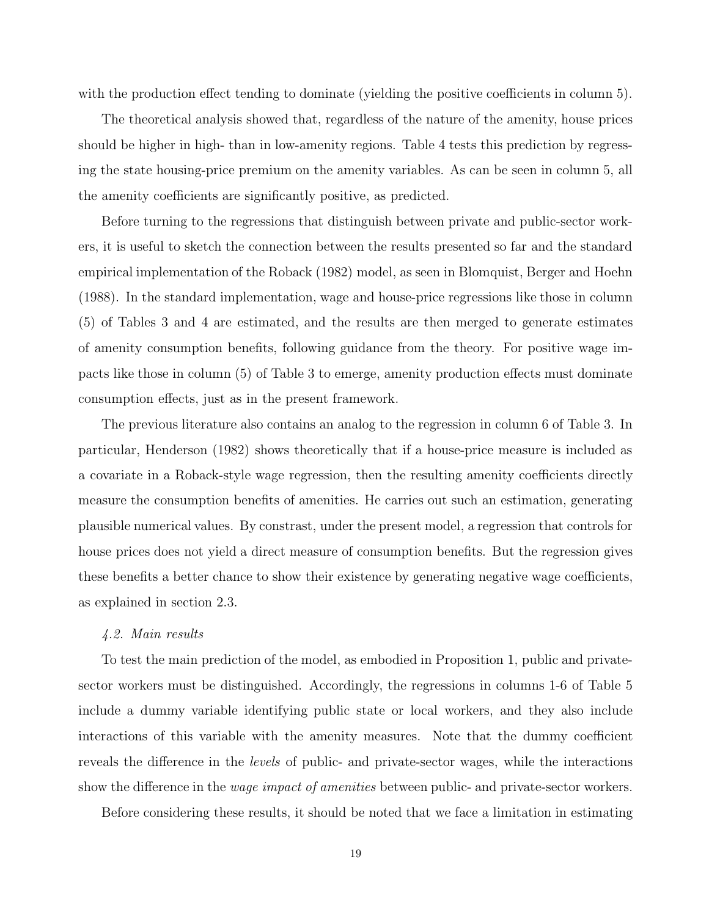with the production effect tending to dominate (yielding the positive coefficients in column 5).

The theoretical analysis showed that, regardless of the nature of the amenity, house prices should be higher in high- than in low-amenity regions. Table 4 tests this prediction by regressing the state housing-price premium on the amenity variables. As can be seen in column 5, all the amenity coefficients are significantly positive, as predicted.

Before turning to the regressions that distinguish between private and public-sector workers, it is useful to sketch the connection between the results presented so far and the standard empirical implementation of the Roback (1982) model, as seen in Blomquist, Berger and Hoehn (1988). In the standard implementation, wage and house-price regressions like those in column (5) of Tables 3 and 4 are estimated, and the results are then merged to generate estimates of amenity consumption benefits, following guidance from the theory. For positive wage impacts like those in column (5) of Table 3 to emerge, amenity production effects must dominate consumption effects, just as in the present framework.

The previous literature also contains an analog to the regression in column 6 of Table 3. In particular, Henderson (1982) shows theoretically that if a house-price measure is included as a covariate in a Roback-style wage regression, then the resulting amenity coefficients directly measure the consumption benefits of amenities. He carries out such an estimation, generating plausible numerical values. By constrast, under the present model, a regression that controls for house prices does not yield a direct measure of consumption benefits. But the regression gives these benefits a better chance to show their existence by generating negative wage coefficients, as explained in section 2.3.

#### 4.2. Main results

To test the main prediction of the model, as embodied in Proposition 1, public and privatesector workers must be distinguished. Accordingly, the regressions in columns 1-6 of Table 5 include a dummy variable identifying public state or local workers, and they also include interactions of this variable with the amenity measures. Note that the dummy coefficient reveals the difference in the levels of public- and private-sector wages, while the interactions show the difference in the *wage impact of amenities* between public- and private-sector workers.

Before considering these results, it should be noted that we face a limitation in estimating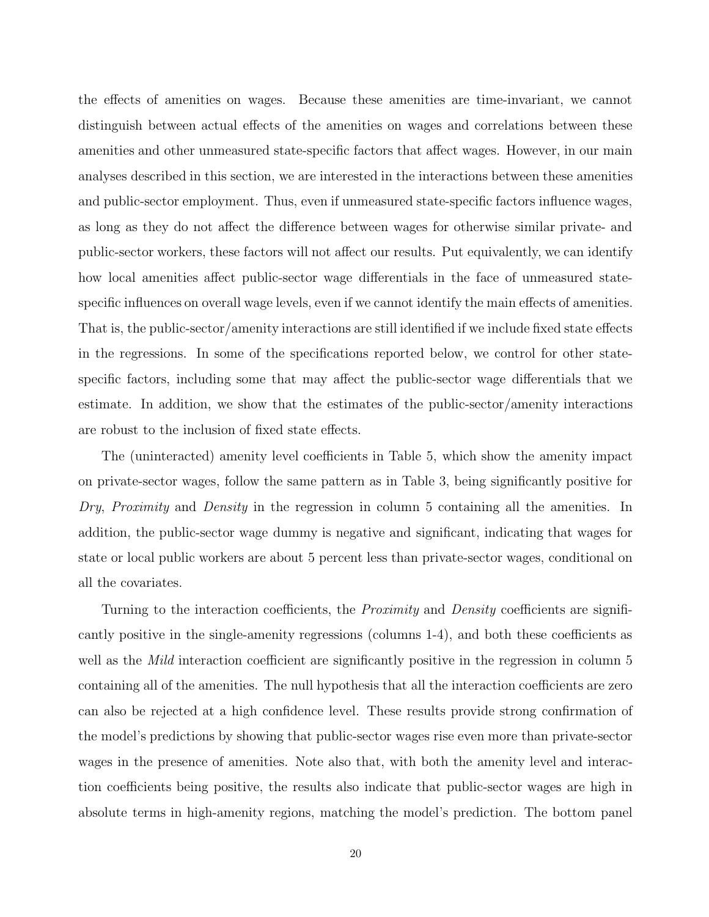the effects of amenities on wages. Because these amenities are time-invariant, we cannot distinguish between actual effects of the amenities on wages and correlations between these amenities and other unmeasured state-specific factors that affect wages. However, in our main analyses described in this section, we are interested in the interactions between these amenities and public-sector employment. Thus, even if unmeasured state-specific factors influence wages, as long as they do not affect the difference between wages for otherwise similar private- and public-sector workers, these factors will not affect our results. Put equivalently, we can identify how local amenities affect public-sector wage differentials in the face of unmeasured statespecific influences on overall wage levels, even if we cannot identify the main effects of amenities. That is, the public-sector/amenity interactions are still identified if we include fixed state effects in the regressions. In some of the specifications reported below, we control for other statespecific factors, including some that may affect the public-sector wage differentials that we estimate. In addition, we show that the estimates of the public-sector/amenity interactions are robust to the inclusion of fixed state effects.

The (uninteracted) amenity level coefficients in Table 5, which show the amenity impact on private-sector wages, follow the same pattern as in Table 3, being significantly positive for Dry, Proximity and Density in the regression in column 5 containing all the amenities. In addition, the public-sector wage dummy is negative and significant, indicating that wages for state or local public workers are about 5 percent less than private-sector wages, conditional on all the covariates.

Turning to the interaction coefficients, the *Proximity* and *Density* coefficients are significantly positive in the single-amenity regressions (columns 1-4), and both these coefficients as well as the *Mild* interaction coefficient are significantly positive in the regression in column 5 containing all of the amenities. The null hypothesis that all the interaction coefficients are zero can also be rejected at a high confidence level. These results provide strong confirmation of the model's predictions by showing that public-sector wages rise even more than private-sector wages in the presence of amenities. Note also that, with both the amenity level and interaction coefficients being positive, the results also indicate that public-sector wages are high in absolute terms in high-amenity regions, matching the model's prediction. The bottom panel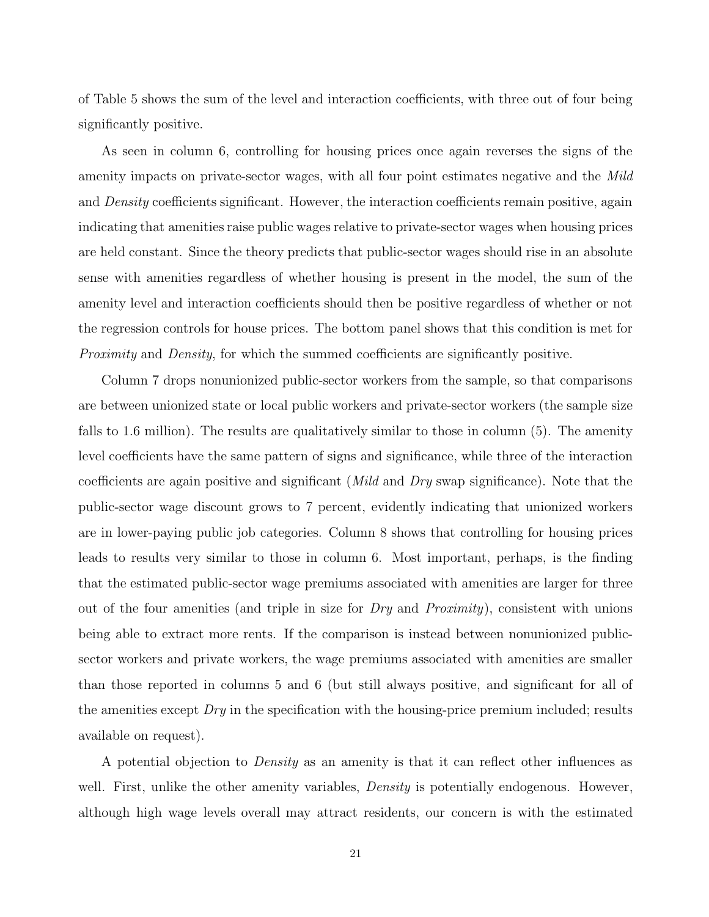of Table 5 shows the sum of the level and interaction coefficients, with three out of four being significantly positive.

As seen in column 6, controlling for housing prices once again reverses the signs of the amenity impacts on private-sector wages, with all four point estimates negative and the Mild and *Density* coefficients significant. However, the interaction coefficients remain positive, again indicating that amenities raise public wages relative to private-sector wages when housing prices are held constant. Since the theory predicts that public-sector wages should rise in an absolute sense with amenities regardless of whether housing is present in the model, the sum of the amenity level and interaction coefficients should then be positive regardless of whether or not the regression controls for house prices. The bottom panel shows that this condition is met for Proximity and Density, for which the summed coefficients are significantly positive.

Column 7 drops nonunionized public-sector workers from the sample, so that comparisons are between unionized state or local public workers and private-sector workers (the sample size falls to 1.6 million). The results are qualitatively similar to those in column (5). The amenity level coefficients have the same pattern of signs and significance, while three of the interaction coefficients are again positive and significant (*Mild* and *Dry* swap significance). Note that the public-sector wage discount grows to 7 percent, evidently indicating that unionized workers are in lower-paying public job categories. Column 8 shows that controlling for housing prices leads to results very similar to those in column 6. Most important, perhaps, is the finding that the estimated public-sector wage premiums associated with amenities are larger for three out of the four amenities (and triple in size for  $Dry$  and  $Proximity)$ , consistent with unions being able to extract more rents. If the comparison is instead between nonunionized publicsector workers and private workers, the wage premiums associated with amenities are smaller than those reported in columns 5 and 6 (but still always positive, and significant for all of the amenities except  $Dry$  in the specification with the housing-price premium included; results available on request).

A potential objection to Density as an amenity is that it can reflect other influences as well. First, unlike the other amenity variables, *Density* is potentially endogenous. However, although high wage levels overall may attract residents, our concern is with the estimated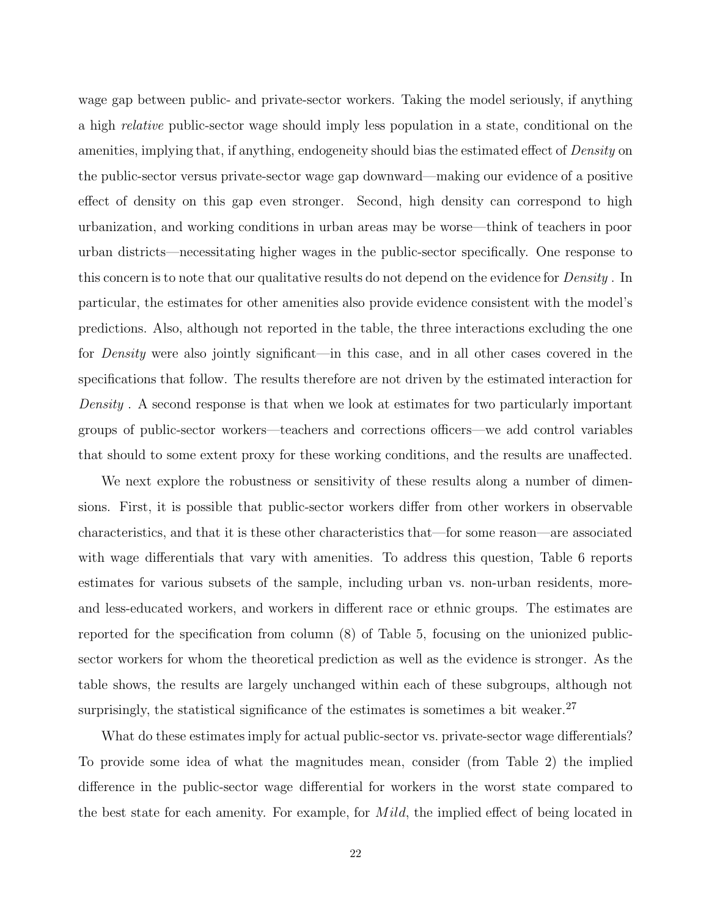wage gap between public- and private-sector workers. Taking the model seriously, if anything a high relative public-sector wage should imply less population in a state, conditional on the amenities, implying that, if anything, endogeneity should bias the estimated effect of *Density* on the public-sector versus private-sector wage gap downward—making our evidence of a positive effect of density on this gap even stronger. Second, high density can correspond to high urbanization, and working conditions in urban areas may be worse—think of teachers in poor urban districts—necessitating higher wages in the public-sector specifically. One response to this concern is to note that our qualitative results do not depend on the evidence for *Density*. In particular, the estimates for other amenities also provide evidence consistent with the model's predictions. Also, although not reported in the table, the three interactions excluding the one for Density were also jointly significant—in this case, and in all other cases covered in the specifications that follow. The results therefore are not driven by the estimated interaction for Density . A second response is that when we look at estimates for two particularly important groups of public-sector workers—teachers and corrections officers—we add control variables that should to some extent proxy for these working conditions, and the results are unaffected.

We next explore the robustness or sensitivity of these results along a number of dimensions. First, it is possible that public-sector workers differ from other workers in observable characteristics, and that it is these other characteristics that—for some reason—are associated with wage differentials that vary with amenities. To address this question, Table 6 reports estimates for various subsets of the sample, including urban vs. non-urban residents, moreand less-educated workers, and workers in different race or ethnic groups. The estimates are reported for the specification from column (8) of Table 5, focusing on the unionized publicsector workers for whom the theoretical prediction as well as the evidence is stronger. As the table shows, the results are largely unchanged within each of these subgroups, although not surprisingly, the statistical significance of the estimates is sometimes a bit weaker. $27$ 

What do these estimates imply for actual public-sector vs. private-sector wage differentials? To provide some idea of what the magnitudes mean, consider (from Table 2) the implied difference in the public-sector wage differential for workers in the worst state compared to the best state for each amenity. For example, for *Mild*, the implied effect of being located in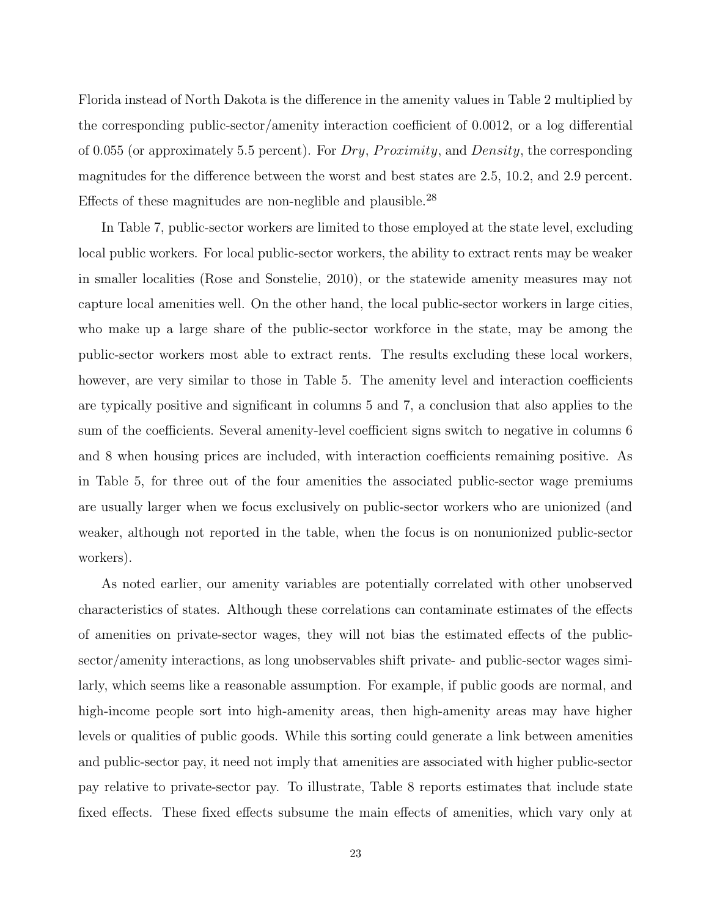Florida instead of North Dakota is the difference in the amenity values in Table 2 multiplied by the corresponding public-sector/amenity interaction coefficient of 0.0012, or a log differential of 0.055 (or approximately 5.5 percent). For  $Dry$ ,  $Proximity$ , and  $Density$ , the corresponding magnitudes for the difference between the worst and best states are 2.5, 10.2, and 2.9 percent. Effects of these magnitudes are non-neglible and plausible.<sup>28</sup>

In Table 7, public-sector workers are limited to those employed at the state level, excluding local public workers. For local public-sector workers, the ability to extract rents may be weaker in smaller localities (Rose and Sonstelie, 2010), or the statewide amenity measures may not capture local amenities well. On the other hand, the local public-sector workers in large cities, who make up a large share of the public-sector workforce in the state, may be among the public-sector workers most able to extract rents. The results excluding these local workers, however, are very similar to those in Table 5. The amenity level and interaction coefficients are typically positive and significant in columns 5 and 7, a conclusion that also applies to the sum of the coefficients. Several amenity-level coefficient signs switch to negative in columns 6 and 8 when housing prices are included, with interaction coefficients remaining positive. As in Table 5, for three out of the four amenities the associated public-sector wage premiums are usually larger when we focus exclusively on public-sector workers who are unionized (and weaker, although not reported in the table, when the focus is on nonunionized public-sector workers).

As noted earlier, our amenity variables are potentially correlated with other unobserved characteristics of states. Although these correlations can contaminate estimates of the effects of amenities on private-sector wages, they will not bias the estimated effects of the publicsector/amenity interactions, as long unobservables shift private- and public-sector wages similarly, which seems like a reasonable assumption. For example, if public goods are normal, and high-income people sort into high-amenity areas, then high-amenity areas may have higher levels or qualities of public goods. While this sorting could generate a link between amenities and public-sector pay, it need not imply that amenities are associated with higher public-sector pay relative to private-sector pay. To illustrate, Table 8 reports estimates that include state fixed effects. These fixed effects subsume the main effects of amenities, which vary only at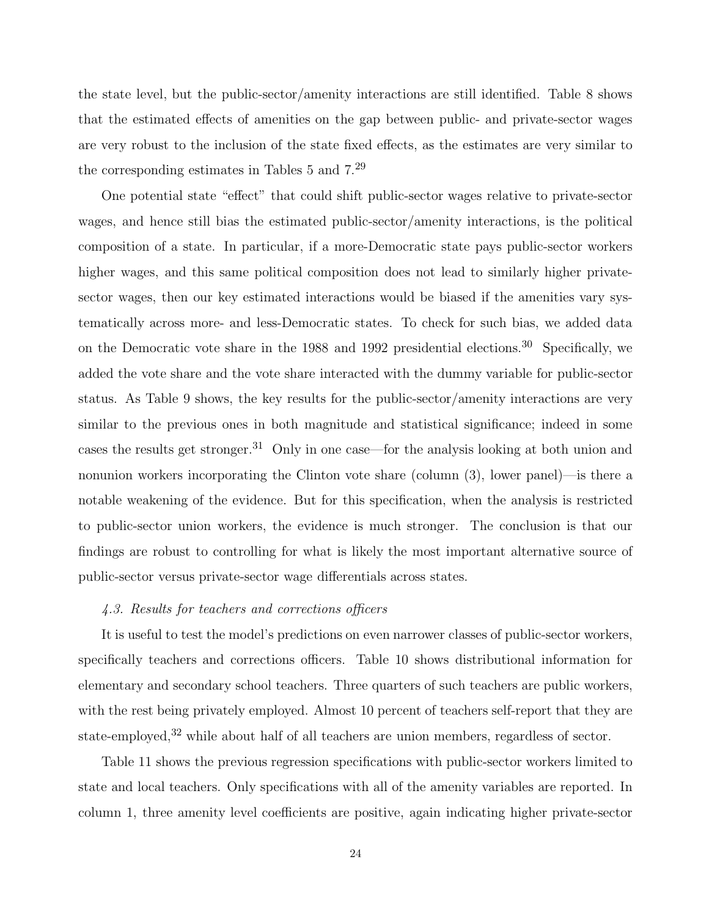the state level, but the public-sector/amenity interactions are still identified. Table 8 shows that the estimated effects of amenities on the gap between public- and private-sector wages are very robust to the inclusion of the state fixed effects, as the estimates are very similar to the corresponding estimates in Tables 5 and 7.<sup>29</sup>

One potential state "effect" that could shift public-sector wages relative to private-sector wages, and hence still bias the estimated public-sector/amenity interactions, is the political composition of a state. In particular, if a more-Democratic state pays public-sector workers higher wages, and this same political composition does not lead to similarly higher privatesector wages, then our key estimated interactions would be biased if the amenities vary systematically across more- and less-Democratic states. To check for such bias, we added data on the Democratic vote share in the 1988 and 1992 presidential elections.<sup>30</sup> Specifically, we added the vote share and the vote share interacted with the dummy variable for public-sector status. As Table 9 shows, the key results for the public-sector/amenity interactions are very similar to the previous ones in both magnitude and statistical significance; indeed in some cases the results get stronger.<sup>31</sup> Only in one case—for the analysis looking at both union and nonunion workers incorporating the Clinton vote share (column (3), lower panel)—is there a notable weakening of the evidence. But for this specification, when the analysis is restricted to public-sector union workers, the evidence is much stronger. The conclusion is that our findings are robust to controlling for what is likely the most important alternative source of public-sector versus private-sector wage differentials across states.

#### 4.3. Results for teachers and corrections officers

It is useful to test the model's predictions on even narrower classes of public-sector workers, specifically teachers and corrections officers. Table 10 shows distributional information for elementary and secondary school teachers. Three quarters of such teachers are public workers, with the rest being privately employed. Almost 10 percent of teachers self-report that they are state-employed,<sup>32</sup> while about half of all teachers are union members, regardless of sector.

Table 11 shows the previous regression specifications with public-sector workers limited to state and local teachers. Only specifications with all of the amenity variables are reported. In column 1, three amenity level coefficients are positive, again indicating higher private-sector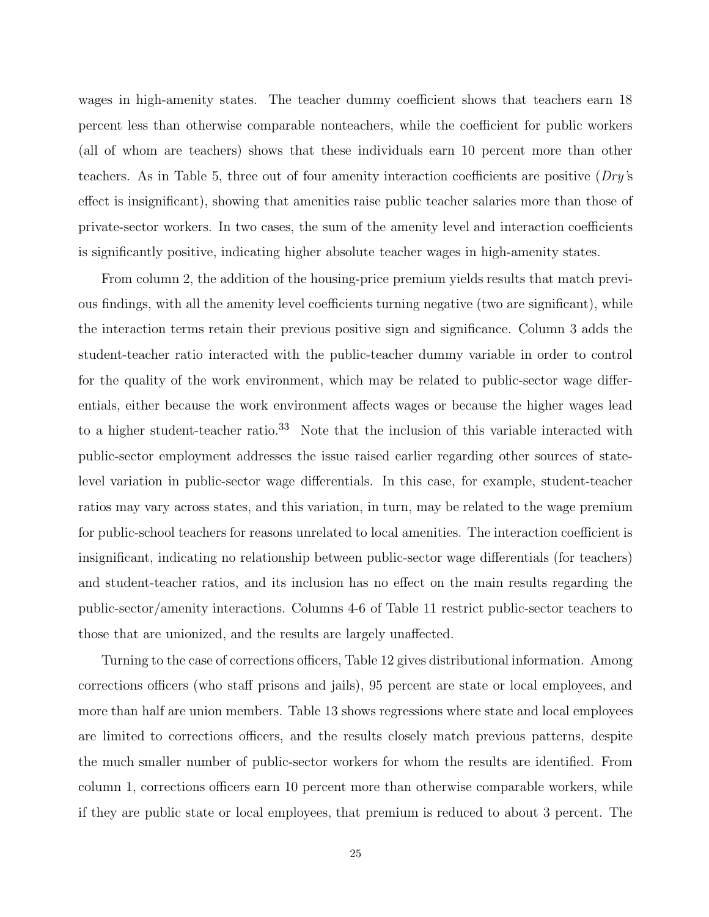wages in high-amenity states. The teacher dummy coefficient shows that teachers earn 18 percent less than otherwise comparable nonteachers, while the coefficient for public workers (all of whom are teachers) shows that these individuals earn 10 percent more than other teachers. As in Table 5, three out of four amenity interaction coefficients are positive  $(Dry's)$ effect is insignificant), showing that amenities raise public teacher salaries more than those of private-sector workers. In two cases, the sum of the amenity level and interaction coefficients is significantly positive, indicating higher absolute teacher wages in high-amenity states.

From column 2, the addition of the housing-price premium yields results that match previous findings, with all the amenity level coefficients turning negative (two are significant), while the interaction terms retain their previous positive sign and significance. Column 3 adds the student-teacher ratio interacted with the public-teacher dummy variable in order to control for the quality of the work environment, which may be related to public-sector wage differentials, either because the work environment affects wages or because the higher wages lead to a higher student-teacher ratio.<sup>33</sup> Note that the inclusion of this variable interacted with public-sector employment addresses the issue raised earlier regarding other sources of statelevel variation in public-sector wage differentials. In this case, for example, student-teacher ratios may vary across states, and this variation, in turn, may be related to the wage premium for public-school teachers for reasons unrelated to local amenities. The interaction coefficient is insignificant, indicating no relationship between public-sector wage differentials (for teachers) and student-teacher ratios, and its inclusion has no effect on the main results regarding the public-sector/amenity interactions. Columns 4-6 of Table 11 restrict public-sector teachers to those that are unionized, and the results are largely unaffected.

Turning to the case of corrections officers, Table 12 gives distributional information. Among corrections officers (who staff prisons and jails), 95 percent are state or local employees, and more than half are union members. Table 13 shows regressions where state and local employees are limited to corrections officers, and the results closely match previous patterns, despite the much smaller number of public-sector workers for whom the results are identified. From column 1, corrections officers earn 10 percent more than otherwise comparable workers, while if they are public state or local employees, that premium is reduced to about 3 percent. The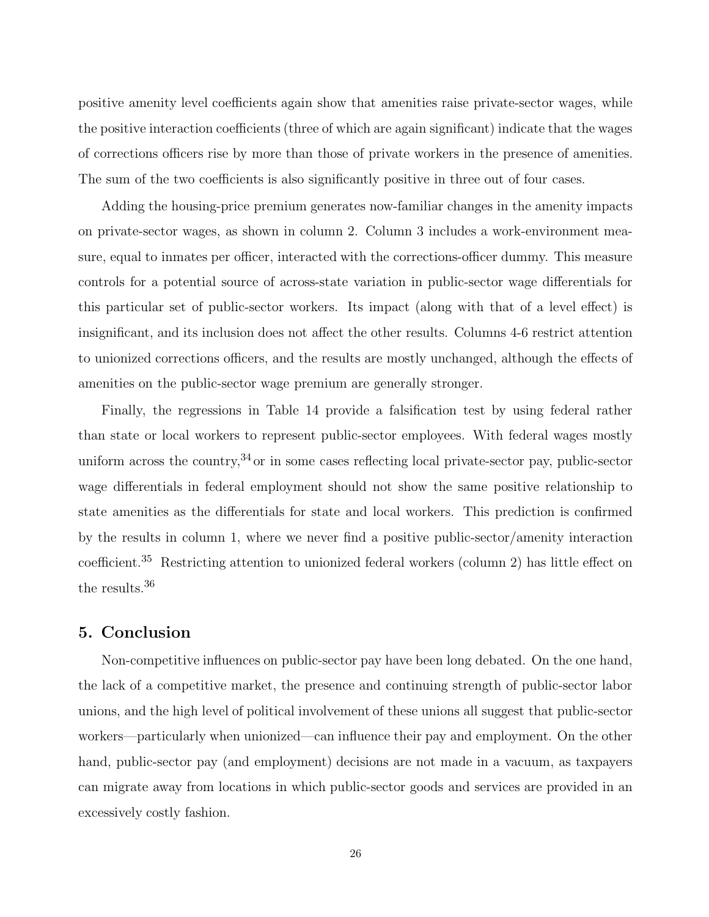positive amenity level coefficients again show that amenities raise private-sector wages, while the positive interaction coefficients (three of which are again significant) indicate that the wages of corrections officers rise by more than those of private workers in the presence of amenities. The sum of the two coefficients is also significantly positive in three out of four cases.

Adding the housing-price premium generates now-familiar changes in the amenity impacts on private-sector wages, as shown in column 2. Column 3 includes a work-environment measure, equal to inmates per officer, interacted with the corrections-officer dummy. This measure controls for a potential source of across-state variation in public-sector wage differentials for this particular set of public-sector workers. Its impact (along with that of a level effect) is insignificant, and its inclusion does not affect the other results. Columns 4-6 restrict attention to unionized corrections officers, and the results are mostly unchanged, although the effects of amenities on the public-sector wage premium are generally stronger.

Finally, the regressions in Table 14 provide a falsification test by using federal rather than state or local workers to represent public-sector employees. With federal wages mostly uniform across the country,  $34$  or in some cases reflecting local private-sector pay, public-sector wage differentials in federal employment should not show the same positive relationship to state amenities as the differentials for state and local workers. This prediction is confirmed by the results in column 1, where we never find a positive public-sector/amenity interaction coefficient.<sup>35</sup> Restricting attention to unionized federal workers (column 2) has little effect on the results.<sup>36</sup>

## 5. Conclusion

Non-competitive influences on public-sector pay have been long debated. On the one hand, the lack of a competitive market, the presence and continuing strength of public-sector labor unions, and the high level of political involvement of these unions all suggest that public-sector workers—particularly when unionized—can influence their pay and employment. On the other hand, public-sector pay (and employment) decisions are not made in a vacuum, as taxpayers can migrate away from locations in which public-sector goods and services are provided in an excessively costly fashion.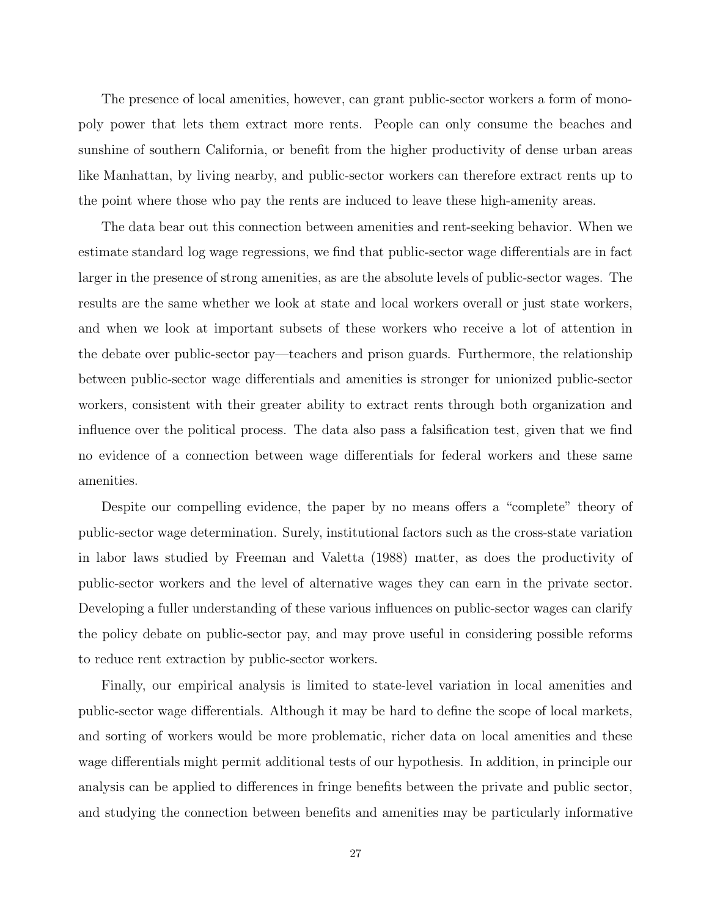The presence of local amenities, however, can grant public-sector workers a form of monopoly power that lets them extract more rents. People can only consume the beaches and sunshine of southern California, or benefit from the higher productivity of dense urban areas like Manhattan, by living nearby, and public-sector workers can therefore extract rents up to the point where those who pay the rents are induced to leave these high-amenity areas.

The data bear out this connection between amenities and rent-seeking behavior. When we estimate standard log wage regressions, we find that public-sector wage differentials are in fact larger in the presence of strong amenities, as are the absolute levels of public-sector wages. The results are the same whether we look at state and local workers overall or just state workers, and when we look at important subsets of these workers who receive a lot of attention in the debate over public-sector pay—teachers and prison guards. Furthermore, the relationship between public-sector wage differentials and amenities is stronger for unionized public-sector workers, consistent with their greater ability to extract rents through both organization and influence over the political process. The data also pass a falsification test, given that we find no evidence of a connection between wage differentials for federal workers and these same amenities.

Despite our compelling evidence, the paper by no means offers a "complete" theory of public-sector wage determination. Surely, institutional factors such as the cross-state variation in labor laws studied by Freeman and Valetta (1988) matter, as does the productivity of public-sector workers and the level of alternative wages they can earn in the private sector. Developing a fuller understanding of these various influences on public-sector wages can clarify the policy debate on public-sector pay, and may prove useful in considering possible reforms to reduce rent extraction by public-sector workers.

Finally, our empirical analysis is limited to state-level variation in local amenities and public-sector wage differentials. Although it may be hard to define the scope of local markets, and sorting of workers would be more problematic, richer data on local amenities and these wage differentials might permit additional tests of our hypothesis. In addition, in principle our analysis can be applied to differences in fringe benefits between the private and public sector, and studying the connection between benefits and amenities may be particularly informative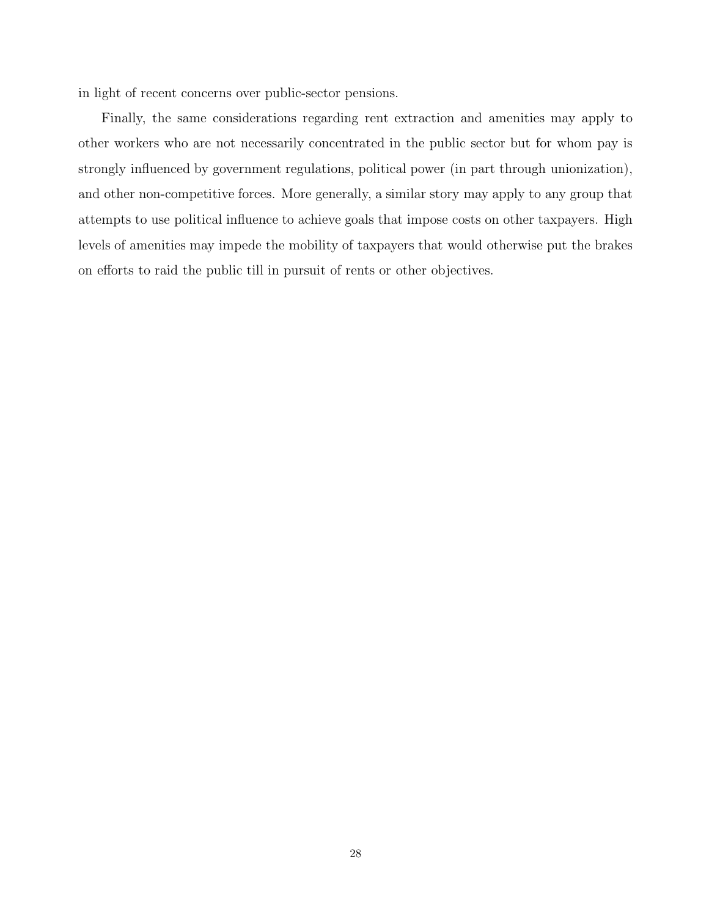in light of recent concerns over public-sector pensions.

Finally, the same considerations regarding rent extraction and amenities may apply to other workers who are not necessarily concentrated in the public sector but for whom pay is strongly influenced by government regulations, political power (in part through unionization), and other non-competitive forces. More generally, a similar story may apply to any group that attempts to use political influence to achieve goals that impose costs on other taxpayers. High levels of amenities may impede the mobility of taxpayers that would otherwise put the brakes on efforts to raid the public till in pursuit of rents or other objectives.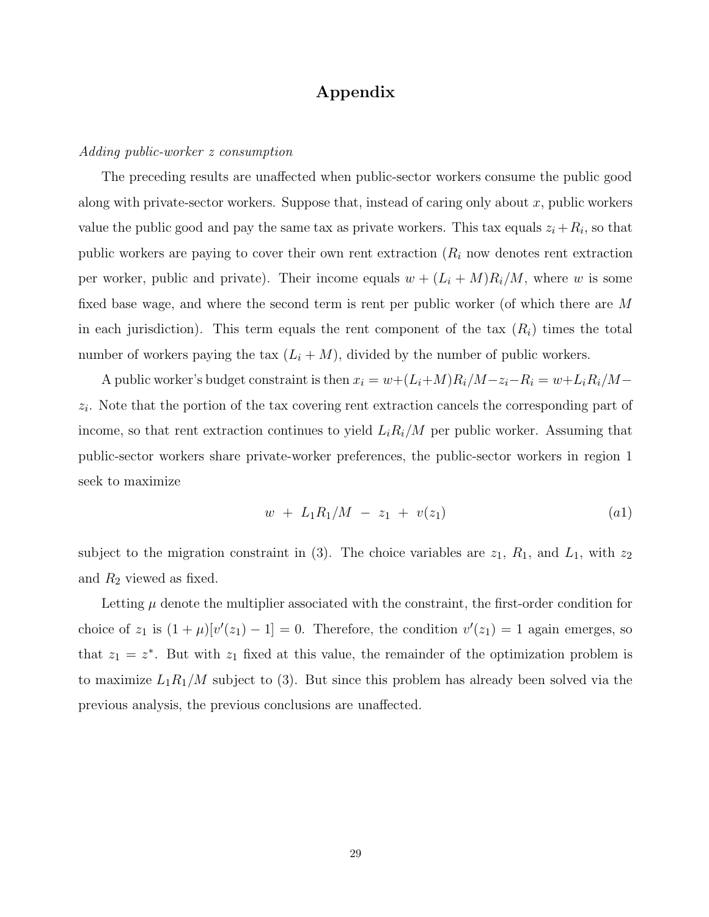## Appendix

#### Adding public-worker z consumption

The preceding results are unaffected when public-sector workers consume the public good along with private-sector workers. Suppose that, instead of caring only about  $x$ , public workers value the public good and pay the same tax as private workers. This tax equals  $z_i + R_i$ , so that public workers are paying to cover their own rent extraction  $(R<sub>i</sub>$  now denotes rent extraction per worker, public and private). Their income equals  $w + (L_i + M)R_i/M$ , where w is some fixed base wage, and where the second term is rent per public worker (of which there are M in each jurisdiction). This term equals the rent component of the tax  $(R<sub>i</sub>)$  times the total number of workers paying the tax  $(L_i + M)$ , divided by the number of public workers.

A public worker's budget constraint is then  $x_i = w + (L_i + M)R_i/M - z_i - R_i = w + L_iR_i/M$  $z_i$ . Note that the portion of the tax covering rent extraction cancels the corresponding part of income, so that rent extraction continues to yield  $L_iR_i/M$  per public worker. Assuming that public-sector workers share private-worker preferences, the public-sector workers in region 1 seek to maximize

$$
w + L_1 R_1 / M - z_1 + v(z_1) \tag{a1}
$$

subject to the migration constraint in (3). The choice variables are  $z_1$ ,  $R_1$ , and  $L_1$ , with  $z_2$ and  $R_2$  viewed as fixed.

Letting  $\mu$  denote the multiplier associated with the constraint, the first-order condition for choice of  $z_1$  is  $(1 + \mu)[v'(z_1) - 1] = 0$ . Therefore, the condition  $v'(z_1) = 1$  again emerges, so that  $z_1 = z^*$ . But with  $z_1$  fixed at this value, the remainder of the optimization problem is to maximize  $L_1R_1/M$  subject to (3). But since this problem has already been solved via the previous analysis, the previous conclusions are unaffected.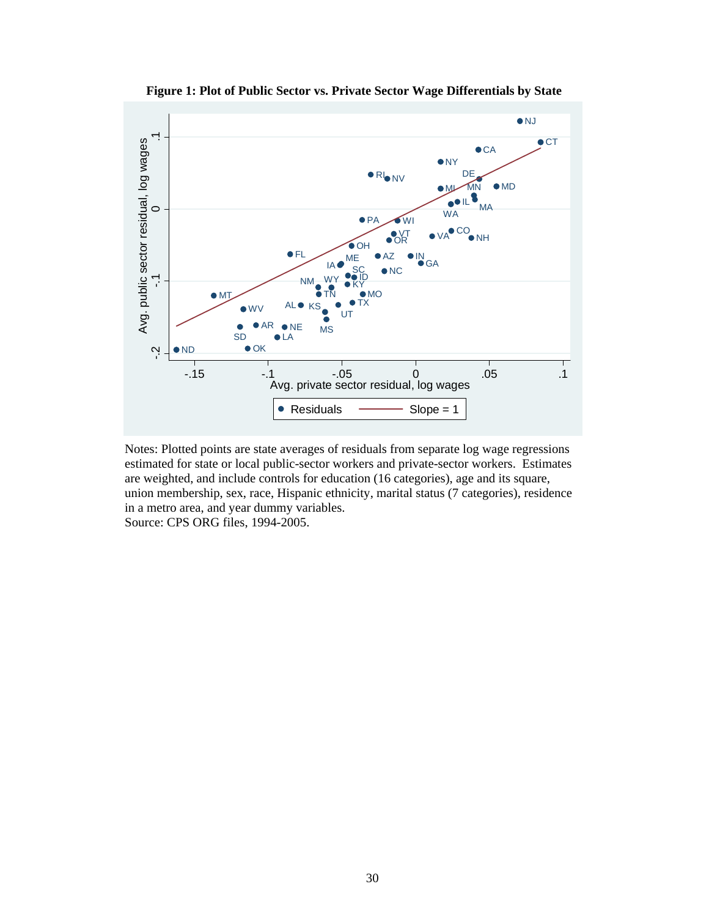

**Figure 1: Plot of Public Sector vs. Private Sector Wage Differentials by State** 

Notes: Plotted points are state averages of residuals from separate log wage regressions estimated for state or local public-sector workers and private-sector workers. Estimates are weighted, and include controls for education (16 categories), age and its square, union membership, sex, race, Hispanic ethnicity, marital status (7 categories), residence in a metro area, and year dummy variables. Source: CPS ORG files, 1994-2005.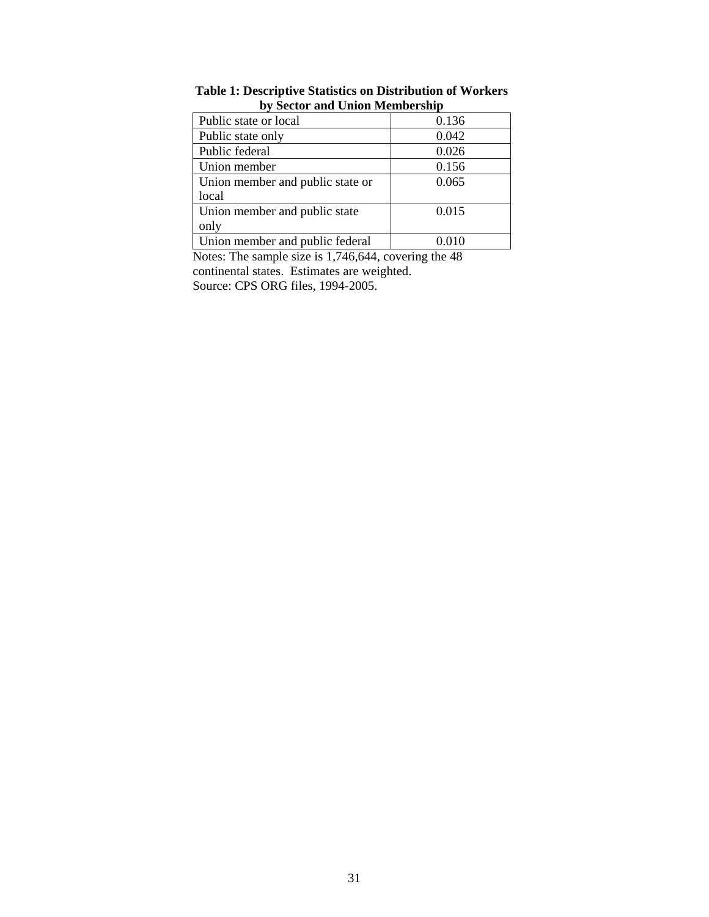| Public state or local            | 0.136 |
|----------------------------------|-------|
| Public state only                | 0.042 |
| Public federal                   | 0.026 |
| Union member                     | 0.156 |
| Union member and public state or | 0.065 |
| local                            |       |
| Union member and public state    | 0.015 |
| only                             |       |
| Union member and public federal  |       |

**Table 1: Descriptive Statistics on Distribution of Workers by Sector and Union Membership** 

Notes: The sample size is 1,746,644, covering the 48 continental states. Estimates are weighted. Source: CPS ORG files, 1994-2005.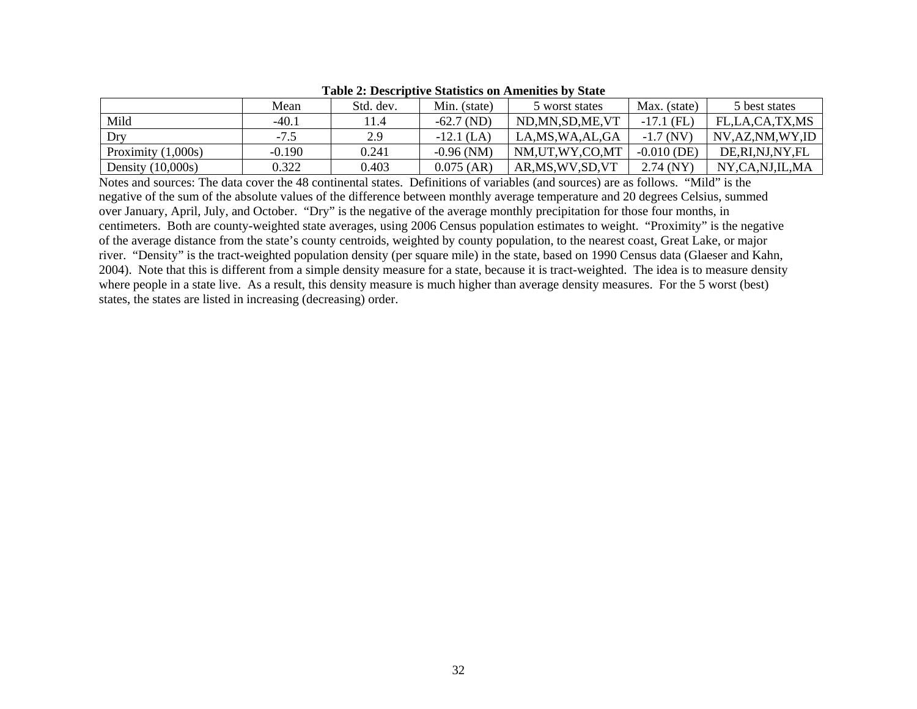|                      | Mean     | Std. dev.        | Min. (state) | 5 worst states     | Max. (state)  | 5 best states  |
|----------------------|----------|------------------|--------------|--------------------|---------------|----------------|
| Mild                 | $-40.1$  | $\overline{1.4}$ | $-62.7$ (ND) | ND, MN, SD, ME, VT | $-17.1$ (FL)  | FL.LA.CA.TX.MS |
| Dry                  | $-7.5$   | 2.9              | $-12.1$ (LA) | LA, MS, WA, AL, GA | $-1.7(NV)$    | NV,AZ,NM,WY,ID |
| Proximity $(1,000s)$ | $-0.190$ | 0.241            | $-0.96$ (NM) | NM,UT,WY,CO,MT     | $-0.010$ (DE) | DE,RI,NJ,NY,FL |
| Density $(10,000s)$  | 0.322    | 0.403            | $0.075$ (AR) | AR, MS, WV, SD, VT | $2.74$ (NY)   | NY.CA.NJ.IL.MA |

#### **Table 2: Descriptive Statistics on Amenities by State**

Notes and sources: The data cover the 48 continental states. Definitions of variables (and sources) are as follows. "Mild" is the negative of the sum of the absolute values of the difference between monthly average temperature and 20 degrees Celsius, summed over January, April, July, and October. "Dry" is the negative of the average monthly precipitation for those four months, in centimeters. Both are county-weighted state averages, using 2006 Census population estimates to weight. "Proximity" is the negative of the average distance from the state's county centroids, weighted by county population, to the nearest coast, Great Lake, or major river. "Density" is the tract-weighted population density (per square mile) in the state, based on 1990 Census data (Glaeser and Kahn, 2004). Note that this is different from a simple density measure for a state, because it is tract-weighted. The idea is to measure density where people in a state live. As a result, this density measure is much higher than average density measures. For the 5 worst (best) states, the states are listed in increasing (decreasing) order.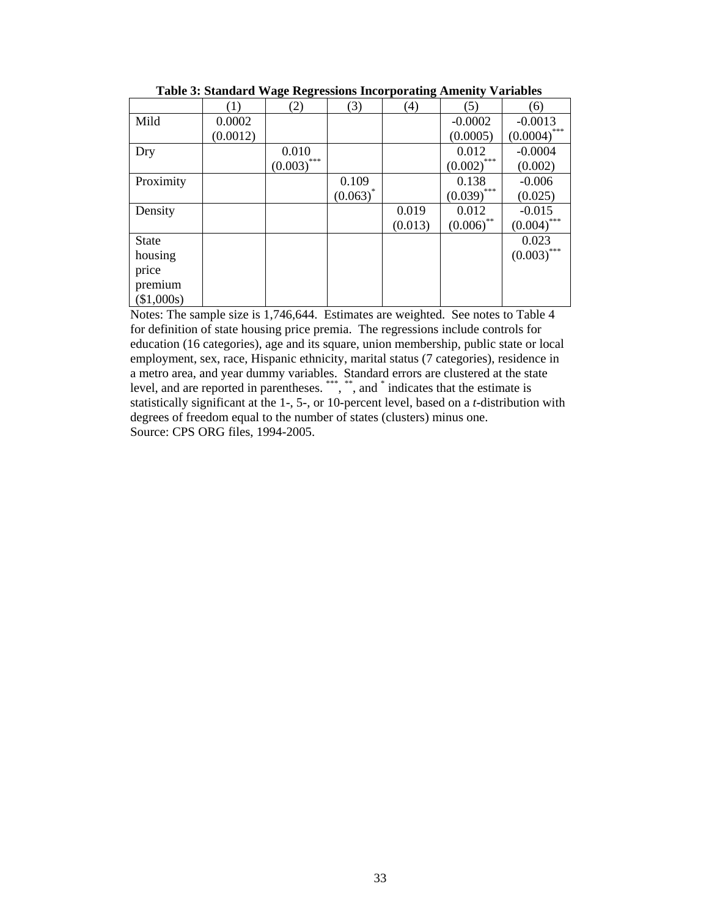|              | (1)      | (2)            | (3)         | (4)     | (5)                         | (6)            |
|--------------|----------|----------------|-------------|---------|-----------------------------|----------------|
| Mild         | 0.0002   |                |             |         | $-0.0002$                   | $-0.0013$      |
|              | (0.0012) |                |             |         | (0.0005)                    | $(0.0004)$ *** |
| Dry          |          | 0.010          |             |         | 0.012                       | $-0.0004$      |
|              |          | ***<br>(0.003) |             |         | $\underline{(0.002)}^{***}$ | (0.002)        |
| Proximity    |          |                | 0.109       |         | 0.138                       | $-0.006$       |
|              |          |                | $(0.063)^*$ |         | $(0.039)$ ***               | (0.025)        |
| Density      |          |                |             | 0.019   | 0.012                       | $-0.015$       |
|              |          |                |             | (0.013) | $(0.006)$ **                | $(0.004)$ ***  |
| <b>State</b> |          |                |             |         |                             | 0.023          |
| housing      |          |                |             |         |                             | $(0.003)$ ***  |
| price        |          |                |             |         |                             |                |
| premium      |          |                |             |         |                             |                |
| (\$1,000s)   |          |                |             |         |                             |                |

**Table 3: Standard Wage Regressions Incorporating Amenity Variables** 

Notes: The sample size is 1,746,644. Estimates are weighted. See notes to Table 4 for definition of state housing price premia. The regressions include controls for education (16 categories), age and its square, union membership, public state or local employment, sex, race, Hispanic ethnicity, marital status (7 categories), residence in a metro area, and year dummy variables. Standard errors are clustered at the state level, and are reported in parentheses. \*\*\*, \*\*, and \* indicates that the estimate is statistically significant at the 1-, 5-, or 10-percent level, based on a *t*-distribution with degrees of freedom equal to the number of states (clusters) minus one. Source: CPS ORG files, 1994-2005.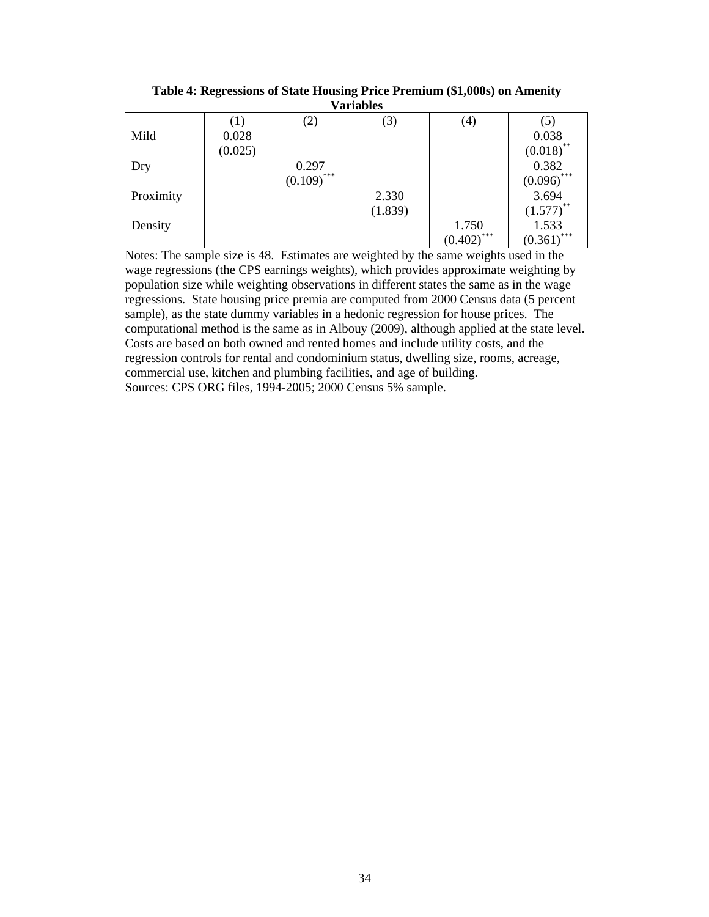| , ul iudico |         |                 |         |                          |                               |  |  |  |
|-------------|---------|-----------------|---------|--------------------------|-------------------------------|--|--|--|
|             |         | (2)             | (3)     | (4)                      | (5)                           |  |  |  |
| Mild        | 0.028   |                 |         |                          | 0.038                         |  |  |  |
|             | (0.025) |                 |         |                          | (0.018)                       |  |  |  |
| Dry         |         | 0.297           |         |                          | $\frac{0.382}{(0.096)^{***}}$ |  |  |  |
|             |         | $(0.109)^{***}$ |         |                          |                               |  |  |  |
| Proximity   |         |                 | 2.330   |                          | 3.694                         |  |  |  |
|             |         |                 | (1.839) |                          | $(1.577)$ **                  |  |  |  |
| Density     |         |                 |         | 1.750                    | 1.533                         |  |  |  |
|             |         |                 |         | $(0.402)$ <sup>***</sup> | $(0.361)$ ***                 |  |  |  |

**Table 4: Regressions of State Housing Price Premium (\$1,000s) on Amenity Variables** 

Notes: The sample size is 48. Estimates are weighted by the same weights used in the wage regressions (the CPS earnings weights), which provides approximate weighting by population size while weighting observations in different states the same as in the wage regressions. State housing price premia are computed from 2000 Census data (5 percent sample), as the state dummy variables in a hedonic regression for house prices. The computational method is the same as in Albouy (2009), although applied at the state level. Costs are based on both owned and rented homes and include utility costs, and the regression controls for rental and condominium status, dwelling size, rooms, acreage, commercial use, kitchen and plumbing facilities, and age of building. Sources: CPS ORG files, 1994-2005; 2000 Census 5% sample.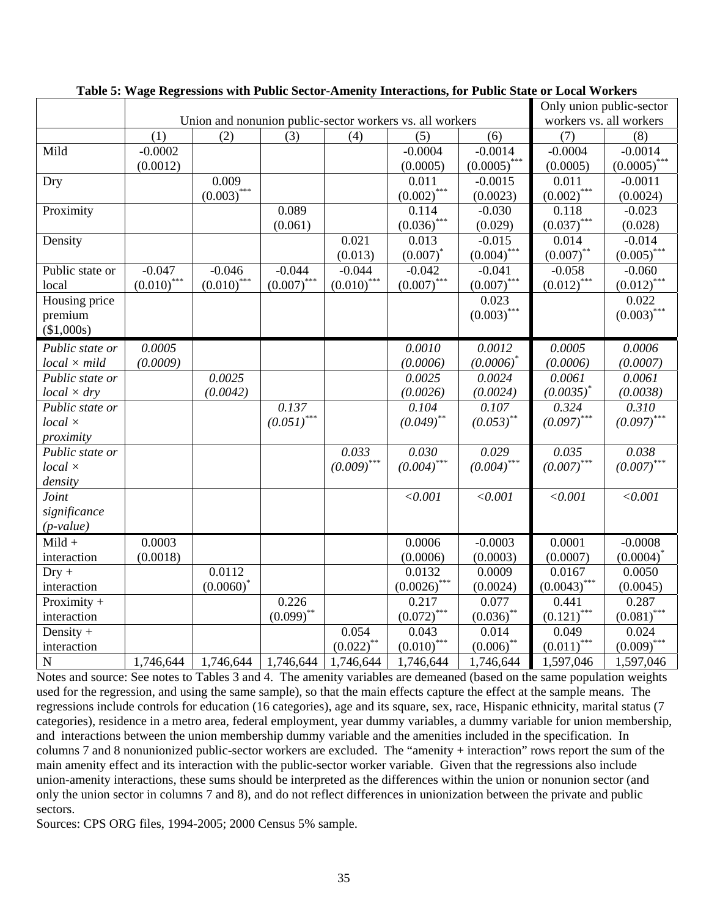|                     |               |               |               |               |                                                          |                 |                          | Only union public-sector     |  |
|---------------------|---------------|---------------|---------------|---------------|----------------------------------------------------------|-----------------|--------------------------|------------------------------|--|
|                     |               |               |               |               | Union and nonunion public-sector workers vs. all workers |                 | workers vs. all workers  |                              |  |
|                     | (1)           | (2)           | (3)           | (4)           | (5)                                                      | (6)             | (7)                      | (8)                          |  |
| Mild                | $-0.0002$     |               |               |               | $-0.0004$                                                | $-0.0014$       | $-0.0004$                | $-0.0014$                    |  |
|                     | (0.0012)      |               |               |               | (0.0005)                                                 | $(0.0005)$ ***  | (0.0005)                 | $\underline{(0.0005)}^{***}$ |  |
| Dry                 |               | 0.009         |               |               | 0.011                                                    | $-0.0015$       | 0.011                    | $-0.0011$                    |  |
|                     |               | $(0.003)$ *** |               |               | $(0.002)$ ***                                            | (0.0023)        | $(0.002)$ ***            | (0.0024)                     |  |
| Proximity           |               |               | 0.089         |               | 0.114                                                    | $-0.030$        | 0.118                    | $-0.023$                     |  |
|                     |               |               | (0.061)       |               | $(0.036)$ ***                                            | (0.029)         | $(0.037)$ ***            | (0.028)                      |  |
| Density             |               |               |               | 0.021         | 0.013                                                    | $-0.015$        | 0.014                    | $-0.014$                     |  |
|                     |               |               |               | (0.013)       | $(0.007)^*$                                              | $(0.004)^{***}$ | $(0.007)$ **             | $(0.005)^*$                  |  |
| Public state or     | $-0.047$      | $-0.046$      | $-0.044$      | $-0.044$      | $-0.042$                                                 | $-0.041$        | $-0.058$                 | $-0.060$                     |  |
| local               | $(0.010)$ *** | $(0.010)$ *** | $(0.007)$ *** | $(0.010)$ *** | $(0.007)$ ***                                            | $(0.007)$ ***   | $(0.012)$ ***            | $(0.012)$ ***                |  |
| Housing price       |               |               |               |               |                                                          | 0.023           |                          | 0.022                        |  |
| premium             |               |               |               |               |                                                          | $(0.003)$ ***   |                          | $(0.003)$ ***                |  |
| (\$1,000s)          |               |               |               |               |                                                          |                 |                          |                              |  |
| Public state or     | 0.0005        |               |               |               | 0.0010                                                   | 0.0012          | 0.0005                   | 0.0006                       |  |
| $local \times mild$ | (0.0009)      |               |               |               | (0.0006)                                                 | $(0.0006)^*$    | (0.0006)                 | (0.0007)                     |  |
| Public state or     |               | 0.0025        |               |               | 0.0025                                                   | 0.0024          | 0.0061                   | 0.0061                       |  |
| $local \times dry$  |               | (0.0042)      |               |               | (0.0026)                                                 | (0.0024)        | $(0.0035)^*$             | (0.0038)                     |  |
| Public state or     |               |               | 0.137         |               | 0.104                                                    | 0.107           | 0.324                    | 0.310                        |  |
| $local \times$      |               |               | $(0.051)$ *** |               | $(0.049)$ **                                             | $(0.053)$ **    | $(0.097)$ ***            | $(0.097)$ ***                |  |
| proximity           |               |               |               |               |                                                          |                 |                          |                              |  |
| Public state or     |               |               |               | 0.033         | 0.030                                                    | 0.029           | 0.035                    | 0.038                        |  |
| $local \times$      |               |               |               | $(0.009)$ *** | $(0.004)$ ***                                            | $(0.004)$ ***   | $(0.007)$ ***            | $(0.007)$ ***                |  |
| density             |               |               |               |               |                                                          |                 |                          |                              |  |
| Joint               |               |               |               |               | < 0.001                                                  | < 0.001         | < 0.001                  | < 0.001                      |  |
| significance        |               |               |               |               |                                                          |                 |                          |                              |  |
| $(p-value)$         |               |               |               |               |                                                          |                 |                          |                              |  |
| $Mild +$            | 0.0003        |               |               |               | 0.0006                                                   | $-0.0003$       | 0.0001                   | $-0.0008$                    |  |
| interaction         | (0.0018)      |               |               |               | (0.0006)                                                 | (0.0003)        | (0.0007)                 | $(0.0004)^*$                 |  |
| $Dry +$             |               | 0.0112        |               |               | 0.0132                                                   | 0.0009          | 0.0167                   | 0.0050                       |  |
| interaction         |               | $(0.0060)^*$  |               |               | $(0.0026)$ ***                                           | (0.0024)        | $(0.0043)$ ***           | (0.0045)                     |  |
| Proximity $+$       |               |               | 0.226         |               | 0.217                                                    | 0.077           | 0.441                    | 0.287                        |  |
| interaction         |               |               | $(0.099)$ **  |               | $(0.072)$ ***                                            | $(0.036)$ **    | $(0.121)$ <sup>***</sup> | $(0.081)$ ***                |  |
| Density $+$         |               |               |               | 0.054         | 0.043                                                    | 0.014           | 0.049                    | 0.024                        |  |
| interaction         |               |               |               | $(0.022)$ **  | $(0.010)$ ***                                            | $(0.006)$ **    | $(0.011)$ ***            | $(0.009)$ ***                |  |
| $\mathbf N$         | 1,746,644     | 1,746,644     | 1,746,644     | 1,746,644     | 1,746,644                                                | 1,746,644       | 1,597,046                | 1,597,046                    |  |

Notes and source: See notes to Tables 3 and 4. The amenity variables are demeaned (based on the same population weights used for the regression, and using the same sample), so that the main effects capture the effect at the sample means. The regressions include controls for education (16 categories), age and its square, sex, race, Hispanic ethnicity, marital status (7 categories), residence in a metro area, federal employment, year dummy variables, a dummy variable for union membership, and interactions between the union membership dummy variable and the amenities included in the specification. In columns 7 and 8 nonunionized public-sector workers are excluded. The "amenity + interaction" rows report the sum of the main amenity effect and its interaction with the public-sector worker variable. Given that the regressions also include union-amenity interactions, these sums should be interpreted as the differences within the union or nonunion sector (and only the union sector in columns 7 and 8), and do not reflect differences in unionization between the private and public sectors.

Sources: CPS ORG files, 1994-2005; 2000 Census 5% sample.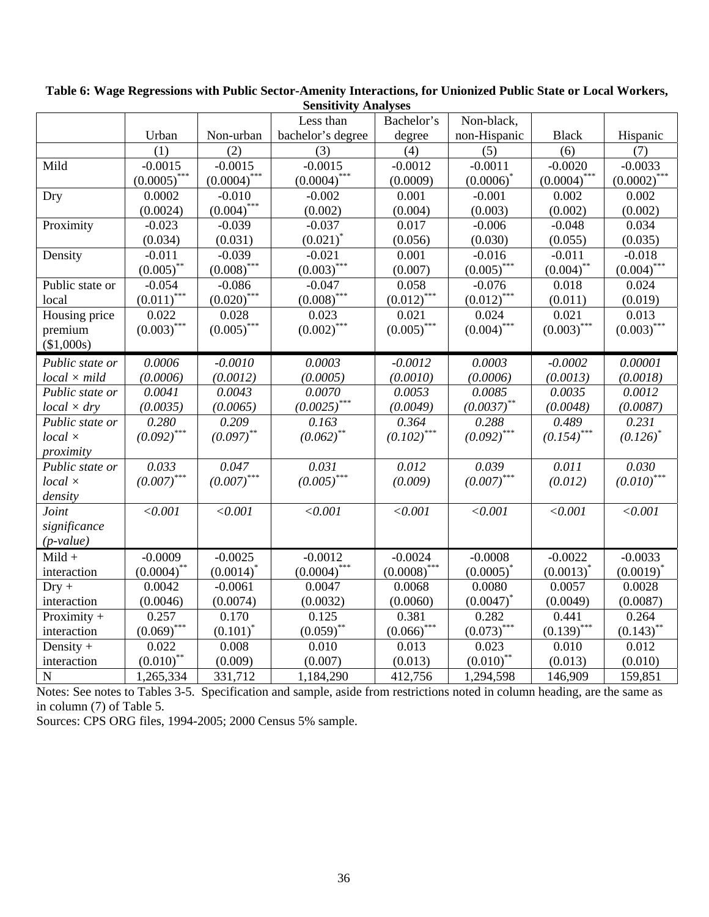|                     |                    |                | Less than               | Bachelor's               | Non-black,    |                |                |
|---------------------|--------------------|----------------|-------------------------|--------------------------|---------------|----------------|----------------|
|                     | Urban              | Non-urban      | bachelor's degree       | degree                   | non-Hispanic  | <b>Black</b>   | Hispanic       |
|                     | (1)                | (2)            | (3)                     | (4)                      | (5)           | (6)            | (7)            |
| Mild                | $-0.0015$          | $-0.0015$      | $-0.0015$               | $-0.0012$                | $-0.0011$     | $-0.0020$      | $-0.0033$      |
|                     | $(0.0005)$ ***     | $(0.0004)$ *** | $(0.0004)$ ***          | (0.0009)                 | $(0.0006)^*$  | $(0.0004)$ *** | $(0.0002)$ *** |
| Dry                 | 0.0002             | $-0.010$       | $-0.002$                | 0.001                    | $-0.001$      | 0.002          | 0.002          |
|                     | (0.0024)           | $(0.004)$ ***  | (0.002)                 | (0.004)                  | (0.003)       | (0.002)        | (0.002)        |
| Proximity           | $-0.023$           | $-0.039$       | $-0.037$                | 0.017                    | $-0.006$      | $-0.048$       | 0.034          |
|                     | (0.034)            | (0.031)        | $(0.021)^*$             | (0.056)                  | (0.030)       | (0.055)        | (0.035)        |
| Density             | $-0.011$           | $-0.039$       | $-0.021$                | 0.001                    | $-0.016$      | $-0.011$       | $-0.018$       |
|                     | $(0.005)$ **       | $(0.008)$ ***  | $(0.003)$ ***           | (0.007)                  | $(0.005)$ *** | $(0.004)$ **   | $(0.004)$ ***  |
| Public state or     | $-0.054$           | $-0.086$       | $-0.047$                | 0.058                    | $-0.076$      | 0.018          | 0.024          |
| local               | ***<br>$(0.011)^*$ | $(0.020)$ ***  | $(0.008)$ ***           | $(0.012)$ ***            | $(0.012)$ *** | (0.011)        | (0.019)        |
| Housing price       | 0.022              | 0.028          | 0.023                   | 0.021                    | 0.024         | 0.021          | 0.013          |
| premium             | $(0.003)$ ***      | $(0.005)$ ***  | $(0.002)$ ***           | $(0.005)$ ***            | $(0.004)$ *** | $(0.003)$ ***  | $(0.003)$ ***  |
| (\$1,000s)          |                    |                |                         |                          |               |                |                |
| Public state or     | 0.0006             | $-0.0010$      | 0.0003                  | $-0.0012$                | 0.0003        | $-0.0002$      | 0.00001        |
| $local \times mild$ | (0.0006)           | (0.0012)       | (0.0005)                | (0.0010)                 | (0.0006)      | (0.0013)       | (0.0018)       |
| Public state or     | 0.0041             | 0.0043         | 0.0070                  | 0.0053                   | 0.0085        | 0.0035         | 0.0012         |
| $local \times dry$  | (0.0035)           | (0.0065)       | $(0.0025)$ ***          | (0.0049)                 | $(0.0037)$ ** | (0.0048)       | (0.0087)       |
| Public state or     | 0.280              | 0.209          | 0.163                   | 0.364                    | 0.288         | 0.489          | 0.231          |
| $local \times$      | $(0.092)$ ***      | $(0.097)$ **   | $(0.062)$ <sup>**</sup> | $(0.102)$ <sup>***</sup> | $(0.092)$ *** | $(0.154)$ ***  | $(0.126)^*$    |
| proximity           |                    |                |                         |                          |               |                |                |
| Public state or     | 0.033              | 0.047          | 0.031                   | 0.012                    | 0.039         | 0.011          | 0.030          |
| $local \times$      | $(0.007)$ ***      | $(0.007)$ ***  | $(0.005)$ ***           | (0.009)                  | $(0.007)$ *** | (0.012)        | $(0.010)$ ***  |
| density             |                    |                |                         |                          |               |                |                |
| Joint               | < 0.001            | < 0.001        | < 0.001                 | < 0.001                  | < 0.001       | < 0.001        | < 0.001        |
| significance        |                    |                |                         |                          |               |                |                |
| $(p-value)$         |                    |                |                         |                          |               |                |                |
| $Mild +$            | $-0.0009$          | $-0.0025$      | $-0.0012$               | $-0.0024$                | $-0.0008$     | $-0.0022$      | $-0.0033$      |
| interaction         | $(0.0004)$ **      | $(0.0014)^*$   | $(0.0004)^{***}$        | $(0.0008)$ ***           | $(0.0005)^*$  | $(0.0013)^*$   | $(0.0019)^*$   |
| $Dry +$             | 0.0042             | $-0.0061$      | 0.0047                  | 0.0068                   | 0.0080        | 0.0057         | 0.0028         |
| interaction         | (0.0046)           | (0.0074)       | (0.0032)                | (0.0060)                 | $(0.0047)^*$  | (0.0049)       | (0.0087)       |
| Proximity $+$       | 0.257              | 0.170          | 0.125                   | 0.381                    | 0.282         | 0.441          | 0.264          |
| interaction         | $(0.069)$ ***      | $(0.101)^*$    | $(0.059)$ **            | $(0.066)$ ***            | $(0.073)$ *** | $(0.139)$ ***  | $(0.143)$ **   |
| Density $+$         | 0.022              | 0.008          | 0.010                   | 0.013                    | 0.023         | 0.010          | 0.012          |
| interaction         | $(0.010)$ **       | (0.009)        | (0.007)                 | (0.013)                  | $(0.010)$ **  | (0.013)        | (0.010)        |
| ${\bf N}$           | 1,265,334          | 331,712        | 1,184,290               | 412,756                  | 1,294,598     | 146,909        | 159,851        |

**Table 6: Wage Regressions with Public Sector-Amenity Interactions, for Unionized Public State or Local Workers, Sensitivity Analyses** 

Notes: See notes to Tables 3-5. Specification and sample, aside from restrictions noted in column heading, are the same as in column (7) of Table 5.

Sources: CPS ORG files, 1994-2005; 2000 Census 5% sample.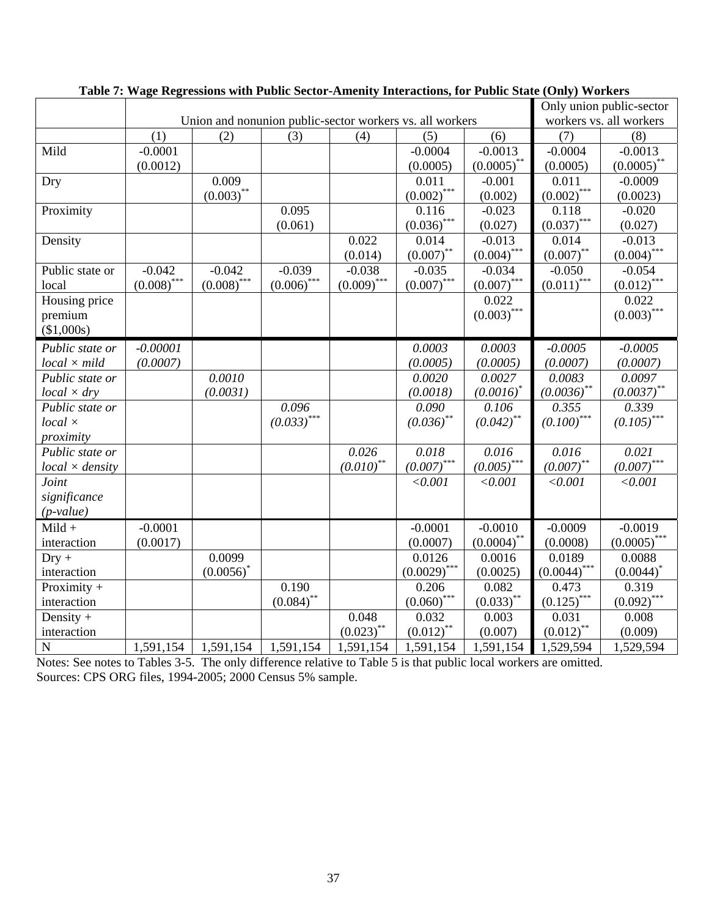|                        |               |                                                          |               |               |                |                         |                                | Only union public-sector |
|------------------------|---------------|----------------------------------------------------------|---------------|---------------|----------------|-------------------------|--------------------------------|--------------------------|
|                        |               | Union and nonunion public-sector workers vs. all workers |               |               |                |                         |                                | workers vs. all workers  |
|                        | (1)           | (2)                                                      | (3)           | (4)           | (5)            | (6)                     | (7)                            | (8)                      |
| Mild                   | $-0.0001$     |                                                          |               |               | $-0.0004$      | $-0.0013$               | $-0.0004$                      | $-0.0013$                |
|                        | (0.0012)      |                                                          |               |               | (0.0005)       | $(0.0005)$ **           | (0.0005)                       | $(0.0005)$ **            |
| Dry                    |               | 0.009                                                    |               |               | 0.011          | $-0.001$                | 0.011                          | $-0.0009$                |
|                        |               | $(0.003)$ **                                             |               |               | $(0.002)$ ***  | (0.002)                 | $(0.002)$ ***                  | (0.0023)                 |
| Proximity              |               |                                                          | 0.095         |               | 0.116          | $-0.023$                | 0.118                          | $-0.020$                 |
|                        |               |                                                          | (0.061)       |               | $(0.036)$ ***  | (0.027)                 | $(0.037)$ ***                  | (0.027)                  |
| Density                |               |                                                          |               | 0.022         | 0.014          | $-0.013$                | 0.014                          | $-0.013$                 |
|                        |               |                                                          |               | (0.014)       | $(0.007)$ **   | $(0.004)$ ***           | $(0.007)$ **                   | $(0.004)$ ***            |
| Public state or        | $-0.042$      | $-0.042$                                                 | $-0.039$      | $-0.038$      | $-0.035$       | $-0.034$                | $-0.050$                       | $-0.054$                 |
| local                  | $(0.008)$ *** | $(0.008)$ ***                                            | $(0.006)$ *** | $(0.009)$ *** | $(0.007)$ ***  | $(0.007)$ ***           | $(0.011)$ ***                  | $(0.012)$ ***            |
| Housing price          |               |                                                          |               |               |                | 0.022                   |                                | 0.022                    |
| premium                |               |                                                          |               |               |                | $(0.003)$ ***           |                                | $(0.003)$ ***            |
| (\$1,000s)             |               |                                                          |               |               |                |                         |                                |                          |
| Public state or        | $-0.00001$    |                                                          |               |               | 0.0003         | 0.0003                  | $-0.0005$                      | $-0.0005$                |
| $local \times mild$    | (0.0007)      |                                                          |               |               | (0.0005)       | (0.0005)                | (0.0007)                       | (0.0007)                 |
| Public state or        |               | 0.0010                                                   |               |               | 0.0020         | 0.0027                  | 0.0083                         | 0.0097                   |
| $local \times dry$     |               | (0.0031)                                                 |               |               | (0.0018)       | $(0.0016)^*$            | $(0.0036)$ **                  | $(0.0037)$ **            |
| Public state or        |               |                                                          | 0.096         |               | 0.090          | 0.106                   | 0.355                          | 0.339                    |
| $local \times$         |               |                                                          | $(0.033)$ *** |               | $(0.036)$ **   | $(0.042)$ <sup>**</sup> | ${\left( 0.100 \right)}^{***}$ | $(0.105)$ <sup>***</sup> |
| proximity              |               |                                                          |               |               |                |                         |                                |                          |
| Public state or        |               |                                                          |               | 0.026         | 0.018          | 0.016                   | 0.016                          | 0.021                    |
| $local \times density$ |               |                                                          |               | $(0.010)$ **  | $(0.007)$ ***  | $(0.005)$ ***           | $(0.007)$ **                   | $(0.007)$ ***            |
| Joint                  |               |                                                          |               |               | < 0.001        | < 0.001                 | < 0.001                        | < 0.001                  |
| significance           |               |                                                          |               |               |                |                         |                                |                          |
| $(p-value)$            |               |                                                          |               |               |                |                         |                                |                          |
| $Mild +$               | $-0.0001$     |                                                          |               |               | $-0.0001$      | $-0.0010$               | $-0.0009$                      | $-0.0019$                |
| interaction            | (0.0017)      |                                                          |               |               | (0.0007)       | $(0.0004)$ **           | (0.0008)                       | $(0.0005)$ ***           |
| $Dry +$                |               | 0.0099                                                   |               |               | 0.0126         | 0.0016                  | 0.0189                         | 0.0088                   |
| interaction            |               | $(0.0056)^*$                                             |               |               | $(0.0029)$ *** | (0.0025)                | $(0.0044)$ ***                 | $(0.0044)^*$             |
| Proximity $+$          |               |                                                          | 0.190         |               | 0.206          | 0.082                   | 0.473                          | 0.319                    |
| interaction            |               |                                                          | $(0.084)$ **  |               | $(0.060)$ ***  | $(0.033)$ **            | $(0.125)$ ***                  | $(0.092)$ ***            |
| Density $+$            |               |                                                          |               | 0.048         | 0.032          | 0.003                   | 0.031                          | 0.008                    |
| interaction            |               |                                                          |               | $(0.023)$ **  | $(0.012)$ **   | (0.007)                 | $(0.012)$ **                   | (0.009)                  |
| ${\bf N}$              | 1,591,154     | 1,591,154                                                | 1,591,154     | 1,591,154     | 1,591,154      | 1,591,154               | 1,529,594                      | 1,529,594                |

## **Table 7: Wage Regressions with Public Sector-Amenity Interactions, for Public State (Only) Workers**

Notes: See notes to Tables 3-5. The only difference relative to Table 5 is that public local workers are omitted. Sources: CPS ORG files, 1994-2005; 2000 Census 5% sample.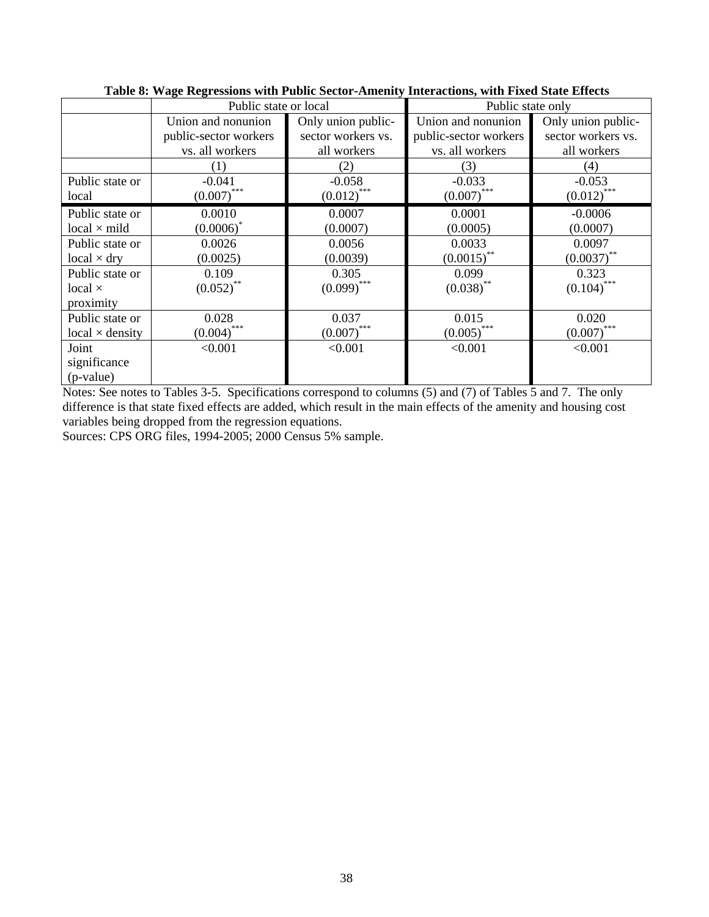|                        | Public state or local |                    | Public state only     |                    |  |
|------------------------|-----------------------|--------------------|-----------------------|--------------------|--|
|                        | Union and nonunion    | Only union public- | Union and nonunion    | Only union public- |  |
|                        | public-sector workers | sector workers vs. | public-sector workers | sector workers vs. |  |
|                        | vs. all workers       | all workers        | vs. all workers       | all workers        |  |
|                        | (1)                   | (2)                | (3)                   | (4)                |  |
| Public state or        | $-0.041$              | $-0.058$           | $-0.033$              | $-0.053$           |  |
| local                  | $(0.007)$ ***         | $(0.012)$ ***      | $(0.007)$ ***         | $(0.012)$ ***      |  |
| Public state or        | 0.0010                | 0.0007             | 0.0001                | $-0.0006$          |  |
| $local \times mild$    | $(0.0006)^*$          | (0.0007)           | (0.0005)              | (0.0007)           |  |
| Public state or        | 0.0026                | 0.0056             | 0.0033                | 0.0097             |  |
| $local \times dry$     | (0.0025)              | (0.0039)           | $(0.0015)$ **         | $(0.0037)$ **      |  |
| Public state or        | 0.109                 | 0.305              | 0.099                 | 0.323              |  |
| local $\times$         | $(0.052)$ **          | $(0.099)$ ***      | $(0.038)$ **          | $(0.104)$ ***      |  |
| proximity              |                       |                    |                       |                    |  |
| Public state or        | 0.028                 | 0.037              | 0.015                 | 0.020              |  |
| $local \times density$ | $(0.004)$ ***         | $(0.007)$ ***      | $(0.005)$ ***         | $(0.007)$ ***      |  |
| Joint                  | < 0.001               | < 0.001            | < 0.001               | < 0.001            |  |
| significance           |                       |                    |                       |                    |  |
| $(p-value)$            |                       |                    |                       |                    |  |

### **Table 8: Wage Regressions with Public Sector-Amenity Interactions, with Fixed State Effects**

Notes: See notes to Tables 3-5. Specifications correspond to columns (5) and (7) of Tables 5 and 7. The only difference is that state fixed effects are added, which result in the main effects of the amenity and housing cost variables being dropped from the regression equations.

Sources: CPS ORG files, 1994-2005; 2000 Census 5% sample.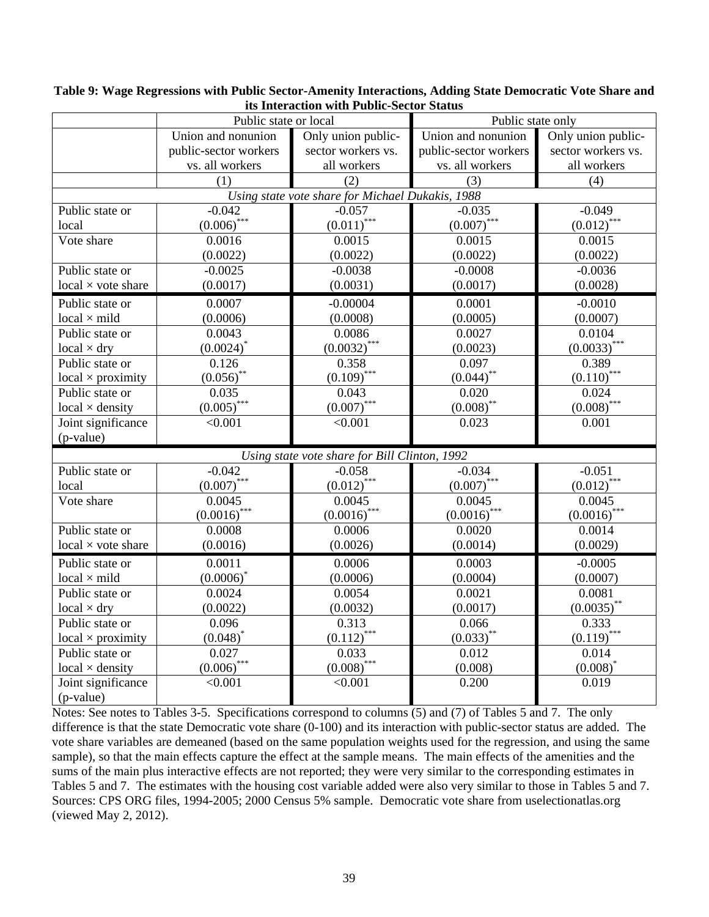| <u>tes interaction</u> with I ublic-bector biatus<br>Public state only<br>Public state or local |                                          |                                                  |                                          |                                   |  |  |  |
|-------------------------------------------------------------------------------------------------|------------------------------------------|--------------------------------------------------|------------------------------------------|-----------------------------------|--|--|--|
|                                                                                                 | Union and nonunion                       | Only union public-                               | Only union public-<br>Union and nonunion |                                   |  |  |  |
|                                                                                                 |                                          |                                                  |                                          |                                   |  |  |  |
|                                                                                                 | public-sector workers<br>vs. all workers | sector workers vs.<br>all workers                | public-sector workers<br>vs. all workers | sector workers vs.<br>all workers |  |  |  |
|                                                                                                 |                                          |                                                  |                                          |                                   |  |  |  |
|                                                                                                 | (1)                                      | (2)                                              | (3)                                      | (4)                               |  |  |  |
|                                                                                                 |                                          | Using state vote share for Michael Dukakis, 1988 |                                          |                                   |  |  |  |
| Public state or                                                                                 | $-0.042$                                 | $-0.057$                                         | $-0.035$                                 | $-0.049$                          |  |  |  |
| local                                                                                           | $(0.006)^{***}$                          | $(0.011)$ ***                                    | $(0.007)$ ***                            | $(0.012)^{***}$                   |  |  |  |
| Vote share                                                                                      | 0.0016                                   | 0.0015                                           | 0.0015                                   | 0.0015                            |  |  |  |
|                                                                                                 | (0.0022)                                 | (0.0022)                                         | (0.0022)                                 | (0.0022)                          |  |  |  |
| Public state or                                                                                 | $-0.0025$                                | $-0.0038$                                        | $-0.0008$                                | $-0.0036$                         |  |  |  |
| $local \times vote share$                                                                       | (0.0017)                                 | (0.0031)                                         | (0.0017)                                 | (0.0028)                          |  |  |  |
| Public state or                                                                                 | 0.0007                                   | $-0.00004$                                       | 0.0001                                   | $-0.0010$                         |  |  |  |
| $local \times mild$                                                                             | (0.0006)                                 | (0.0008)                                         | (0.0005)                                 | (0.0007)                          |  |  |  |
| Public state or                                                                                 | 0.0043                                   | 0.0086                                           | 0.0027                                   | 0.0104                            |  |  |  |
| $local \times dry$                                                                              | $(0.0024)^*$                             | $(0.0032)$ ***                                   | (0.0023)                                 | $(0.0033)$ ***                    |  |  |  |
| Public state or                                                                                 | 0.126                                    | 0.358                                            | 0.097                                    | 0.389                             |  |  |  |
| $local \times proximity$                                                                        | $(0.056)$ **                             | $(0.109)$ ***                                    | $(0.044)$ **                             | $(0.110)$ ***                     |  |  |  |
| Public state or                                                                                 | 0.035                                    | 0.043                                            | 0.020                                    | 0.024                             |  |  |  |
| $local \times density$                                                                          | $(0.005)^{***}$                          | $(0.007)^{***}$                                  | $(0.008)$ **                             | $(0.008)$ ***                     |  |  |  |
| Joint significance                                                                              | < 0.001                                  | < 0.001                                          | 0.023                                    | 0.001                             |  |  |  |
| (p-value)                                                                                       |                                          |                                                  |                                          |                                   |  |  |  |
|                                                                                                 |                                          | Using state vote share for Bill Clinton, 1992    |                                          |                                   |  |  |  |
| Public state or                                                                                 | $-0.042$                                 | $-0.058$                                         | $-0.034$                                 | $-0.051$                          |  |  |  |
| local                                                                                           | $(0.007)$ ***                            | $(0.012)$ ***                                    | $(0.007)$ ***                            | $(0.012)$ ***                     |  |  |  |
| Vote share                                                                                      | 0.0045                                   | 0.0045                                           | 0.0045                                   | 0.0045                            |  |  |  |
|                                                                                                 | $(0.0016)$ ***                           | $(0.0016)$ ***                                   | $(0.0016)$ ***                           | $\underline{(0.0016)}^{***}$      |  |  |  |
| Public state or                                                                                 | 0.0008                                   | 0.0006                                           | 0.0020                                   | 0.0014                            |  |  |  |
| $local \times vote share$                                                                       | (0.0016)                                 | (0.0026)                                         | (0.0014)                                 | (0.0029)                          |  |  |  |
| Public state or                                                                                 | 0.0011                                   | 0.0006                                           | 0.0003                                   | $-0.0005$                         |  |  |  |
| $local \times mild$                                                                             | $(0.0006)^*$                             | (0.0006)                                         | (0.0004)                                 | (0.0007)                          |  |  |  |
| Public state or                                                                                 | 0.0024                                   | 0.0054                                           | 0.0021                                   | 0.0081                            |  |  |  |
| $local \times dry$                                                                              | (0.0022)                                 | (0.0032)                                         | (0.0017)                                 | $(0.0035)$ **                     |  |  |  |
| Public state or                                                                                 | 0.096                                    | 0.313                                            | 0.066                                    | 0.333                             |  |  |  |
| $local \times proximity$                                                                        | $(0.048)^*$                              | $(0.112)^{*}$                                    | $(0.033)$ **                             | $(0.119)$ ***                     |  |  |  |
| Public state or                                                                                 | 0.027                                    | 0.033                                            | 0.012                                    | 0.014                             |  |  |  |
| $local \times density$                                                                          | $(0.006)$ ***                            | $(0.008)$ ***                                    | (0.008)                                  | $(0.008)^*$                       |  |  |  |
| Joint significance                                                                              | < 0.001                                  | < 0.001                                          | 0.200                                    | 0.019                             |  |  |  |
| (p-value)                                                                                       |                                          |                                                  |                                          |                                   |  |  |  |

**Table 9: Wage Regressions with Public Sector-Amenity Interactions, Adding State Democratic Vote Share and its Interaction with Public-Sector Status** 

Notes: See notes to Tables 3-5. Specifications correspond to columns (5) and (7) of Tables 5 and 7. The only difference is that the state Democratic vote share (0-100) and its interaction with public-sector status are added. The vote share variables are demeaned (based on the same population weights used for the regression, and using the same sample), so that the main effects capture the effect at the sample means. The main effects of the amenities and the sums of the main plus interactive effects are not reported; they were very similar to the corresponding estimates in Tables 5 and 7. The estimates with the housing cost variable added were also very similar to those in Tables 5 and 7. Sources: CPS ORG files, 1994-2005; 2000 Census 5% sample. Democratic vote share from uselectionatlas.org (viewed May 2, 2012).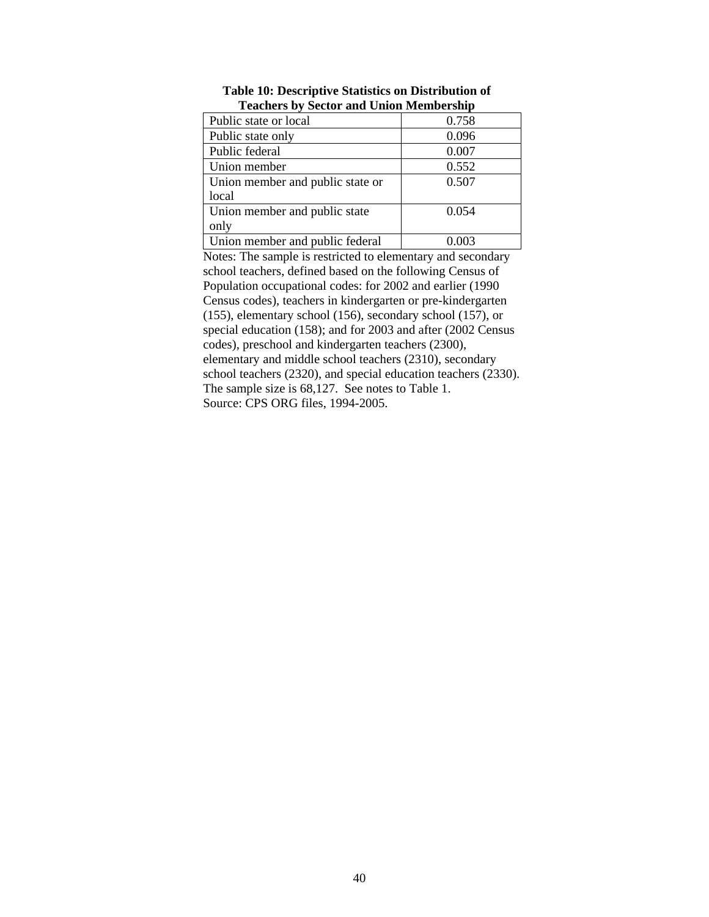| Teachers by beetor and emon membersing |       |
|----------------------------------------|-------|
| Public state or local                  | 0.758 |
| Public state only                      | 0.096 |
| Public federal                         | 0.007 |
| Union member                           | 0.552 |
| Union member and public state or       | 0.507 |
| local                                  |       |
| Union member and public state          | 0.054 |
| only                                   |       |
| Union member and public federal        | 0.003 |

**Table 10: Descriptive Statistics on Distribution of Teachers by Sector and Union Membership** 

Notes: The sample is restricted to elementary and secondary school teachers, defined based on the following Census of Population occupational codes: for 2002 and earlier (1990 Census codes), teachers in kindergarten or pre-kindergarten (155), elementary school (156), secondary school (157), or special education (158); and for 2003 and after (2002 Census codes), preschool and kindergarten teachers (2300), elementary and middle school teachers (2310), secondary school teachers (2320), and special education teachers (2330). The sample size is 68,127. See notes to Table 1. Source: CPS ORG files, 1994-2005.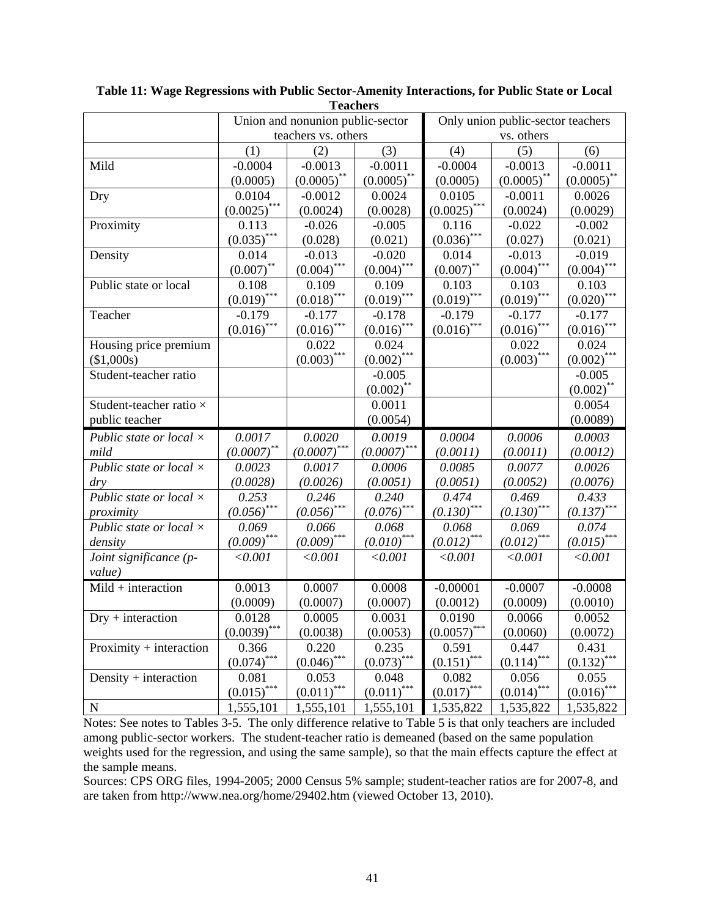| I cathers                      |                |                                  |                 |                                   |               |               |  |  |
|--------------------------------|----------------|----------------------------------|-----------------|-----------------------------------|---------------|---------------|--|--|
|                                |                | Union and nonunion public-sector |                 | Only union public-sector teachers |               |               |  |  |
|                                |                | teachers vs. others              |                 |                                   | vs. others    |               |  |  |
|                                | (1)            | (2)                              | (3)             | (4)                               | (5)           | (6)           |  |  |
| Mild                           | $-0.0004$      | $-0.0013$                        | $-0.0011$       | $-0.0004$                         | $-0.0013$     | $-0.0011$     |  |  |
|                                | (0.0005)       | $(0.0005)$ **                    | $(0.0005)$ **   | (0.0005)                          | $(0.0005)$ ** | $(0.0005)$ ** |  |  |
| Dry                            | 0.0104         | $-0.0012$                        | 0.0024          | 0.0105                            | $-0.0011$     | 0.0026        |  |  |
|                                | $(0.0025)$ *** | (0.0024)                         | (0.0028)        | $(0.0025)$ ***                    | (0.0024)      | (0.0029)      |  |  |
| Proximity                      | 0.113          | $-0.026$                         | $-0.005$        | 0.116                             | $-0.022$      | $-0.002$      |  |  |
|                                | $(0.035)$ ***  | (0.028)                          | (0.021)         | $(0.036)$ ***                     | (0.027)       | (0.021)       |  |  |
| Density                        | 0.014          | $-0.013$                         | $-0.020$        | 0.014                             | $-0.013$      | $-0.019$      |  |  |
|                                | $(0.007)$ **   | $(0.004)$ ***                    | $(0.004)$ ***   | $(0.007)$ **                      | $(0.004)$ *** | $(0.004)$ *** |  |  |
| Public state or local          | 0.108          | 0.109                            | 0.109           | 0.103                             | 0.103         | 0.103         |  |  |
|                                | $(0.019)$ ***  | $(0.018)$ ***                    | $(0.019)$ ***   | $(0.019)$ ***                     | $(0.019)$ *** | $(0.020)$ *** |  |  |
| Teacher                        | $-0.179$       | $-0.177$                         | $-0.178$        | $-0.179$                          | $-0.177$      | $-0.177$      |  |  |
|                                | $(0.016)$ ***  | $(0.016)$ ***                    | $(0.016)^{***}$ | $(0.016)$ ***                     | $(0.016)$ *** | $(0.016)$ *** |  |  |
| Housing price premium          |                | 0.022                            | 0.024           |                                   | 0.022         | 0.024         |  |  |
| (\$1,000s)                     |                | $(0.003)$ ***                    | $(0.002)$ ***   |                                   | $(0.003)$ *** | $(0.002)$ *** |  |  |
| Student-teacher ratio          |                |                                  | $-0.005$        |                                   |               | $-0.005$      |  |  |
|                                |                |                                  | $(0.002)$ **    |                                   |               | $(0.002)$ **  |  |  |
| Student-teacher ratio ×        |                |                                  | 0.0011          |                                   |               | 0.0054        |  |  |
| public teacher                 |                |                                  | (0.0054)        |                                   |               | (0.0089)      |  |  |
| Public state or local $\times$ | 0.0017         | 0.0020                           | 0.0019          | 0.0004                            | 0.0006        | 0.0003        |  |  |
| mild                           | $(0.0007)$ **  | $(0.0007)$ ***                   | $(0.0007)$ ***  | (0.0011)                          | (0.0011)      | (0.0012)      |  |  |
| Public state or local $\times$ | 0.0023         | 0.0017                           | 0.0006          | 0.0085                            | 0.0077        | 0.0026        |  |  |
| $\frac{d}{y}$                  | (0.0028)       | (0.0026)                         | (0.0051)        | (0.0051)                          | (0.0052)      | (0.0076)      |  |  |
| Public state or local $\times$ | 0.253          | 0.246                            | 0.240           | 0.474                             | 0.469         | 0.433         |  |  |
| proximity                      | $(0.056)$ ***  | $(0.056)$ ***                    | $(0.076)$ ***   | $(0.130)$ ***                     | $(0.130)$ *** | $(0.137)$ *** |  |  |
| Public state or local $\times$ | 0.069          | 0.066                            | 0.068           | 0.068                             | 0.069         | 0.074         |  |  |
| density                        | $(0.009)$ ***  | $(0.009)$ ***                    | $(0.010)$ ***   | $(0.012)$ ***                     | $(0.012)$ *** | $(0.015)$ *** |  |  |
| Joint significance (p-         | < 0.001        | < 0.001                          | < 0.001         | < 0.001                           | < 0.001       | < 0.001       |  |  |
| value)                         |                |                                  |                 |                                   |               |               |  |  |
| $Mid + interaction$            | 0.0013         | 0.0007                           | 0.0008          | $-0.00001$                        | $-0.0007$     | $-0.0008$     |  |  |
|                                | (0.0009)       | (0.0007)                         | (0.0007)        | (0.0012)                          | (0.0009)      | (0.0010)      |  |  |
| $Dry + interaction$            | 0.0128         | 0.0005                           | 0.0031          | 0.0190                            | 0.0066        | 0.0052        |  |  |
|                                | (0.0039)       | (0.0038)                         | (0.0053)        | (0.0057)                          | (0.0060)      | (0.0072)      |  |  |
| Proximity $+$ interaction      | 0.366          | 0.220                            | 0.235           | 0.591                             | 0.447         | 0.431         |  |  |
|                                | $(0.074)$ ***  | $(0.046)$ ***                    | $(0.073)$ ***   | $(0.151)$ ***                     | $(0.114)$ *** | $(0.132)$ *** |  |  |
| Density $+$ interaction        | 0.081          | 0.053                            | 0.048           | 0.082                             | 0.056         | 0.055         |  |  |
|                                | $(0.015)$ ***  | $(0.011)$ ***                    | $(0.011)$ ***   | $(0.017)$ ***                     | $(0.014)$ *** | $(0.016)$ *** |  |  |
| ${\bf N}$                      | 1,555,101      | 1,555,101                        | 1,555,101       | 1,535,822                         | 1,535,822     | 1,535,822     |  |  |

**Table 11: Wage Regressions with Public Sector-Amenity Interactions, for Public State or Local Teachers** 

Notes: See notes to Tables 3-5. The only difference relative to Table 5 is that only teachers are included among public-sector workers. The student-teacher ratio is demeaned (based on the same population weights used for the regression, and using the same sample), so that the main effects capture the effect at the sample means.

Sources: CPS ORG files, 1994-2005; 2000 Census 5% sample; student-teacher ratios are for 2007-8, and are taken from http://www.nea.org/home/29402.htm (viewed October 13, 2010).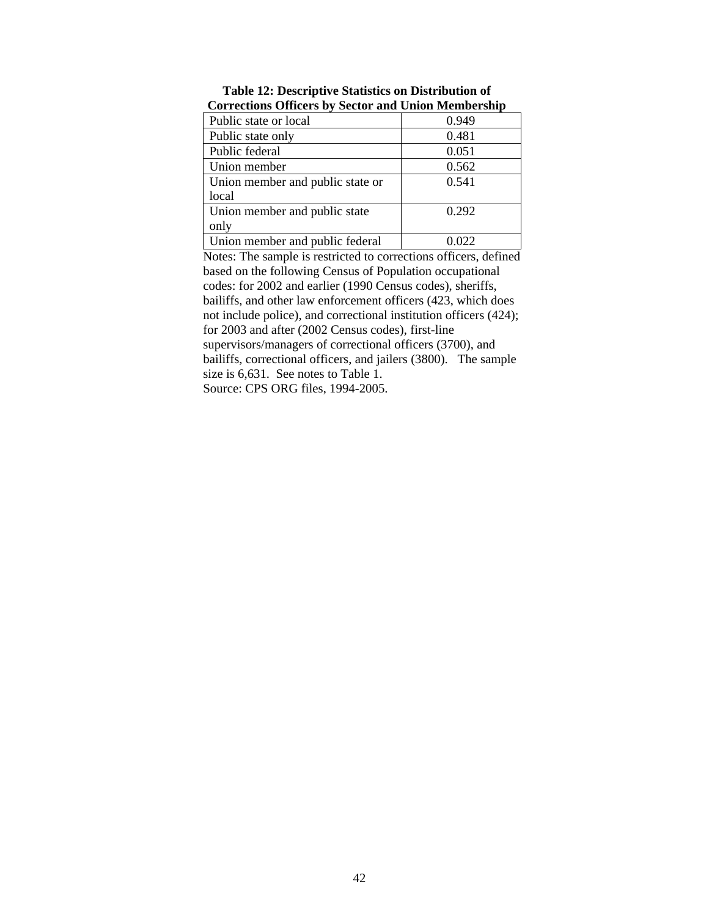| corrections officers by sector and chron stempersing |       |
|------------------------------------------------------|-------|
| Public state or local                                | 0.949 |
| Public state only                                    | 0.481 |
| Public federal                                       | 0.051 |
| Union member                                         | 0.562 |
| Union member and public state or                     | 0.541 |
| local                                                |       |
| Union member and public state                        | 0.292 |
| only                                                 |       |
| Union member and public federal                      | .022  |

**Table 12: Descriptive Statistics on Distribution of Corrections Officers by Sector and Union Membership** 

Notes: The sample is restricted to corrections officers, defined based on the following Census of Population occupational codes: for 2002 and earlier (1990 Census codes), sheriffs, bailiffs, and other law enforcement officers (423, which does not include police), and correctional institution officers (424); for 2003 and after (2002 Census codes), first-line supervisors/managers of correctional officers (3700), and bailiffs, correctional officers, and jailers (3800). The sample size is 6,631. See notes to Table 1. Source: CPS ORG files, 1994-2005.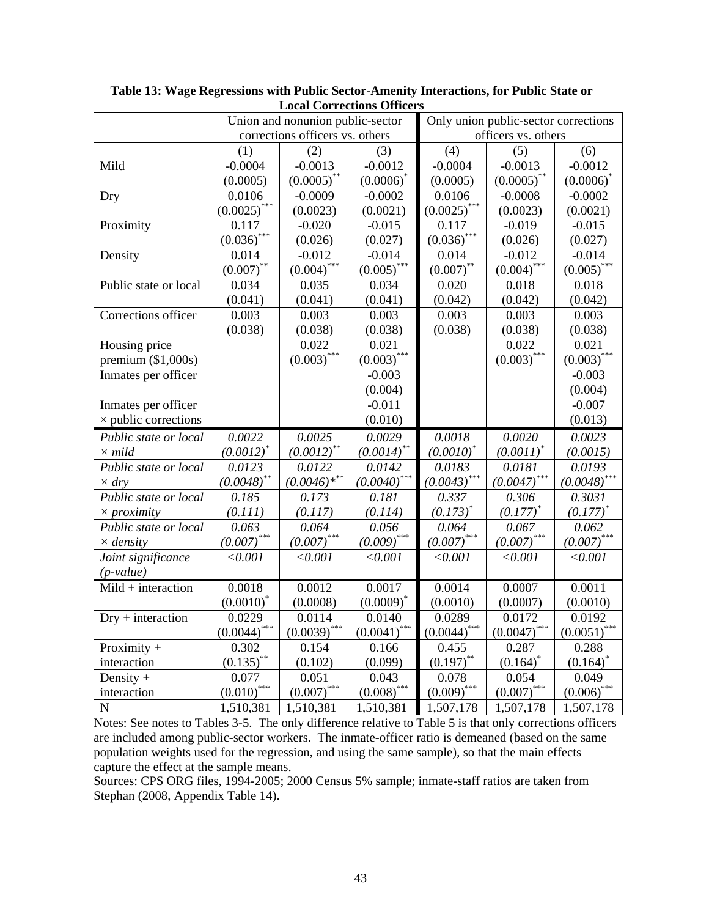|                             | Union and nonunion public-sector |                |                 | Only union public-sector corrections |                            |                             |
|-----------------------------|----------------------------------|----------------|-----------------|--------------------------------------|----------------------------|-----------------------------|
|                             | corrections officers vs. others  |                |                 | officers vs. others                  |                            |                             |
|                             | (1)                              | (2)            | (3)             | (4)                                  | (5)                        | (6)                         |
| Mild                        | $-0.0004$                        | $-0.0013$      | $-0.0012$       | $-0.0004$                            | $-0.0013$                  | $-0.0012$                   |
|                             | (0.0005)                         | $(0.0005)$ **  | $(0.0006)^*$    | (0.0005)                             | $(0.0005)$ **              | $(0.0006)^*$                |
| Dry                         | 0.0106                           | $-0.0009$      | $-0.0002$       | 0.0106                               | $-0.0008$                  | $-0.0002$                   |
|                             | $(0.0025)$ ***                   | (0.0023)       | (0.0021)        | $(0.0025)$ ***                       | (0.0023)                   | (0.0021)                    |
| Proximity                   | 0.117                            | $-0.020$       | $-0.015$        | 0.117                                | $-0.019$                   | $-0.015$                    |
|                             | $(0.036)$ ***                    | (0.026)        | (0.027)         | $(0.036)$ ***                        | (0.026)                    | (0.027)                     |
| Density                     | 0.014                            | $-0.012$       | $-0.014$        | 0.014                                | $-0.012$                   | $-0.014$                    |
|                             | $(0.007)$ **                     | $(0.004)$ ***  | $(0.005)$ ***   | $(0.007)$ **                         | $(0.004)$ ***              | $(0.005)$ ***               |
| Public state or local       | 0.034                            | 0.035          | 0.034           | 0.020                                | 0.018                      | 0.018                       |
|                             | (0.041)                          | (0.041)        | (0.041)         | (0.042)                              | (0.042)                    | (0.042)                     |
| Corrections officer         | 0.003                            | 0.003          | 0.003           | 0.003                                | 0.003                      | 0.003                       |
|                             | (0.038)                          | (0.038)        | (0.038)         | (0.038)                              | (0.038)                    | (0.038)                     |
| Housing price               |                                  | 0.022          | 0.021           |                                      | 0.022                      | 0.021                       |
| premium $(\$1,000s)$        |                                  | $(0.003)$ ***  | $(0.003)$ ***   |                                      | $(0.003)$ ***              | $(0.003)$ ***               |
| Inmates per officer         |                                  |                | $-0.003$        |                                      |                            | $-0.003$                    |
|                             |                                  |                | (0.004)         |                                      |                            | (0.004)                     |
| Inmates per officer         |                                  |                | $-0.011$        |                                      |                            | $-0.007$                    |
| $\times$ public corrections |                                  |                | (0.010)         |                                      |                            | (0.013)                     |
| Public state or local       | 0.0022                           | 0.0025         | 0.0029          | 0.0018                               | 0.0020                     | 0.0023                      |
| $\times$ mild               | $(0.0012)^*$                     | $(0.0012)$ **  | $(0.0014)$ **   | $(0.0010)^*$                         | $(0.0011)^*$               | (0.0015)                    |
| Public state or local       | 0.0123                           | 0.0122         | 0.0142          | 0.0183                               | 0.0181                     | 0.0193                      |
| $\times$ dry                | $(0.0048)$ **                    | $(0.0046)$ *** | $(0.0040)$ ***  | $(0.0043)$ ***                       | $(0.0047)$ ***             | $(0.0048)$ ***              |
| Public state or local       | 0.185                            | 0.173          | 0.181           | 0.337                                | 0.306                      | 0.3031                      |
| $\times$ <i>proximity</i>   | (0.111)                          | (0.117)        | (0.114)         | $(0.173)^{*}$                        | $(0.177)^*$                | $(0.177)^*$                 |
| Public state or local       | 0.063                            | 0.064          | 0.056           | 0.064                                | 0.067                      | 0.062                       |
| $\times$ density            | $(0.007)$ ***                    | $(0.007)$ ***  | $(0.009)$ ***   | $(0.007)$ ***                        | $(0.007)$ ***              | $(0.007)$ ***               |
| Joint significance          | < 0.001                          | < 0.001        | < 0.001         | < 0.001                              | < 0.001                    | < 0.001                     |
| $(p-value)$                 |                                  |                |                 |                                      |                            |                             |
| $Mid$ + interaction         | 0.0018                           | 0.0012         | 0.0017          | 0.0014                               | 0.0007                     | 0.0011                      |
|                             | $(0.0010)^*$                     | (0.0008)       | $(0.0009)^*$    | (0.0010)                             | (0.0007)                   | (0.0010)                    |
| $Dry + interaction$         | 0.0229                           | 0.0114         | 0.0140          | 0.0289                               | 0.0172                     | 0.0192                      |
|                             | $(0.0044)$ ***                   | $(0.0039)$ *** | $(0.0041)$ ***  | $(0.0044)$ ***                       | $\underline{(0.0047)}$ *** | $\underline{(0.0051)}$ ***  |
| Proximity $+$               | 0.302                            | 0.154          | 0.166           | 0.455                                | 0.287                      | 0.288                       |
| interaction                 | $(0.135)$ **                     | (0.102)        | (0.099)         | $(0.197)$ **                         | $(0.164)$ <sup>*</sup>     | $(0.164)^*$                 |
| Density $+$                 | 0.077                            | 0.051          | 0.043           | 0.078                                | 0.054                      | 0.049                       |
| interaction                 | $(0.010)$ ***                    | $(0.007)$ ***  | $(0.008)^{***}$ | $(0.009)$ ***                        | ***<br>(0.007)             | $\underline{(0.006)}^{***}$ |
| $\overline{N}$              | 1,510,381                        | 1,510,381      | 1,510,381       | 1,507,178                            | 1,507,178                  | 1,507,178                   |

**Table 13: Wage Regressions with Public Sector-Amenity Interactions, for Public State or Local Corrections Officers** 

Notes: See notes to Tables 3-5. The only difference relative to Table 5 is that only corrections officers are included among public-sector workers. The inmate-officer ratio is demeaned (based on the same population weights used for the regression, and using the same sample), so that the main effects capture the effect at the sample means.

Sources: CPS ORG files, 1994-2005; 2000 Census 5% sample; inmate-staff ratios are taken from Stephan (2008, Appendix Table 14).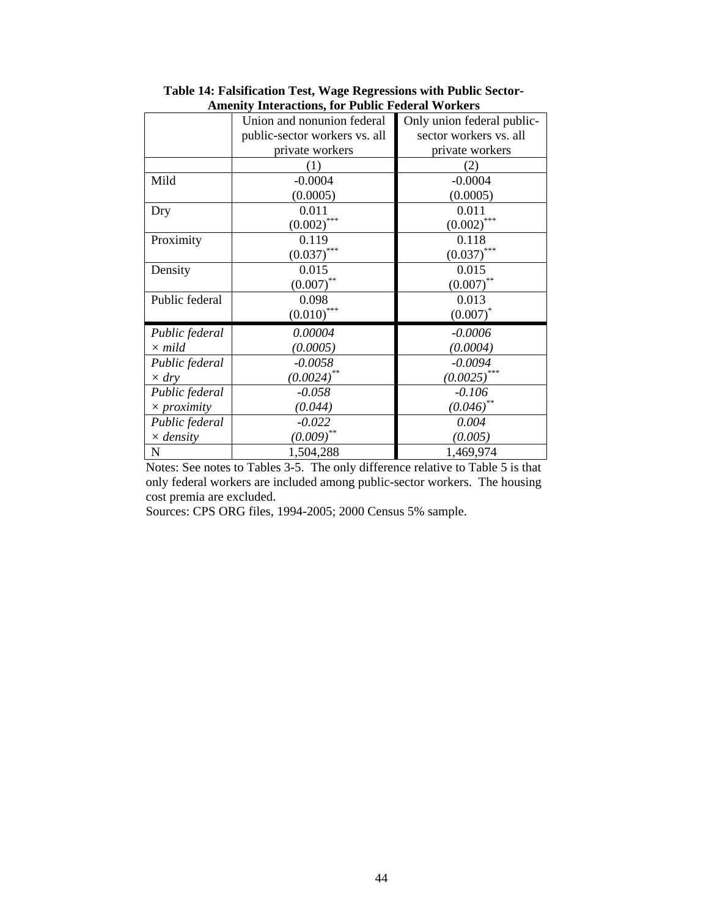| Amenty Interactions, for Fubile Federal Workers |                               |                            |  |  |  |  |
|-------------------------------------------------|-------------------------------|----------------------------|--|--|--|--|
|                                                 | Union and nonunion federal    | Only union federal public- |  |  |  |  |
|                                                 | public-sector workers vs. all | sector workers vs. all     |  |  |  |  |
|                                                 | private workers               | private workers            |  |  |  |  |
|                                                 | (1)                           | (2)                        |  |  |  |  |
| Mild                                            | $-0.0004$                     | $-0.0004$                  |  |  |  |  |
|                                                 | (0.0005)                      | (0.0005)                   |  |  |  |  |
| Dry                                             | 0.011                         | 0.011                      |  |  |  |  |
|                                                 | $(0.002)$ ***                 | ***<br>(0.002)             |  |  |  |  |
| Proximity                                       | 0.119                         | 0.118                      |  |  |  |  |
|                                                 | $(0.037)$ ***                 | $(0.037)$ ***              |  |  |  |  |
| Density                                         | 0.015                         | 0.015                      |  |  |  |  |
|                                                 | $(0.007)$ **                  | **<br>(0.007)              |  |  |  |  |
| Public federal                                  | 0.098                         | 0.013                      |  |  |  |  |
|                                                 | $(0.010)$ ***                 | $(0.007)^*$                |  |  |  |  |
| Public federal                                  | 0.00004                       | $-0.0006$                  |  |  |  |  |
| $\times$ mild                                   | (0.0005)                      | (0.0004)                   |  |  |  |  |
| Public federal                                  | $-0.0058$                     | $-0.0094$                  |  |  |  |  |
| $\times$ dry                                    | $(0.0024)$ **                 | $(0.0025)$ ***             |  |  |  |  |
| Public federal                                  | $-0.058$                      | $-0.106$                   |  |  |  |  |
| $\times$ proximity                              | (0.044)                       | $(0.046)$ **               |  |  |  |  |
| Public federal                                  | $-0.022$                      | 0.004                      |  |  |  |  |
| $\times$ density                                | $(0.009)$ **                  | (0.005)                    |  |  |  |  |
| $\mathbf N$                                     | 1,504,288                     | 1,469,974                  |  |  |  |  |

**Table 14: Falsification Test, Wage Regressions with Public Sector-Amenity Interactions, for Public Federal Workers** 

Notes: See notes to Tables 3-5. The only difference relative to Table 5 is that only federal workers are included among public-sector workers. The housing cost premia are excluded.

Sources: CPS ORG files, 1994-2005; 2000 Census 5% sample.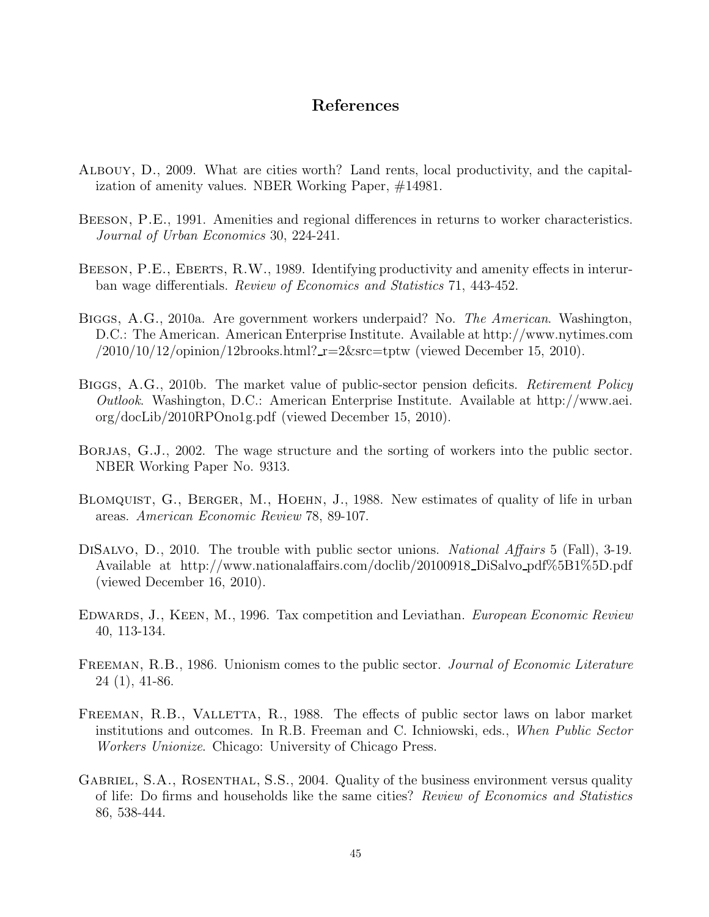## References

- Albouy, D., 2009. What are cities worth? Land rents, local productivity, and the capitalization of amenity values. NBER Working Paper, #14981.
- BEESON, P.E., 1991. Amenities and regional differences in returns to worker characteristics. Journal of Urban Economics 30, 224-241.
- BEESON, P.E., EBERTS, R.W., 1989. Identifying productivity and amenity effects in interurban wage differentials. Review of Economics and Statistics 71, 443-452.
- Biggs, A.G., 2010a. Are government workers underpaid? No. The American. Washington, D.C.: The American. American Enterprise Institute. Available at http://www.nytimes.com  $/2010/10/12$ /opinion/12brooks.html?  $r=2$ &src=tptw (viewed December 15, 2010).
- BIGGS, A.G., 2010b. The market value of public-sector pension deficits. Retirement Policy Outlook. Washington, D.C.: American Enterprise Institute. Available at http://www.aei. org/docLib/2010RPOno1g.pdf (viewed December 15, 2010).
- BORJAS, G.J., 2002. The wage structure and the sorting of workers into the public sector. NBER Working Paper No. 9313.
- BLOMQUIST, G., BERGER, M., HOEHN, J., 1988. New estimates of quality of life in urban areas. American Economic Review 78, 89-107.
- DISALVO, D., 2010. The trouble with public sector unions. *National Affairs* 5 (Fall), 3-19. Available at http://www.nationalaffairs.com/doclib/20100918 DiSalvo pdf%5B1%5D.pdf (viewed December 16, 2010).
- EDWARDS, J., KEEN, M., 1996. Tax competition and Leviathan. *European Economic Review* 40, 113-134.
- FREEMAN, R.B., 1986. Unionism comes to the public sector. Journal of Economic Literature 24 (1), 41-86.
- FREEMAN, R.B., VALLETTA, R., 1988. The effects of public sector laws on labor market institutions and outcomes. In R.B. Freeman and C. Ichniowski, eds., When Public Sector Workers Unionize. Chicago: University of Chicago Press.
- GABRIEL, S.A., ROSENTHAL, S.S., 2004. Quality of the business environment versus quality of life: Do firms and households like the same cities? Review of Economics and Statistics 86, 538-444.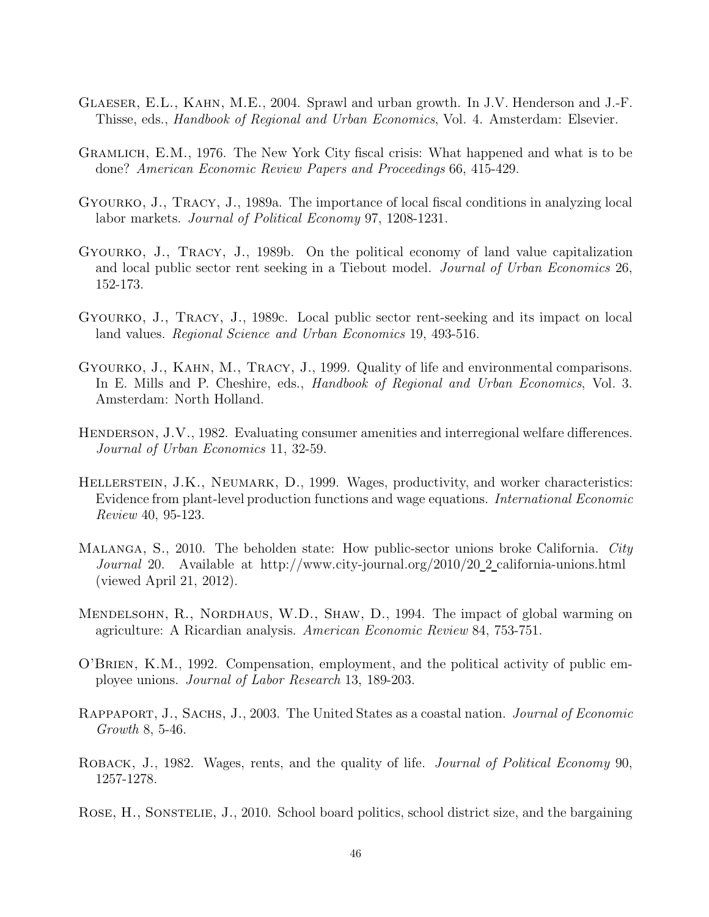- Glaeser, E.L., Kahn, M.E., 2004. Sprawl and urban growth. In J.V. Henderson and J.-F. Thisse, eds., Handbook of Regional and Urban Economics, Vol. 4. Amsterdam: Elsevier.
- Gramlich, E.M., 1976. The New York City fiscal crisis: What happened and what is to be done? American Economic Review Papers and Proceedings 66, 415-429.
- Gyourko, J., Tracy, J., 1989a. The importance of local fiscal conditions in analyzing local labor markets. Journal of Political Economy 97, 1208-1231.
- Gyourko, J., Tracy, J., 1989b. On the political economy of land value capitalization and local public sector rent seeking in a Tiebout model. Journal of Urban Economics 26, 152-173.
- Gyourko, J., Tracy, J., 1989c. Local public sector rent-seeking and its impact on local land values. Regional Science and Urban Economics 19, 493-516.
- Gyourko, J., Kahn, M., Tracy, J., 1999. Quality of life and environmental comparisons. In E. Mills and P. Cheshire, eds., *Handbook of Regional and Urban Economics*, Vol. 3. Amsterdam: North Holland.
- HENDERSON, J.V., 1982. Evaluating consumer amenities and interregional welfare differences. Journal of Urban Economics 11, 32-59.
- HELLERSTEIN, J.K., NEUMARK, D., 1999. Wages, productivity, and worker characteristics: Evidence from plant-level production functions and wage equations. International Economic Review 40, 95-123.
- MALANGA, S., 2010. The beholden state: How public-sector unions broke California. City Journal 20. Available at http://www.city-journal.org/2010/20\_2 california-unions.html (viewed April 21, 2012).
- Mendelsohn, R., Nordhaus, W.D., Shaw, D., 1994. The impact of global warming on agriculture: A Ricardian analysis. American Economic Review 84, 753-751.
- O'Brien, K.M., 1992. Compensation, employment, and the political activity of public employee unions. Journal of Labor Research 13, 189-203.
- RAPPAPORT, J., SACHS, J., 2003. The United States as a coastal nation. *Journal of Economic* Growth 8, 5-46.
- ROBACK, J., 1982. Wages, rents, and the quality of life. *Journal of Political Economy* 90, 1257-1278.
- ROSE, H., SONSTELIE, J., 2010. School board politics, school district size, and the bargaining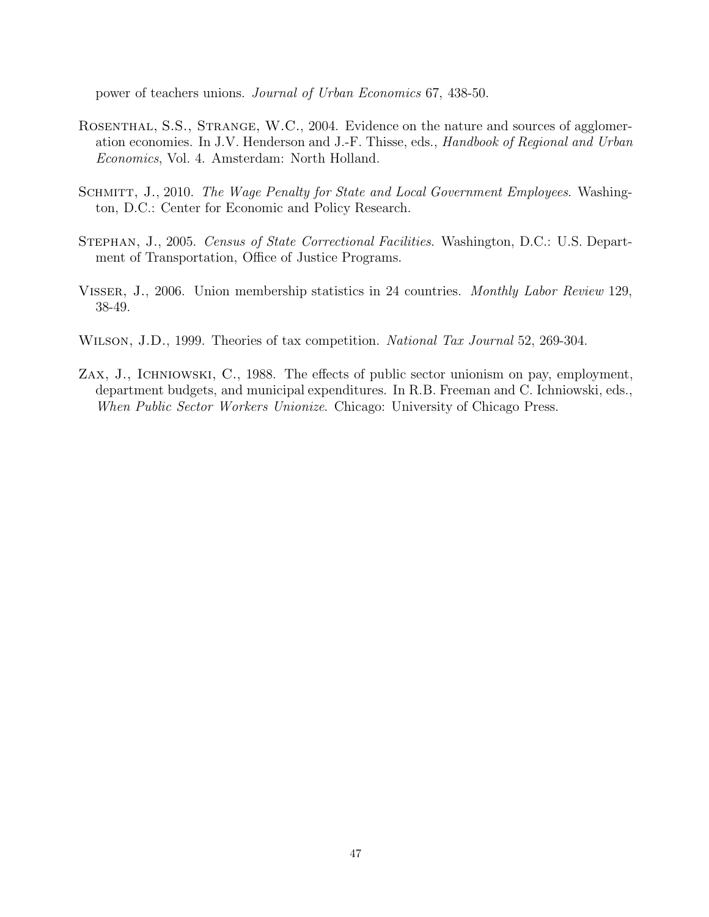power of teachers unions. Journal of Urban Economics 67, 438-50.

- ROSENTHAL, S.S., STRANGE, W.C., 2004. Evidence on the nature and sources of agglomeration economies. In J.V. Henderson and J.-F. Thisse, eds., Handbook of Regional and Urban Economics, Vol. 4. Amsterdam: North Holland.
- SCHMITT, J., 2010. The Wage Penalty for State and Local Government Employees. Washington, D.C.: Center for Economic and Policy Research.
- Stephan, J., 2005. Census of State Correctional Facilities. Washington, D.C.: U.S. Department of Transportation, Office of Justice Programs.
- Visser, J., 2006. Union membership statistics in 24 countries. Monthly Labor Review 129, 38-49.
- WILSON, J.D., 1999. Theories of tax competition. National Tax Journal 52, 269-304.
- Zax, J., Ichniowski, C., 1988. The effects of public sector unionism on pay, employment, department budgets, and municipal expenditures. In R.B. Freeman and C. Ichniowski, eds., When Public Sector Workers Unionize. Chicago: University of Chicago Press.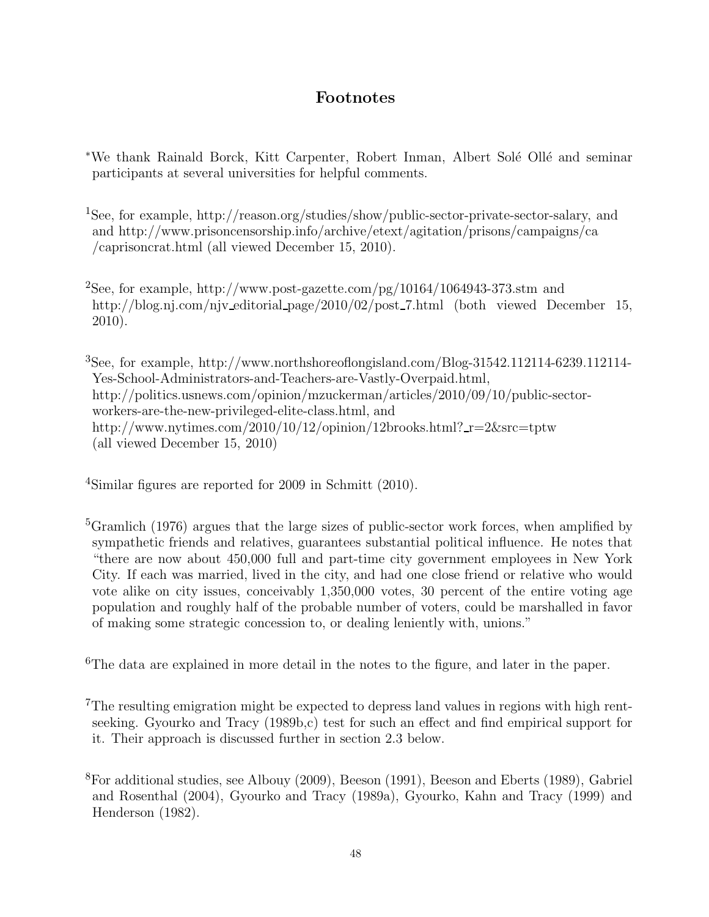# Footnotes

- \*We thank Rainald Borck, Kitt Carpenter, Robert Inman, Albert Solé Ollé and seminar participants at several universities for helpful comments.
- <sup>1</sup>See, for example, http://reason.org/studies/show/public-sector-private-sector-salary, and and http://www.prisoncensorship.info/archive/etext/agitation/prisons/campaigns/ca /caprisoncrat.html (all viewed December 15, 2010).
- <sup>2</sup>See, for example, http://www.post-gazette.com/pg/10164/1064943-373.stm and http://blog.nj.com/njv\_editorial\_page/2010/02/post\_7.html (both viewed December 15, 2010).

<sup>3</sup>See, for example, http://www.northshoreoflongisland.com/Blog-31542.112114-6239.112114- Yes-School-Administrators-and-Teachers-are-Vastly-Overpaid.html, http://politics.usnews.com/opinion/mzuckerman/articles/2010/09/10/public-sectorworkers-are-the-new-privileged-elite-class.html, and http://www.nytimes.com/2010/10/12/opinion/12brooks.html?\_r=2&src=tptw (all viewed December 15, 2010)

<sup>4</sup>Similar figures are reported for 2009 in Schmitt (2010).

<sup>5</sup>Gramlich (1976) argues that the large sizes of public-sector work forces, when amplified by sympathetic friends and relatives, guarantees substantial political influence. He notes that "there are now about 450,000 full and part-time city government employees in New York City. If each was married, lived in the city, and had one close friend or relative who would vote alike on city issues, conceivably 1,350,000 votes, 30 percent of the entire voting age population and roughly half of the probable number of voters, could be marshalled in favor of making some strategic concession to, or dealing leniently with, unions."

<sup>6</sup>The data are explained in more detail in the notes to the figure, and later in the paper.

<sup>7</sup>The resulting emigration might be expected to depress land values in regions with high rentseeking. Gyourko and Tracy (1989b,c) test for such an effect and find empirical support for it. Their approach is discussed further in section 2.3 below.

<sup>8</sup>For additional studies, see Albouy (2009), Beeson (1991), Beeson and Eberts (1989), Gabriel and Rosenthal (2004), Gyourko and Tracy (1989a), Gyourko, Kahn and Tracy (1999) and Henderson (1982).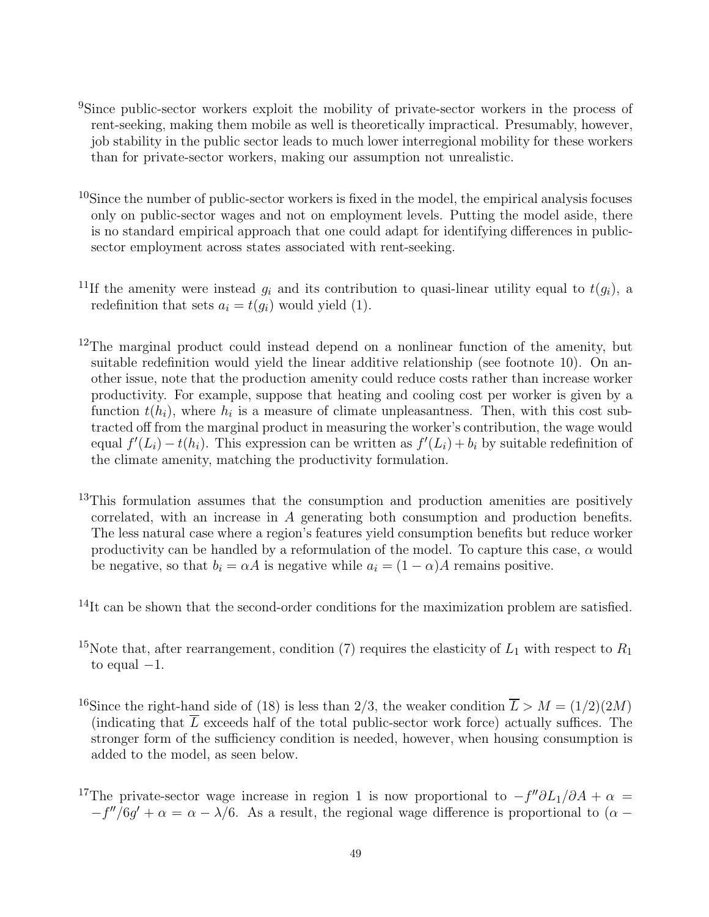- <sup>9</sup>Since public-sector workers exploit the mobility of private-sector workers in the process of rent-seeking, making them mobile as well is theoretically impractical. Presumably, however, job stability in the public sector leads to much lower interregional mobility for these workers than for private-sector workers, making our assumption not unrealistic.
- $10$ Since the number of public-sector workers is fixed in the model, the empirical analysis focuses only on public-sector wages and not on employment levels. Putting the model aside, there is no standard empirical approach that one could adapt for identifying differences in publicsector employment across states associated with rent-seeking.
- <sup>11</sup>If the amenity were instead  $g_i$  and its contribution to quasi-linear utility equal to  $t(g_i)$ , a redefinition that sets  $a_i = t(g_i)$  would yield (1).
- $12$ The marginal product could instead depend on a nonlinear function of the amenity, but suitable redefinition would yield the linear additive relationship (see footnote 10). On another issue, note that the production amenity could reduce costs rather than increase worker productivity. For example, suppose that heating and cooling cost per worker is given by a function  $t(h_i)$ , where  $h_i$  is a measure of climate unpleasantness. Then, with this cost subtracted off from the marginal product in measuring the worker's contribution, the wage would equal  $f'(L_i) - t(h_i)$ . This expression can be written as  $f'(L_i) + b_i$  by suitable redefinition of the climate amenity, matching the productivity formulation.
- <sup>13</sup>This formulation assumes that the consumption and production amenities are positively correlated, with an increase in A generating both consumption and production benefits. The less natural case where a region's features yield consumption benefits but reduce worker productivity can be handled by a reformulation of the model. To capture this case,  $\alpha$  would be negative, so that  $b_i = \alpha A$  is negative while  $a_i = (1 - \alpha)A$  remains positive.
- $14$ It can be shown that the second-order conditions for the maximization problem are satisfied.
- <sup>15</sup>Note that, after rearrangement, condition (7) requires the elasticity of  $L_1$  with respect to  $R_1$ to equal  $-1$ .
- <sup>16</sup>Since the right-hand side of (18) is less than 2/3, the weaker condition  $\overline{L} > M = (1/2)(2M)$ (indicating that  $\overline{L}$  exceeds half of the total public-sector work force) actually suffices. The stronger form of the sufficiency condition is needed, however, when housing consumption is added to the model, as seen below.
- <sup>17</sup>The private-sector wage increase in region 1 is now proportional to  $-f''\partial L_1/\partial A + \alpha =$  $-f''/6g' + \alpha = \alpha - \lambda/6$ . As a result, the regional wage difference is proportional to  $(\alpha -$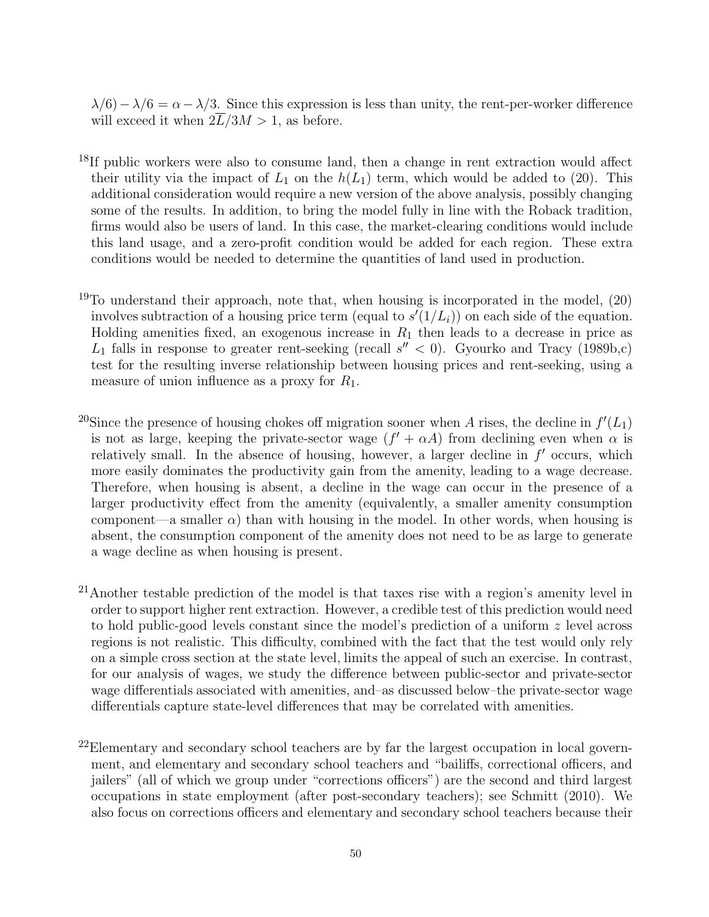$\lambda/6$ ) –  $\lambda/6 = \alpha - \lambda/3$ . Since this expression is less than unity, the rent-per-worker difference will exceed it when  $2\overline{L}/3M > 1$ , as before.

- <sup>18</sup>If public workers were also to consume land, then a change in rent extraction would affect their utility via the impact of  $L_1$  on the  $h(L_1)$  term, which would be added to (20). This additional consideration would require a new version of the above analysis, possibly changing some of the results. In addition, to bring the model fully in line with the Roback tradition, firms would also be users of land. In this case, the market-clearing conditions would include this land usage, and a zero-profit condition would be added for each region. These extra conditions would be needed to determine the quantities of land used in production.
- <sup>19</sup>To understand their approach, note that, when housing is incorporated in the model,  $(20)$ involves subtraction of a housing price term (equal to  $s'(1/L_i)$ ) on each side of the equation. Holding amenities fixed, an exogenous increase in  $R_1$  then leads to a decrease in price as  $L_1$  falls in response to greater rent-seeking (recall  $s'' < 0$ ). Gyourko and Tracy (1989b,c) test for the resulting inverse relationship between housing prices and rent-seeking, using a measure of union influence as a proxy for  $R_1$ .
- <sup>20</sup>Since the presence of housing chokes off migration sooner when A rises, the decline in  $f'(L_1)$ is not as large, keeping the private-sector wage  $(f' + \alpha A)$  from declining even when  $\alpha$  is relatively small. In the absence of housing, however, a larger decline in  $f'$  occurs, which more easily dominates the productivity gain from the amenity, leading to a wage decrease. Therefore, when housing is absent, a decline in the wage can occur in the presence of a larger productivity effect from the amenity (equivalently, a smaller amenity consumption component—a smaller  $\alpha$ ) than with housing in the model. In other words, when housing is absent, the consumption component of the amenity does not need to be as large to generate a wage decline as when housing is present.
- $21$ Another testable prediction of the model is that taxes rise with a region's amenity level in order to support higher rent extraction. However, a credible test of this prediction would need to hold public-good levels constant since the model's prediction of a uniform z level across regions is not realistic. This difficulty, combined with the fact that the test would only rely on a simple cross section at the state level, limits the appeal of such an exercise. In contrast, for our analysis of wages, we study the difference between public-sector and private-sector wage differentials associated with amenities, and–as discussed below–the private-sector wage differentials capture state-level differences that may be correlated with amenities.
- $^{22}$ Elementary and secondary school teachers are by far the largest occupation in local government, and elementary and secondary school teachers and "bailiffs, correctional officers, and jailers" (all of which we group under "corrections officers") are the second and third largest occupations in state employment (after post-secondary teachers); see Schmitt (2010). We also focus on corrections officers and elementary and secondary school teachers because their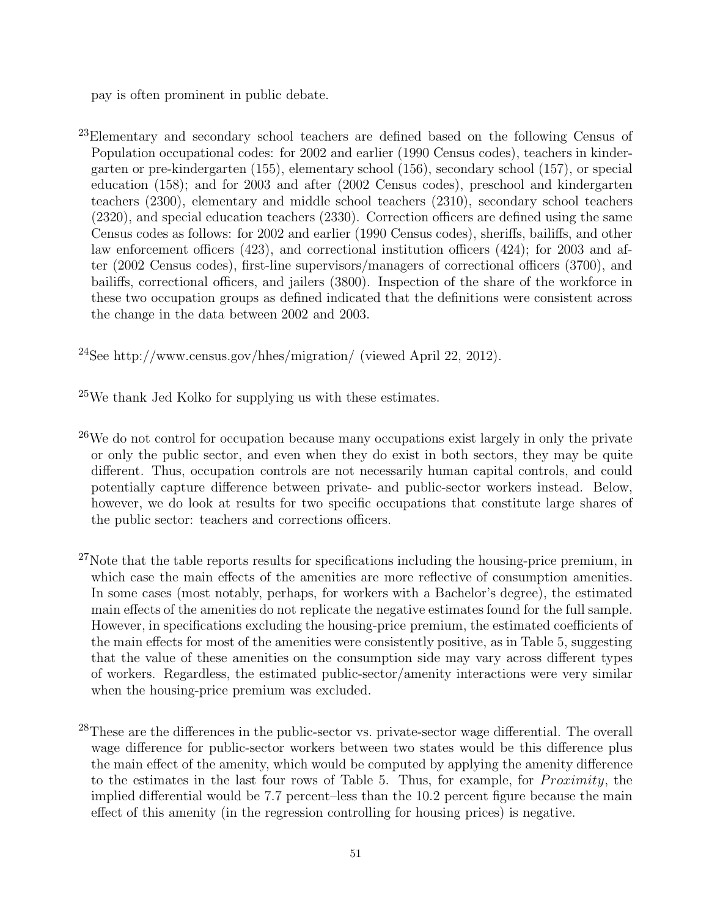pay is often prominent in public debate.

<sup>23</sup>Elementary and secondary school teachers are defined based on the following Census of Population occupational codes: for 2002 and earlier (1990 Census codes), teachers in kindergarten or pre-kindergarten (155), elementary school (156), secondary school (157), or special education (158); and for 2003 and after (2002 Census codes), preschool and kindergarten teachers (2300), elementary and middle school teachers (2310), secondary school teachers (2320), and special education teachers (2330). Correction officers are defined using the same Census codes as follows: for 2002 and earlier (1990 Census codes), sheriffs, bailiffs, and other law enforcement officers (423), and correctional institution officers (424); for 2003 and after (2002 Census codes), first-line supervisors/managers of correctional officers (3700), and bailiffs, correctional officers, and jailers (3800). Inspection of the share of the workforce in these two occupation groups as defined indicated that the definitions were consistent across the change in the data between 2002 and 2003.

<sup>24</sup>See http://www.census.gov/hhes/migration/ (viewed April 22, 2012).

<sup>25</sup>We thank Jed Kolko for supplying us with these estimates.

- <sup>26</sup>We do not control for occupation because many occupations exist largely in only the private or only the public sector, and even when they do exist in both sectors, they may be quite different. Thus, occupation controls are not necessarily human capital controls, and could potentially capture difference between private- and public-sector workers instead. Below, however, we do look at results for two specific occupations that constitute large shares of the public sector: teachers and corrections officers.
- $^{27}$ Note that the table reports results for specifications including the housing-price premium, in which case the main effects of the amenities are more reflective of consumption amenities. In some cases (most notably, perhaps, for workers with a Bachelor's degree), the estimated main effects of the amenities do not replicate the negative estimates found for the full sample. However, in specifications excluding the housing-price premium, the estimated coefficients of the main effects for most of the amenities were consistently positive, as in Table 5, suggesting that the value of these amenities on the consumption side may vary across different types of workers. Regardless, the estimated public-sector/amenity interactions were very similar when the housing-price premium was excluded.
- <sup>28</sup>These are the differences in the public-sector vs. private-sector wage differential. The overall wage difference for public-sector workers between two states would be this difference plus the main effect of the amenity, which would be computed by applying the amenity difference to the estimates in the last four rows of Table 5. Thus, for example, for  $Proximity$ , the implied differential would be 7.7 percent–less than the 10.2 percent figure because the main effect of this amenity (in the regression controlling for housing prices) is negative.